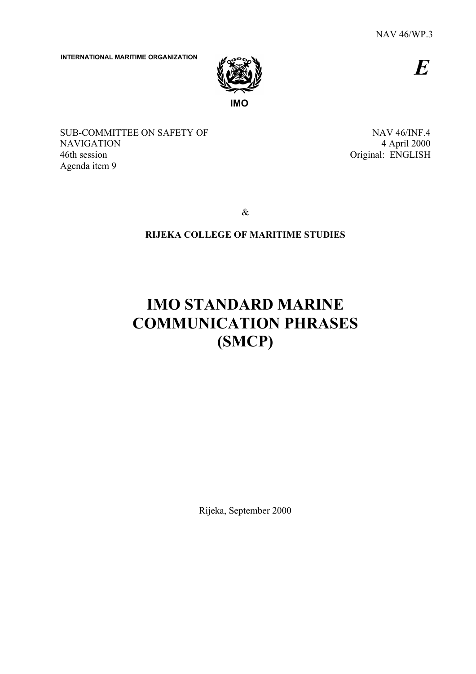*E*

**INTERNATIONAL MARITIME ORGANIZATION**



SUB-COMMITTEE ON SAFETY OF NAVIGATION 46th session Agenda item 9

NAV 46/INF.4 4 April 2000 Original: ENGLISH

&

# **RIJEKA COLLEGE OF MARITIME STUDIES**

# **IMO STANDARD MARINE COMMUNICATION PHRASES (SMCP)**

Rijeka, September 2000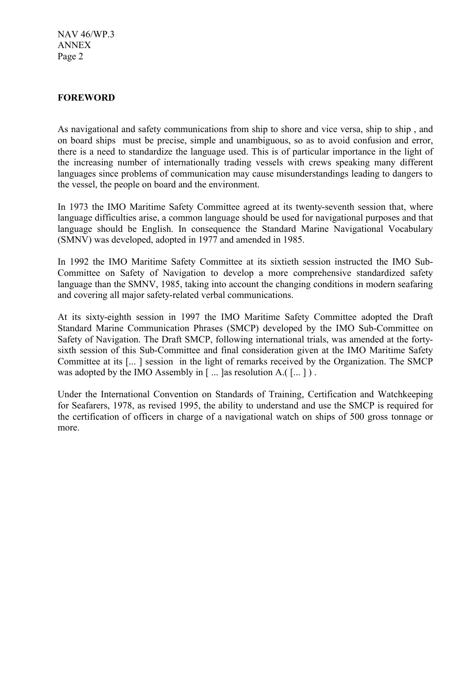## **FOREWORD**

As navigational and safety communications from ship to shore and vice versa, ship to ship , and on board ships must be precise, simple and unambiguous, so as to avoid confusion and error, there is a need to standardize the language used. This is of particular importance in the light of the increasing number of internationally trading vessels with crews speaking many different languages since problems of communication may cause misunderstandings leading to dangers to the vessel, the people on board and the environment.

In 1973 the IMO Maritime Safety Committee agreed at its twenty-seventh session that, where language difficulties arise, a common language should be used for navigational purposes and that language should be English. In consequence the Standard Marine Navigational Vocabulary (SMNV) was developed, adopted in 1977 and amended in 1985.

In 1992 the IMO Maritime Safety Committee at its sixtieth session instructed the IMO Sub-Committee on Safety of Navigation to develop a more comprehensive standardized safety language than the SMNV, 1985, taking into account the changing conditions in modern seafaring and covering all major safety-related verbal communications.

At its sixty-eighth session in 1997 the IMO Maritime Safety Committee adopted the Draft Standard Marine Communication Phrases (SMCP) developed by the IMO Sub-Committee on Safety of Navigation. The Draft SMCP, following international trials, was amended at the fortysixth session of this Sub-Committee and final consideration given at the IMO Maritime Safety Committee at its [... ] session in the light of remarks received by the Organization. The SMCP was adopted by the IMO Assembly in  $[\dots]$  as resolution A.( $[\dots]$ ).

Under the International Convention on Standards of Training, Certification and Watchkeeping for Seafarers, 1978, as revised 1995, the ability to understand and use the SMCP is required for the certification of officers in charge of a navigational watch on ships of 500 gross tonnage or more.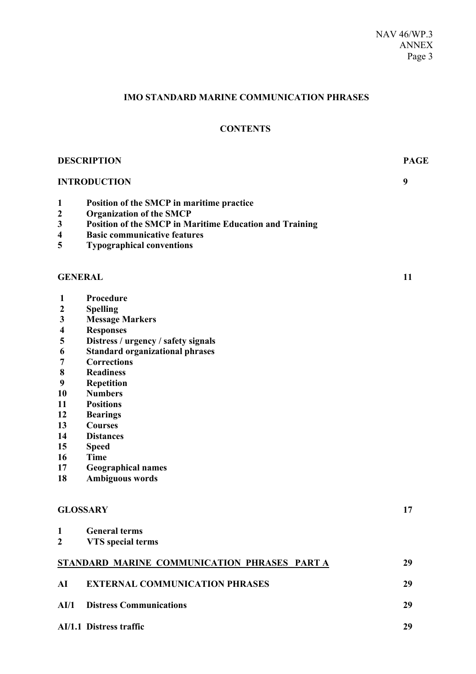# **IMO STANDARD MARINE COMMUNICATION PHRASES**

# **CONTENTS**

| <b>DESCRIPTION</b>      |                                                         | <b>PAGE</b> |  |
|-------------------------|---------------------------------------------------------|-------------|--|
|                         | <b>INTRODUCTION</b>                                     | 9           |  |
| $\mathbf{1}$            | Position of the SMCP in maritime practice               |             |  |
| $\boldsymbol{2}$        | <b>Organization of the SMCP</b>                         |             |  |
| 3                       | Position of the SMCP in Maritime Education and Training |             |  |
| $\overline{\mathbf{4}}$ | <b>Basic communicative features</b>                     |             |  |
| 5                       | <b>Typographical conventions</b>                        |             |  |
| <b>GENERAL</b>          |                                                         | 11          |  |
| 1                       | Procedure                                               |             |  |
| $\boldsymbol{2}$        | <b>Spelling</b>                                         |             |  |
| $\mathbf{3}$            | <b>Message Markers</b>                                  |             |  |
| $\overline{\mathbf{4}}$ | <b>Responses</b>                                        |             |  |
| 5                       | Distress / urgency / safety signals                     |             |  |
| 6                       | <b>Standard organizational phrases</b>                  |             |  |
| 7                       | <b>Corrections</b>                                      |             |  |
| $\bf 8$                 | <b>Readiness</b>                                        |             |  |
| $\boldsymbol{9}$        | Repetition                                              |             |  |
| 10                      | <b>Numbers</b>                                          |             |  |
| 11                      | <b>Positions</b>                                        |             |  |
| 12                      | <b>Bearings</b>                                         |             |  |
| 13                      | <b>Courses</b>                                          |             |  |
| 14                      | <b>Distances</b>                                        |             |  |
| 15<br>16                | <b>Speed</b><br><b>Time</b>                             |             |  |
| 17                      |                                                         |             |  |
| 18                      | <b>Geographical names</b><br><b>Ambiguous words</b>     |             |  |
|                         |                                                         |             |  |
| <b>GLOSSARY</b>         |                                                         | 17          |  |
| 1                       | <b>General terms</b>                                    |             |  |
| $\boldsymbol{2}$        | <b>VTS</b> special terms                                |             |  |
|                         | STANDARD MARINE COMMUNICATION PHRASES PART A            | 29          |  |
| AI                      | <b>EXTERNAL COMMUNICATION PHRASES</b>                   | 29          |  |
| AI/1                    | <b>Distress Communications</b>                          | 29          |  |
|                         | AI/1.1 Distress traffic                                 | 29          |  |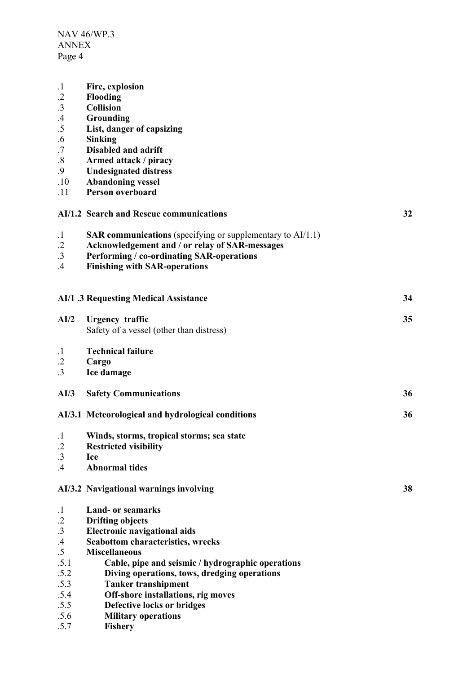| $\cdot$ 1       | Fire, explosion                                                      |    |
|-----------------|----------------------------------------------------------------------|----|
| $\cdot$         | Flooding                                                             |    |
| $\cdot$ 3       | <b>Collision</b>                                                     |    |
| $\mathcal{A}$   | Grounding                                                            |    |
| .5              | List, danger of capsizing                                            |    |
| .6              | <b>Sinking</b>                                                       |    |
| .7              | <b>Disabled and adrift</b>                                           |    |
| .8              | Armed attack / piracy                                                |    |
| .9              | <b>Undesignated distress</b>                                         |    |
| .10             | <b>Abandoning vessel</b>                                             |    |
| .11             | Person overboard                                                     |    |
|                 | AI/1.2 Search and Rescue communications                              | 32 |
| $\cdot$         | <b>SAR communications</b> (specifying or supplementary to $AI/1.1$ ) |    |
| $\cdot$ .2      | Acknowledgement and / or relay of SAR-messages                       |    |
| $.3\phantom{0}$ | Performing / co-ordinating SAR-operations                            |    |
| .4              | <b>Finishing with SAR-operations</b>                                 |    |
|                 |                                                                      |    |
|                 | <b>AI/1 .3 Requesting Medical Assistance</b>                         | 34 |
|                 |                                                                      |    |
| AI/2            | <b>Urgency</b> traffic                                               | 35 |
|                 | Safety of a vessel (other than distress)                             |    |
|                 |                                                                      |    |
| $\cdot$ 1       | <b>Technical failure</b>                                             |    |
| $\cdot$ .2      | Cargo                                                                |    |
| $\cdot$ 3       | Ice damage                                                           |    |
| AI/3            | <b>Safety Communications</b>                                         | 36 |
|                 | AI/3.1 Meteorological and hydrological conditions                    | 36 |
| $\cdot$         | Winds, storms, tropical storms; sea state                            |    |
| $\cdot$ .2      | <b>Restricted visibility</b>                                         |    |
| .3              | <b>Ice</b>                                                           |    |
| $\mathcal{A}$   | <b>Abnormal tides</b>                                                |    |
|                 | AI/3.2 Navigational warnings involving                               | 38 |
| $\cdot$         | <b>Land- or seamarks</b>                                             |    |
| $\cdot$ .2      | <b>Drifting objects</b>                                              |    |
| .3              | <b>Electronic navigational aids</b>                                  |    |
| $.4\,$          | <b>Seabottom characteristics, wrecks</b>                             |    |
| .5              | <b>Miscellaneous</b>                                                 |    |
| .5.1            | Cable, pipe and seismic / hydrographic operations                    |    |
| .5.2            | Diving operations, tows, dredging operations                         |    |
| .5.3            | <b>Tanker transhipment</b>                                           |    |
| .5.4            | Off-shore installations, rig moves                                   |    |
| .5.5            | Defective locks or bridges                                           |    |
| .5.6            | <b>Military operations</b>                                           |    |
| .5.7            | Fishery                                                              |    |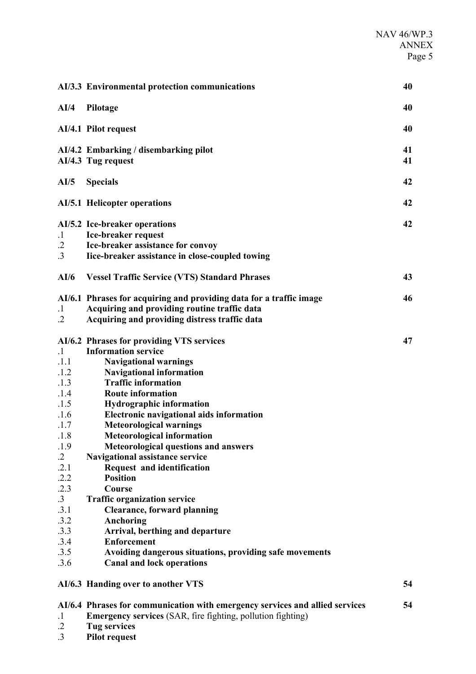|                                                                                                                                                                                     | AI/3.3 Environmental protection communications                                                                                                                                                                                                                                                                                                                                                                                                                                                                                                                                                                                                                                                                                                                   | 40       |
|-------------------------------------------------------------------------------------------------------------------------------------------------------------------------------------|------------------------------------------------------------------------------------------------------------------------------------------------------------------------------------------------------------------------------------------------------------------------------------------------------------------------------------------------------------------------------------------------------------------------------------------------------------------------------------------------------------------------------------------------------------------------------------------------------------------------------------------------------------------------------------------------------------------------------------------------------------------|----------|
| AI/4                                                                                                                                                                                | Pilotage                                                                                                                                                                                                                                                                                                                                                                                                                                                                                                                                                                                                                                                                                                                                                         | 40       |
|                                                                                                                                                                                     | AI/4.1 Pilot request                                                                                                                                                                                                                                                                                                                                                                                                                                                                                                                                                                                                                                                                                                                                             | 40       |
|                                                                                                                                                                                     | AI/4.2 Embarking / disembarking pilot<br>AI/4.3 Tug request                                                                                                                                                                                                                                                                                                                                                                                                                                                                                                                                                                                                                                                                                                      | 41<br>41 |
| AI/5                                                                                                                                                                                | <b>Specials</b>                                                                                                                                                                                                                                                                                                                                                                                                                                                                                                                                                                                                                                                                                                                                                  | 42       |
|                                                                                                                                                                                     | <b>AI/5.1 Helicopter operations</b>                                                                                                                                                                                                                                                                                                                                                                                                                                                                                                                                                                                                                                                                                                                              | 42       |
| $\cdot$ 1<br>$\cdot$<br>$\cdot$ 3                                                                                                                                                   | AI/5.2 Ice-breaker operations<br>Ice-breaker request<br>Ice-breaker assistance for convoy<br>Iice-breaker assistance in close-coupled towing                                                                                                                                                                                                                                                                                                                                                                                                                                                                                                                                                                                                                     | 42       |
| AI/6                                                                                                                                                                                | <b>Vessel Traffic Service (VTS) Standard Phrases</b>                                                                                                                                                                                                                                                                                                                                                                                                                                                                                                                                                                                                                                                                                                             | 43       |
| $\cdot$<br>$\cdot$ .2                                                                                                                                                               | AI/6.1 Phrases for acquiring and providing data for a traffic image<br>Acquiring and providing routine traffic data<br>Acquiring and providing distress traffic data                                                                                                                                                                                                                                                                                                                                                                                                                                                                                                                                                                                             | 46       |
| $\cdot$ 1<br>.1.1<br>.1.2<br>.1.3<br>.1.4<br>.1.5<br>.1.6<br>.1.7<br>.1.8<br>.1.9<br>$\cdot$ 2<br>.2.1<br>.2.2<br>.2.3<br>$\cdot$ 3<br>.3.1<br>.3.2<br>.3.3<br>.3.4<br>.3.5<br>.3.6 | AI/6.2 Phrases for providing VTS services<br><b>Information service</b><br><b>Navigational warnings</b><br><b>Navigational information</b><br><b>Traffic information</b><br><b>Route information</b><br><b>Hydrographic information</b><br><b>Electronic navigational aids information</b><br><b>Meteorological warnings</b><br><b>Meteorological information</b><br><b>Meteorological questions and answers</b><br>Navigational assistance service<br>Request and identification<br><b>Position</b><br>Course<br><b>Traffic organization service</b><br><b>Clearance, forward planning</b><br>Anchoring<br>Arrival, berthing and departure<br><b>Enforcement</b><br>Avoiding dangerous situations, providing safe movements<br><b>Canal and lock operations</b> | 47       |
|                                                                                                                                                                                     | AI/6.3 Handing over to another VTS                                                                                                                                                                                                                                                                                                                                                                                                                                                                                                                                                                                                                                                                                                                               | 54       |
| $\cdot$ 1<br>$\cdot$ 2                                                                                                                                                              | AI/6.4 Phrases for communication with emergency services and allied services<br><b>Emergency services</b> (SAR, fire fighting, pollution fighting)<br><b>Tug services</b>                                                                                                                                                                                                                                                                                                                                                                                                                                                                                                                                                                                        | 54       |

.3 **Pilot request**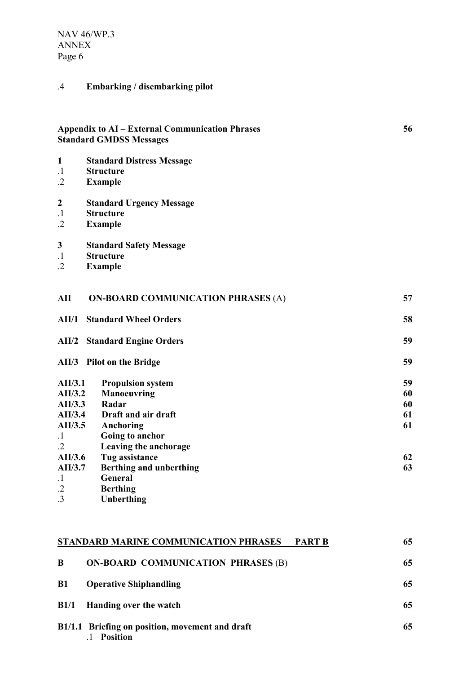# .4 **Embarking / disembarking pilot**

# **Appendix to AI – External Communication Phrases 56 Standard GMDSS Messages**

- **1 Standard Distress Message**
- .1 **Structure**
- **Example**
- **2 Standard Urgency Message**
- .1 **Structure**
- **Example**
- **3 Standard Safety Message**
- .1 **Structure**
- .2 **Example**

| AII        | <b>ON-BOARD COMMUNICATION PHRASES (A)</b> | 57 |
|------------|-------------------------------------------|----|
| AII/1      | <b>Standard Wheel Orders</b>              | 58 |
| AII/2      | <b>Standard Engine Orders</b>             | 59 |
|            | AII/3 Pilot on the Bridge                 | 59 |
| AII/3.1    | <b>Propulsion system</b>                  | 59 |
| AII/3.2    | <b>Manoeuvring</b>                        | 60 |
| AII/3.3    | Radar                                     | 60 |
| AII/3.4    | Draft and air draft                       | 61 |
| AII/3.5    | Anchoring                                 | 61 |
| $\cdot$    | Going to anchor                           |    |
| $\cdot$ .2 | Leaving the anchorage                     |    |
| AII/3.6    | Tug assistance                            | 62 |
| AII/3.7    | Berthing and unberthing                   | 63 |
| $\cdot$ 1  | General                                   |    |
| $\cdot$    | <b>Berthing</b>                           |    |
| $\cdot$ 3  | Unberthing                                |    |
|            |                                           |    |

|           | STANDARD MARINE COMMUNICATION PHRASES<br><b>PART B</b>             | 65 |
|-----------|--------------------------------------------------------------------|----|
| B         | <b>ON-BOARD COMMUNICATION PHRASES (B)</b>                          | 65 |
| <b>B1</b> | <b>Operative Shiphandling</b>                                      | 65 |
|           | B1/1 Handing over the watch                                        | 65 |
|           | B1/1.1 Briefing on position, movement and draft<br><b>Position</b> | 65 |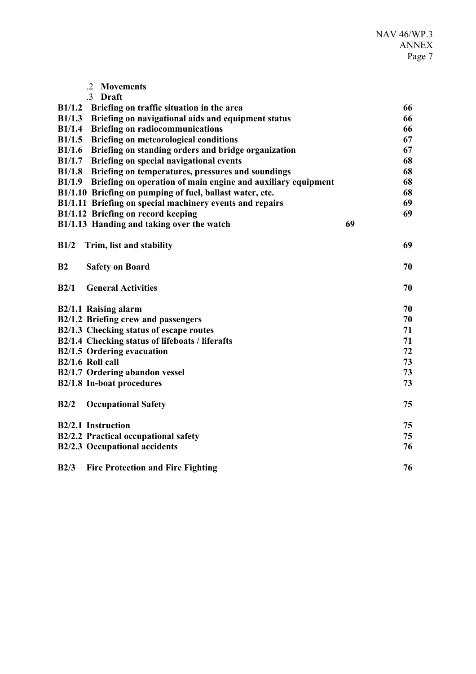|                | $\cdot$ 2<br><b>Movements</b>                                       |    |    |
|----------------|---------------------------------------------------------------------|----|----|
|                | .3 Draft                                                            |    |    |
| B1/1.2         | Briefing on traffic situation in the area                           |    | 66 |
| B1/1.3         | Briefing on navigational aids and equipment status                  |    | 66 |
| B1/1.4         | <b>Briefing on radiocommunications</b>                              |    | 66 |
| B1/1.5         | <b>Briefing on meteorological conditions</b>                        |    | 67 |
| B1/1.6         | Briefing on standing orders and bridge organization                 |    | 67 |
|                | B1/1.7 Briefing on special navigational events                      |    | 68 |
|                | B1/1.8 Briefing on temperatures, pressures and soundings            |    | 68 |
|                | B1/1.9 Briefing on operation of main engine and auxiliary equipment |    | 68 |
|                | B1/1.10 Briefing on pumping of fuel, ballast water, etc.            |    | 68 |
|                | B1/1.11 Briefing on special machinery events and repairs            |    | 69 |
|                | B1/1.12 Briefing on record keeping                                  |    | 69 |
|                | B1/1.13 Handing and taking over the watch                           | 69 |    |
| B1/2           | Trim, list and stability                                            |    | 69 |
| B <sub>2</sub> | <b>Safety on Board</b>                                              |    | 70 |
| B2/1           | <b>General Activities</b>                                           |    | 70 |
|                | B2/1.1 Raising alarm                                                |    | 70 |
|                | B2/1.2 Briefing crew and passengers                                 |    | 70 |
|                | B2/1.3 Checking status of escape routes                             |    | 71 |
|                | B2/1.4 Checking status of lifeboats / liferafts                     |    | 71 |
|                | <b>B2/1.5 Ordering evacuation</b>                                   |    | 72 |
|                | B2/1.6 Roll call                                                    |    | 73 |
|                | B2/1.7 Ordering abandon vessel                                      |    | 73 |
|                | <b>B2/1.8 In-boat procedures</b>                                    |    | 73 |
| B2/2           | <b>Occupational Safety</b>                                          |    | 75 |
|                | B2/2.1 Instruction                                                  |    | 75 |
|                | B2/2.2 Practical occupational safety                                |    | 75 |
|                | <b>B2/2.3 Occupational accidents</b>                                |    | 76 |
| B2/3           | <b>Fire Protection and Fire Fighting</b>                            |    | 76 |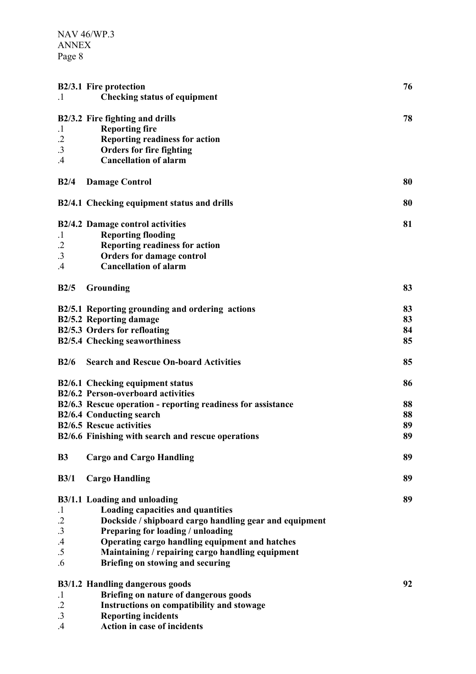|                 | <b>B2/3.1 Fire protection</b>                                | 76 |
|-----------------|--------------------------------------------------------------|----|
| $\cdot$ 1       | <b>Checking status of equipment</b>                          |    |
|                 |                                                              |    |
|                 | B2/3.2 Fire fighting and drills                              | 78 |
| $\cdot$         | <b>Reporting fire</b>                                        |    |
| $\cdot$         | <b>Reporting readiness for action</b>                        |    |
| $\cdot$ 3       | <b>Orders for fire fighting</b>                              |    |
| .4              | <b>Cancellation of alarm</b>                                 |    |
| B2/4            | <b>Damage Control</b>                                        | 80 |
|                 |                                                              |    |
|                 | B2/4.1 Checking equipment status and drills                  | 80 |
|                 |                                                              |    |
|                 | <b>B2/4.2 Damage control activities</b>                      | 81 |
| $\cdot$ 1       | <b>Reporting flooding</b>                                    |    |
| $\cdot$         | <b>Reporting readiness for action</b>                        |    |
| $\cdot$ 3       | <b>Orders for damage control</b>                             |    |
| .4              | <b>Cancellation of alarm</b>                                 |    |
|                 |                                                              |    |
| B2/5            | Grounding                                                    | 83 |
|                 | B2/5.1 Reporting grounding and ordering actions              | 83 |
|                 | <b>B2/5.2 Reporting damage</b>                               | 83 |
|                 | B2/5.3 Orders for refloating                                 | 84 |
|                 | <b>B2/5.4 Checking seaworthiness</b>                         | 85 |
|                 |                                                              |    |
| B2/6            | <b>Search and Rescue On-board Activities</b>                 | 85 |
|                 |                                                              |    |
|                 | B2/6.1 Checking equipment status                             | 86 |
|                 | <b>B2/6.2 Person-overboard activities</b>                    |    |
|                 | B2/6.3 Rescue operation - reporting readiness for assistance | 88 |
|                 | <b>B2/6.4 Conducting search</b>                              | 88 |
|                 | <b>B2/6.5 Rescue activities</b>                              | 89 |
|                 | B2/6.6 Finishing with search and rescue operations           | 89 |
|                 |                                                              | 89 |
| <b>B3</b>       | <b>Cargo and Cargo Handling</b>                              |    |
| B3/1            | <b>Cargo Handling</b>                                        | 89 |
|                 |                                                              |    |
|                 | <b>B3/1.1 Loading and unloading</b>                          | 89 |
| $\cdot$ 1       | Loading capacities and quantities                            |    |
| $\cdot$         | Dockside / shipboard cargo handling gear and equipment       |    |
| .3              | Preparing for loading / unloading                            |    |
| $\mathcal{A}$   | Operating cargo handling equipment and hatches               |    |
| $\overline{.5}$ | Maintaining / repairing cargo handling equipment             |    |
| .6              | Briefing on stowing and securing                             |    |
|                 |                                                              |    |
|                 | <b>B3/1.2 Handling dangerous goods</b>                       | 92 |
| $\cdot$ 1       | Briefing on nature of dangerous goods                        |    |
| $\cdot$         | Instructions on compatibility and stowage                    |    |
| .3              | <b>Reporting incidents</b>                                   |    |
| .4              | Action in case of incidents                                  |    |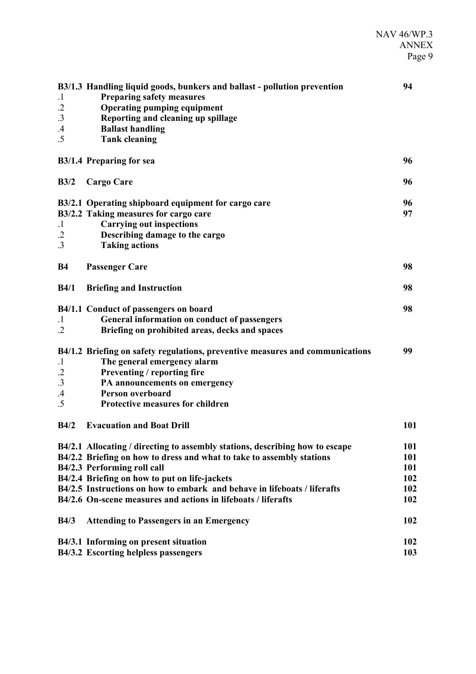| $\cdot$<br>$\cdot$<br>$\cdot$ 3<br>$.4\,$<br>.5 | B3/1.3 Handling liquid goods, bunkers and ballast - pollution prevention<br><b>Preparing safety measures</b><br><b>Operating pumping equipment</b><br>Reporting and cleaning up spillage<br><b>Ballast handling</b><br><b>Tank cleaning</b>                                                                                                                                        | 94                                     |
|-------------------------------------------------|------------------------------------------------------------------------------------------------------------------------------------------------------------------------------------------------------------------------------------------------------------------------------------------------------------------------------------------------------------------------------------|----------------------------------------|
|                                                 | B3/1.4 Preparing for sea                                                                                                                                                                                                                                                                                                                                                           | 96                                     |
| B3/2                                            | <b>Cargo Care</b>                                                                                                                                                                                                                                                                                                                                                                  | 96                                     |
| $\cdot$ 1<br>$\cdot$<br>3                       | B3/2.1 Operating shipboard equipment for cargo care<br>B3/2.2 Taking measures for cargo care<br><b>Carrying out inspections</b><br>Describing damage to the cargo<br><b>Taking actions</b>                                                                                                                                                                                         | 96<br>97                               |
| <b>B4</b>                                       | <b>Passenger Care</b>                                                                                                                                                                                                                                                                                                                                                              | 98                                     |
| B4/1                                            | <b>Briefing and Instruction</b>                                                                                                                                                                                                                                                                                                                                                    | 98                                     |
| $\cdot$ 1<br>$\cdot$                            | B4/1.1 Conduct of passengers on board<br>General information on conduct of passengers<br>Briefing on prohibited areas, decks and spaces                                                                                                                                                                                                                                            | 98                                     |
| $\cdot$<br>$\cdot$<br>.3<br>$\mathcal{A}$<br>.5 | B4/1.2 Briefing on safety regulations, preventive measures and communications<br>The general emergency alarm<br>Preventing / reporting fire<br>PA announcements on emergency<br>Person overboard<br><b>Protective measures for children</b>                                                                                                                                        | 99                                     |
| B4/2                                            | <b>Evacuation and Boat Drill</b>                                                                                                                                                                                                                                                                                                                                                   | 101                                    |
|                                                 | B4/2.1 Allocating / directing to assembly stations, describing how to escape<br>B4/2.2 Briefing on how to dress and what to take to assembly stations<br>B4/2.3 Performing roll call<br>B4/2.4 Briefing on how to put on life-jackets<br>B4/2.5 Instructions on how to embark and behave in lifeboats / liferafts<br>B4/2.6 On-scene measures and actions in lifeboats / liferafts | 101<br>101<br>101<br>102<br>102<br>102 |
| B4/3                                            | <b>Attending to Passengers in an Emergency</b>                                                                                                                                                                                                                                                                                                                                     | 102                                    |
|                                                 | B4/3.1 Informing on present situation<br>B4/3.2 Escorting helpless passengers                                                                                                                                                                                                                                                                                                      | 102<br>103                             |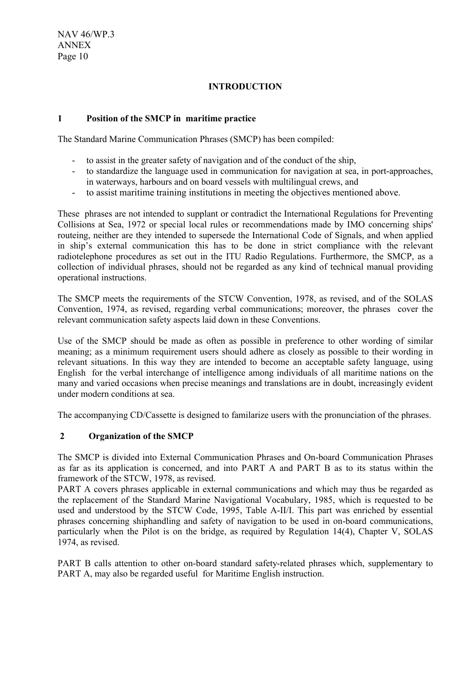## **INTRODUCTION**

#### **1 Position of the SMCP in maritime practice**

The Standard Marine Communication Phrases (SMCP) has been compiled:

- to assist in the greater safety of navigation and of the conduct of the ship,
- to standardize the language used in communication for navigation at sea, in port-approaches, in waterways, harbours and on board vessels with multilingual crews, and
- to assist maritime training institutions in meeting the objectives mentioned above.

These phrases are not intended to supplant or contradict the International Regulations for Preventing Collisions at Sea, 1972 or special local rules or recommendations made by IMO concerning ships' routeing, neither are they intended to supersede the International Code of Signals, and when applied in ship's external communication this has to be done in strict compliance with the relevant radiotelephone procedures as set out in the ITU Radio Regulations. Furthermore, the SMCP, as a collection of individual phrases, should not be regarded as any kind of technical manual providing operational instructions.

The SMCP meets the requirements of the STCW Convention, 1978, as revised, and of the SOLAS Convention, 1974, as revised, regarding verbal communications; moreover, the phrases cover the relevant communication safety aspects laid down in these Conventions.

Use of the SMCP should be made as often as possible in preference to other wording of similar meaning; as a minimum requirement users should adhere as closely as possible to their wording in relevant situations. In this way they are intended to become an acceptable safety language, using English for the verbal interchange of intelligence among individuals of all maritime nations on the many and varied occasions when precise meanings and translations are in doubt, increasingly evident under modern conditions at sea.

The accompanying CD/Cassette is designed to familarize users with the pronunciation of the phrases.

#### **2 Organization of the SMCP**

The SMCP is divided into External Communication Phrases and On-board Communication Phrases as far as its application is concerned, and into PART A and PART B as to its status within the framework of the STCW, 1978, as revised.

PART A covers phrases applicable in external communications and which may thus be regarded as the replacement of the Standard Marine Navigational Vocabulary, 1985, which is requested to be used and understood by the STCW Code, 1995, Table A-II/I. This part was enriched by essential phrases concerning shiphandling and safety of navigation to be used in on-board communications, particularly when the Pilot is on the bridge, as required by Regulation 14(4), Chapter V, SOLAS 1974, as revised.

PART B calls attention to other on-board standard safety-related phrases which, supplementary to PART A, may also be regarded useful for Maritime English instruction.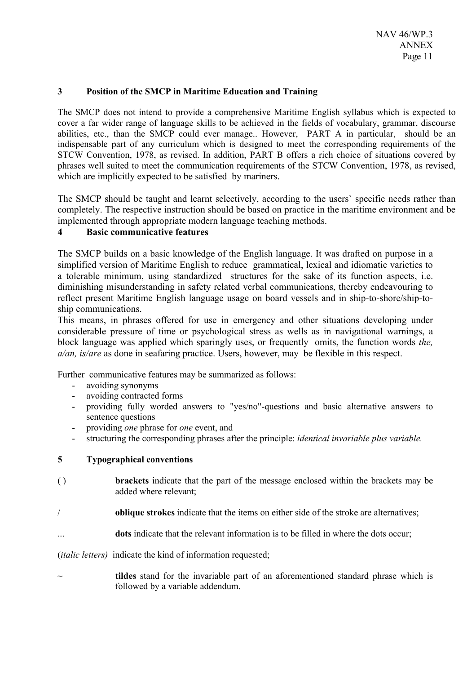#### **3 Position of the SMCP in Maritime Education and Training**

The SMCP does not intend to provide a comprehensive Maritime English syllabus which is expected to cover a far wider range of language skills to be achieved in the fields of vocabulary, grammar, discourse abilities, etc., than the SMCP could ever manage.. However, PART A in particular, should be an indispensable part of any curriculum which is designed to meet the corresponding requirements of the STCW Convention, 1978, as revised. In addition, PART B offers a rich choice of situations covered by phrases well suited to meet the communication requirements of the STCW Convention, 1978, as revised, which are implicitly expected to be satisfied by mariners.

The SMCP should be taught and learnt selectively, according to the users` specific needs rather than completely. The respective instruction should be based on practice in the maritime environment and be implemented through appropriate modern language teaching methods.

## **4 Basic communicative features**

The SMCP builds on a basic knowledge of the English language. It was drafted on purpose in a simplified version of Maritime English to reduce grammatical, lexical and idiomatic varieties to a tolerable minimum, using standardized structures for the sake of its function aspects, i.e. diminishing misunderstanding in safety related verbal communications, thereby endeavouring to reflect present Maritime English language usage on board vessels and in ship-to-shore/ship-toship communications.

This means, in phrases offered for use in emergency and other situations developing under considerable pressure of time or psychological stress as wells as in navigational warnings, a block language was applied which sparingly uses, or frequently omits, the function words *the, a/an, is/are* as done in seafaring practice. Users, however, may be flexible in this respect.

Further communicative features may be summarized as follows:

- avoiding synonyms
- avoiding contracted forms
- providing fully worded answers to "yes/no"-questions and basic alternative answers to sentence questions
- providing *one* phrase for *one* event, and
- structuring the corresponding phrases after the principle: *identical invariable plus variable.*

#### **5 Typographical conventions**

- ( ) **brackets** indicate that the part of the message enclosed within the brackets may be added where relevant;
- / **oblique strokes** indicate that the items on either side of the stroke are alternatives;
- ... **dots** indicate that the relevant information is to be filled in where the dots occur;

(*italic letters)* indicate the kind of information requested;

~ **tildes** stand for the invariable part of an aforementioned standard phrase which is followed by a variable addendum.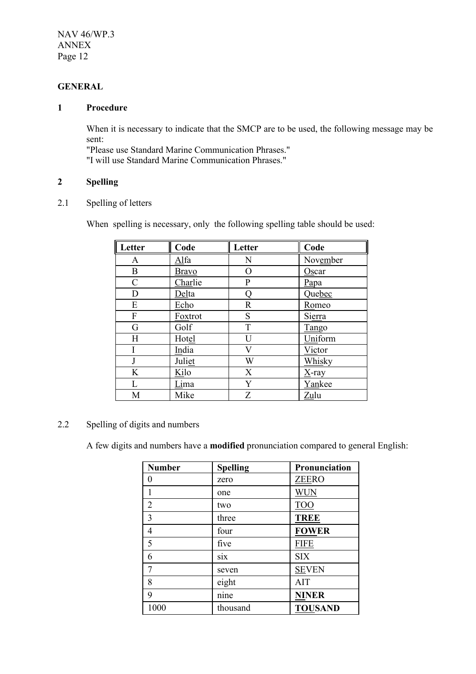# **GENERAL**

## **1 Procedure**

When it is necessary to indicate that the SMCP are to be used, the following message may be sent:

"Please use Standard Marine Communication Phrases." "I will use Standard Marine Communication Phrases."

# **2 Spelling**

#### 2.1 Spelling of letters

When spelling is necessary, only the following spelling table should be used:

| Letter        | Code         | Letter      | Code     |
|---------------|--------------|-------------|----------|
| $\mathbf{A}$  | Alfa         | N           | November |
| B             | <b>Bravo</b> | O           | Oscar    |
| $\mathcal{C}$ | Charlie      | P           | Papa     |
| D             | Delta        | Q           | Quebec   |
| E             | Echo         | $\mathbf R$ | Romeo    |
| F             | Foxtrot      | S           | Sierra   |
| G             | Golf         | T           | Tango    |
| H             | Hotel        | U           | Uniform  |
|               | India        | V           | Victor   |
| J             | Juliet       | W           | Whisky   |
| K             | Kilo         | X           | X-ray    |
| L             | Lima         | Y           | Yankee   |
| M             | Mike         | Z           | Zulu     |

# 2.2 Spelling of digits and numbers

A few digits and numbers have a **modified** pronunciation compared to general English:

| <b>Number</b>  | <b>Spelling</b> | Pronunciation  |
|----------------|-----------------|----------------|
| 0              | zero            | <b>ZEERO</b>   |
|                | one             | <b>WUN</b>     |
| $\overline{2}$ | two             | <b>TOO</b>     |
| 3              | three           | <b>TREE</b>    |
| 4              | four            | <b>FOWER</b>   |
| 5              | five            | <b>FIFE</b>    |
| 6              | six             | <b>SIX</b>     |
| 7              | seven           | <b>SEVEN</b>   |
| 8              | eight           | <b>AIT</b>     |
| 9              | nine            | <b>NINER</b>   |
| 1000           | thousand        | <b>TOUSAND</b> |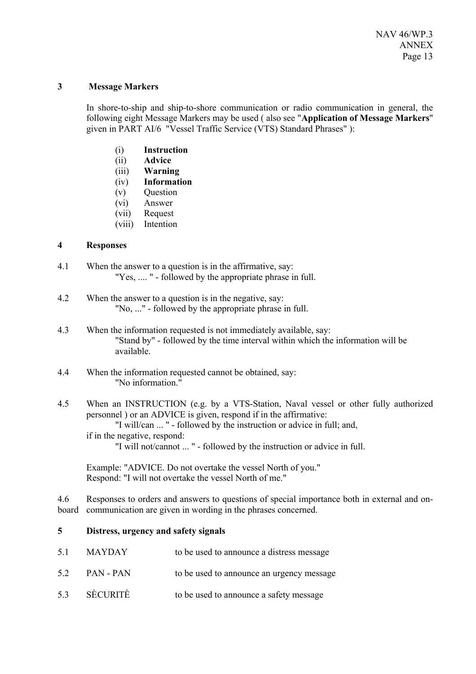#### **3 Message Markers**

In shore-to-ship and ship-to-shore communication or radio communication in general, the following eight Message Markers may be used ( also see "**Application of Message Markers**" given in PART AI/6 "Vessel Traffic Service (VTS) Standard Phrases" ):

- (i) **Instruction**
- (ii) **Advice**
- (iii) **Warning**
- (iv) **Information**
- (v) Question
- (vi) Answer
- (vii) Request
- (viii) Intention

#### **4 Responses**

- 4.1 When the answer to a question is in the affirmative, say: "Yes, .... " - followed by the appropriate phrase in full.
- 4.2 When the answer to a question is in the negative, say: "No, ..." - followed by the appropriate phrase in full.
- 4.3 When the information requested is not immediately available, say: "Stand by" - followed by the time interval within which the information will be available.
- 4.4 When the information requested cannot be obtained, say: "No information."
- 4.5 When an INSTRUCTION (e.g. by a VTS-Station, Naval vessel or other fully authorized personnel ) or an ADVICE is given, respond if in the affirmative: "I will/can ... " - followed by the instruction or advice in full; and, if in the negative, respond: "I will not/cannot ... " - followed by the instruction or advice in full.

Example: "ADVICE. Do not overtake the vessel North of you." Respond: "I will not overtake the vessel North of me."

4.6 Responses to orders and answers to questions of special importance both in external and onboard communication are given in wording in the phrases concerned.

#### **5 Distress, urgency and safety signals**

| 5.1 | MAYDAY    | to be used to announce a distress message |
|-----|-----------|-------------------------------------------|
| 5.2 | PAN - PAN | to be used to announce an urgency message |
| 5.3 | SÈCURITÈ  | to be used to announce a safety message   |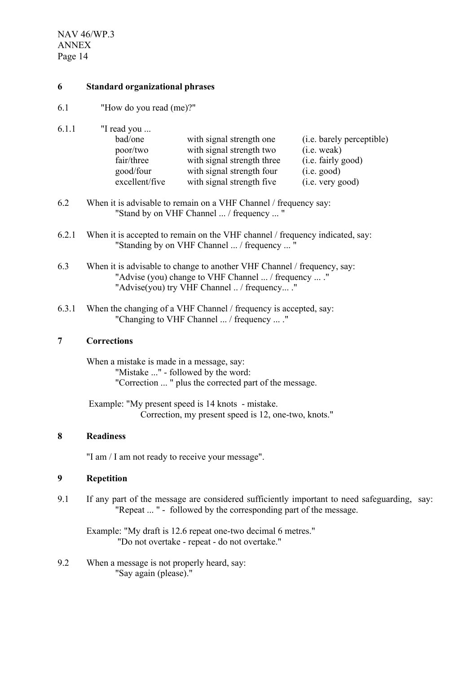#### **6 Standard organizational phrases**

6.1 "How do you read (me)?"

6.1.1 "I read you ...

| bad/one        | with signal strength one   | (i.e. barely perceptible) |
|----------------|----------------------------|---------------------------|
| poor/two       | with signal strength two   | (i.e. weak)               |
| fair/three     | with signal strength three | (i.e. fairly good)        |
| good/four      | with signal strength four  | (i.e. good)               |
| excellent/five | with signal strength five  | (i.e. very good)          |

- 6.2 When it is advisable to remain on a VHF Channel / frequency say: "Stand by on VHF Channel ... / frequency ... "
- 6.2.1 When it is accepted to remain on the VHF channel / frequency indicated, say: "Standing by on VHF Channel ... / frequency ... "
- 6.3 When it is advisable to change to another VHF Channel / frequency, say: "Advise (you) change to VHF Channel ... / frequency ... ." "Advise(you) try VHF Channel .. / frequency... ."
- 6.3.1 When the changing of a VHF Channel / frequency is accepted, say: "Changing to VHF Channel ... / frequency ... ."

## **7 Corrections**

When a mistake is made in a message, say: "Mistake ..." - followed by the word: "Correction ... " plus the corrected part of the message.

 Example: "My present speed is 14 knots - mistake. Correction, my present speed is 12, one-two, knots."

#### **8 Readiness**

"I am / I am not ready to receive your message".

#### **9 Repetition**

9.1 If any part of the message are considered sufficiently important to need safeguarding, say: "Repeat ... " - followed by the corresponding part of the message.

Example: "My draft is 12.6 repeat one-two decimal 6 metres." "Do not overtake - repeat - do not overtake."

9.2 When a message is not properly heard, say: "Say again (please)."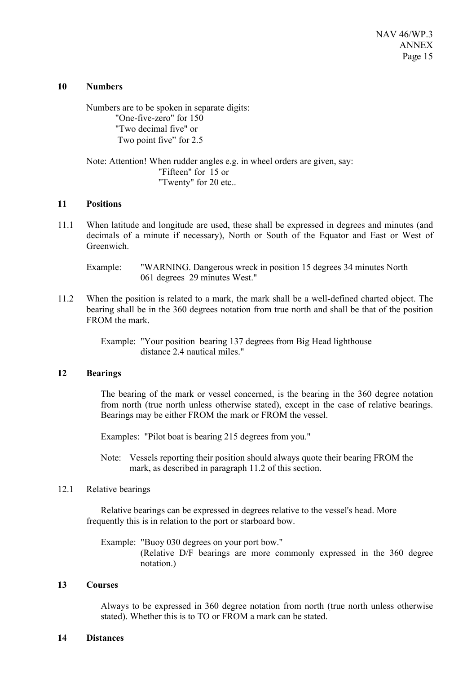#### **10 Numbers**

Numbers are to be spoken in separate digits: "One-five-zero" for 150 "Two decimal five" or Two point five" for 2.5

Note: Attention! When rudder angles e.g. in wheel orders are given, say: "Fifteen" for 15 or "Twenty" for 20 etc..

#### **11 Positions**

11.1 When latitude and longitude are used, these shall be expressed in degrees and minutes (and decimals of a minute if necessary), North or South of the Equator and East or West of Greenwich.

Example: "WARNING. Dangerous wreck in position 15 degrees 34 minutes North 061 degrees 29 minutes West."

11.2 When the position is related to a mark, the mark shall be a well-defined charted object. The bearing shall be in the 360 degrees notation from true north and shall be that of the position FROM the mark.

> Example: "Your position bearing 137 degrees from Big Head lighthouse distance 2.4 nautical miles."

#### **12 Bearings**

The bearing of the mark or vessel concerned, is the bearing in the 360 degree notation from north (true north unless otherwise stated), except in the case of relative bearings. Bearings may be either FROM the mark or FROM the vessel.

Examples: "Pilot boat is bearing 215 degrees from you."

Note: Vessels reporting their position should always quote their bearing FROM the mark, as described in paragraph 11.2 of this section.

#### 12.1 Relative bearings

Relative bearings can be expressed in degrees relative to the vessel's head. More frequently this is in relation to the port or starboard bow.

Example: "Buoy 030 degrees on your port bow." (Relative D/F bearings are more commonly expressed in the 360 degree notation.)

#### **13 Courses**

Always to be expressed in 360 degree notation from north (true north unless otherwise stated). Whether this is to TO or FROM a mark can be stated.

#### **14 Distances**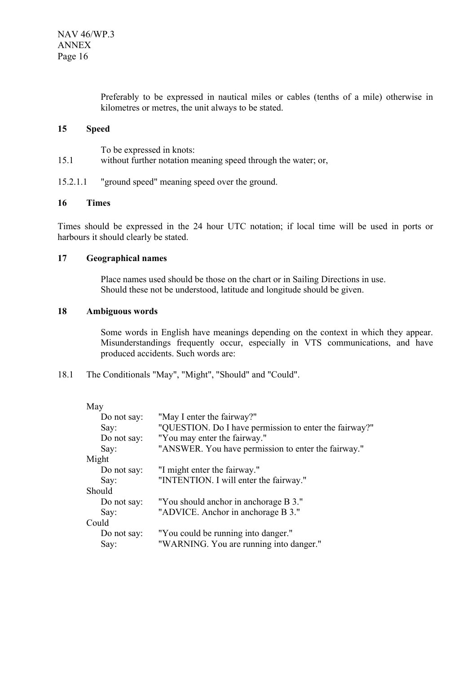Preferably to be expressed in nautical miles or cables (tenths of a mile) otherwise in kilometres or metres, the unit always to be stated.

#### **15 Speed**

To be expressed in knots:

- 15.1 without further notation meaning speed through the water; or,
- 15.2.1.1 "ground speed" meaning speed over the ground.

#### **16 Times**

Times should be expressed in the 24 hour UTC notation; if local time will be used in ports or harbours it should clearly be stated.

## **17 Geographical names**

Place names used should be those on the chart or in Sailing Directions in use. Should these not be understood, latitude and longitude should be given.

#### **18 Ambiguous words**

Some words in English have meanings depending on the context in which they appear. Misunderstandings frequently occur, especially in VTS communications, and have produced accidents. Such words are:

18.1 The Conditionals "May", "Might", "Should" and "Could".

| May         |                                                        |
|-------------|--------------------------------------------------------|
| Do not say: | "May I enter the fairway?"                             |
| Say:        | "QUESTION. Do I have permission to enter the fairway?" |
| Do not say: | "You may enter the fairway."                           |
| Say:        | "ANSWER. You have permission to enter the fairway."    |
| Might       |                                                        |
| Do not say: | "I might enter the fairway."                           |
| Say:        | "INTENTION. I will enter the fairway."                 |
| Should      |                                                        |
| Do not say: | "You should anchor in anchorage B 3."                  |
| Say:        | "ADVICE. Anchor in anchorage B 3."                     |
| Could       |                                                        |
| Do not say: | "You could be running into danger."                    |
| Say:        | "WARNING. You are running into danger."                |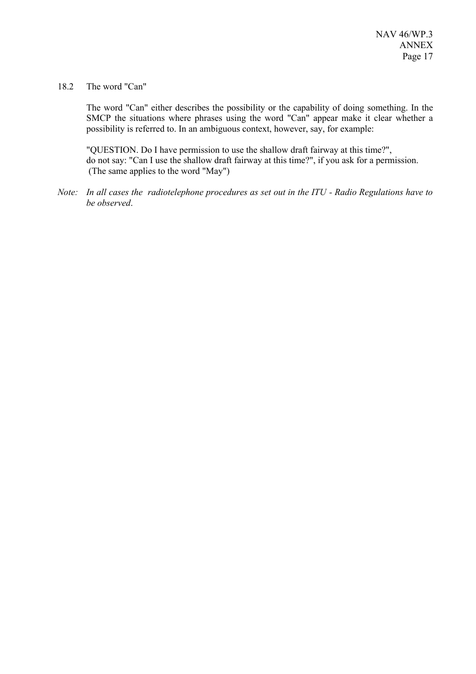#### 18.2 The word "Can"

The word "Can" either describes the possibility or the capability of doing something. In the SMCP the situations where phrases using the word "Can" appear make it clear whether a possibility is referred to. In an ambiguous context, however, say, for example:

"QUESTION. Do I have permission to use the shallow draft fairway at this time?", do not say: "Can I use the shallow draft fairway at this time?", if you ask for a permission. (The same applies to the word "May")

*Note: In all cases the radiotelephone procedures as set out in the ITU - Radio Regulations have to be observed*.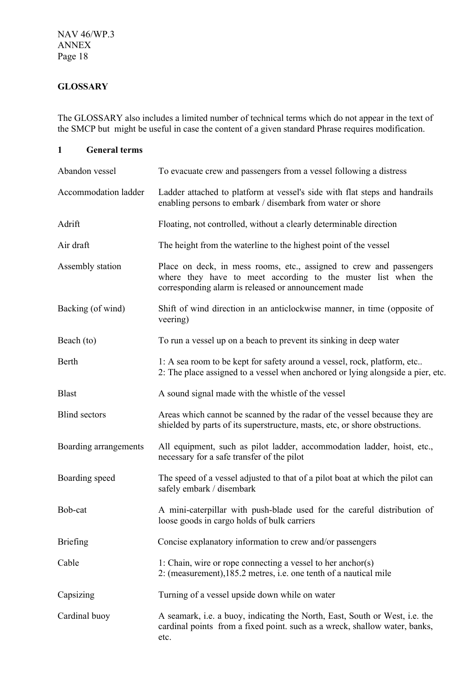# **GLOSSARY**

The GLOSSARY also includes a limited number of technical terms which do not appear in the text of the SMCP but might be useful in case the content of a given standard Phrase requires modification.

**1 General terms**

| Abandon vessel        | To evacuate crew and passengers from a vessel following a distress                                                                                                                           |
|-----------------------|----------------------------------------------------------------------------------------------------------------------------------------------------------------------------------------------|
| Accommodation ladder  | Ladder attached to platform at vessel's side with flat steps and handrails<br>enabling persons to embark / disembark from water or shore                                                     |
| Adrift                | Floating, not controlled, without a clearly determinable direction                                                                                                                           |
| Air draft             | The height from the waterline to the highest point of the vessel                                                                                                                             |
| Assembly station      | Place on deck, in mess rooms, etc., assigned to crew and passengers<br>where they have to meet according to the muster list when the<br>corresponding alarm is released or announcement made |
| Backing (of wind)     | Shift of wind direction in an anticlockwise manner, in time (opposite of<br>veering)                                                                                                         |
| Beach (to)            | To run a vessel up on a beach to prevent its sinking in deep water                                                                                                                           |
| Berth                 | 1: A sea room to be kept for safety around a vessel, rock, platform, etc<br>2: The place assigned to a vessel when anchored or lying alongside a pier, etc.                                  |
| <b>Blast</b>          | A sound signal made with the whistle of the vessel                                                                                                                                           |
| <b>Blind sectors</b>  | Areas which cannot be scanned by the radar of the vessel because they are<br>shielded by parts of its superstructure, masts, etc, or shore obstructions.                                     |
| Boarding arrangements | All equipment, such as pilot ladder, accommodation ladder, hoist, etc.,<br>necessary for a safe transfer of the pilot                                                                        |
| Boarding speed        | The speed of a vessel adjusted to that of a pilot boat at which the pilot can<br>safely embark / disembark                                                                                   |
| Bob-cat               | A mini-caterpillar with push-blade used for the careful distribution of<br>loose goods in cargo holds of bulk carriers                                                                       |
| <b>Briefing</b>       | Concise explanatory information to crew and/or passengers                                                                                                                                    |
| Cable                 | 1: Chain, wire or rope connecting a vessel to her anchor(s)<br>2: (measurement), 185.2 metres, i.e. one tenth of a nautical mile                                                             |
| Capsizing             | Turning of a vessel upside down while on water                                                                                                                                               |
| Cardinal buoy         | A seamark, i.e. a buoy, indicating the North, East, South or West, i.e. the<br>cardinal points from a fixed point. such as a wreck, shallow water, banks,<br>etc.                            |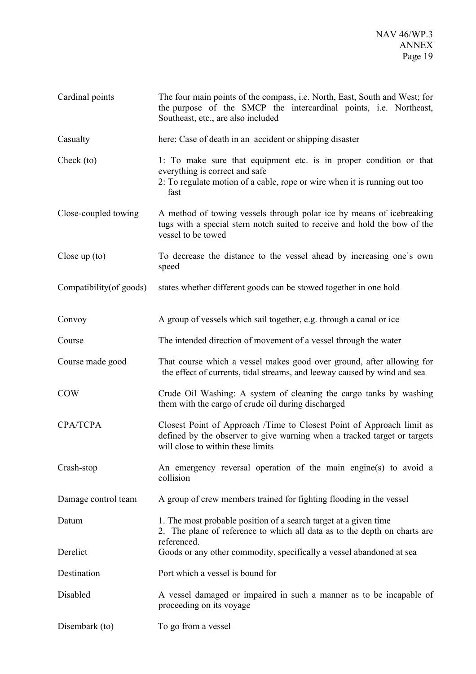| Cardinal points          | The four main points of the compass, i.e. North, East, South and West; for<br>the purpose of the SMCP the intercardinal points, i.e. Northeast,<br>Southeast, etc., are also included     |
|--------------------------|-------------------------------------------------------------------------------------------------------------------------------------------------------------------------------------------|
| Casualty                 | here: Case of death in an accident or shipping disaster                                                                                                                                   |
| Check (to)               | 1. To make sure that equipment etc. is in proper condition or that<br>everything is correct and safe<br>2. To regulate motion of a cable, rope or wire when it is running out too<br>fast |
| Close-coupled towing     | A method of towing vessels through polar ice by means of icebreaking<br>tugs with a special stern notch suited to receive and hold the bow of the<br>vessel to be towed                   |
| Close up $(to)$          | To decrease the distance to the vessel ahead by increasing one's own<br>speed                                                                                                             |
| Compatibility (of goods) | states whether different goods can be stowed together in one hold                                                                                                                         |
| Convoy                   | A group of vessels which sail together, e.g. through a canal or ice                                                                                                                       |
| Course                   | The intended direction of movement of a vessel through the water                                                                                                                          |
| Course made good         | That course which a vessel makes good over ground, after allowing for<br>the effect of currents, tidal streams, and leeway caused by wind and sea                                         |
| <b>COW</b>               | Crude Oil Washing: A system of cleaning the cargo tanks by washing<br>them with the cargo of crude oil during discharged                                                                  |
| <b>CPA/TCPA</b>          | Closest Point of Approach /Time to Closest Point of Approach limit as<br>defined by the observer to give warning when a tracked target or targets<br>will close to within these limits    |
| Crash-stop               | An emergency reversal operation of the main engine(s) to avoid a<br>collision                                                                                                             |
| Damage control team      | A group of crew members trained for fighting flooding in the vessel                                                                                                                       |
| Datum                    | 1. The most probable position of a search target at a given time<br>2. The plane of reference to which all data as to the depth on charts are<br>referenced.                              |
| Derelict                 | Goods or any other commodity, specifically a vessel abandoned at sea                                                                                                                      |
| Destination              | Port which a vessel is bound for                                                                                                                                                          |
| Disabled                 | A vessel damaged or impaired in such a manner as to be incapable of<br>proceeding on its voyage                                                                                           |
| Disembark (to)           | To go from a vessel                                                                                                                                                                       |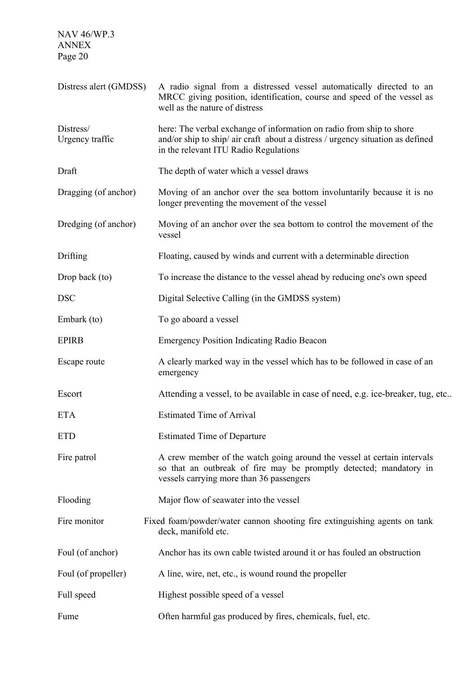| Distress alert (GMDSS)       | A radio signal from a distressed vessel automatically directed to an<br>MRCC giving position, identification, course and speed of the vessel as<br>well as the nature of distress               |
|------------------------------|-------------------------------------------------------------------------------------------------------------------------------------------------------------------------------------------------|
| Distress/<br>Urgency traffic | here: The verbal exchange of information on radio from ship to shore<br>and/or ship to ship/ air craft about a distress / urgency situation as defined<br>in the relevant ITU Radio Regulations |
| Draft                        | The depth of water which a vessel draws                                                                                                                                                         |
| Dragging (of anchor)         | Moving of an anchor over the sea bottom involuntarily because it is no<br>longer preventing the movement of the vessel                                                                          |
| Dredging (of anchor)         | Moving of an anchor over the sea bottom to control the movement of the<br>vessel                                                                                                                |
| Drifting                     | Floating, caused by winds and current with a determinable direction                                                                                                                             |
| Drop back (to)               | To increase the distance to the vessel ahead by reducing one's own speed                                                                                                                        |
| <b>DSC</b>                   | Digital Selective Calling (in the GMDSS system)                                                                                                                                                 |
| Embark (to)                  | To go aboard a vessel                                                                                                                                                                           |
| <b>EPIRB</b>                 | <b>Emergency Position Indicating Radio Beacon</b>                                                                                                                                               |
| Escape route                 | A clearly marked way in the vessel which has to be followed in case of an<br>emergency                                                                                                          |
| Escort                       | Attending a vessel, to be available in case of need, e.g. ice-breaker, tug, etc                                                                                                                 |
| <b>ETA</b>                   | <b>Estimated Time of Arrival</b>                                                                                                                                                                |
| <b>ETD</b>                   | <b>Estimated Time of Departure</b>                                                                                                                                                              |
| Fire patrol                  | A crew member of the watch going around the vessel at certain intervals<br>so that an outbreak of fire may be promptly detected; mandatory in<br>vessels carrying more than 36 passengers       |
| Flooding                     | Major flow of seawater into the vessel                                                                                                                                                          |
| Fire monitor                 | Fixed foam/powder/water cannon shooting fire extinguishing agents on tank<br>deck, manifold etc.                                                                                                |
| Foul (of anchor)             | Anchor has its own cable twisted around it or has fouled an obstruction                                                                                                                         |
| Foul (of propeller)          | A line, wire, net, etc., is wound round the propeller                                                                                                                                           |
| Full speed                   | Highest possible speed of a vessel                                                                                                                                                              |
| Fume                         | Often harmful gas produced by fires, chemicals, fuel, etc.                                                                                                                                      |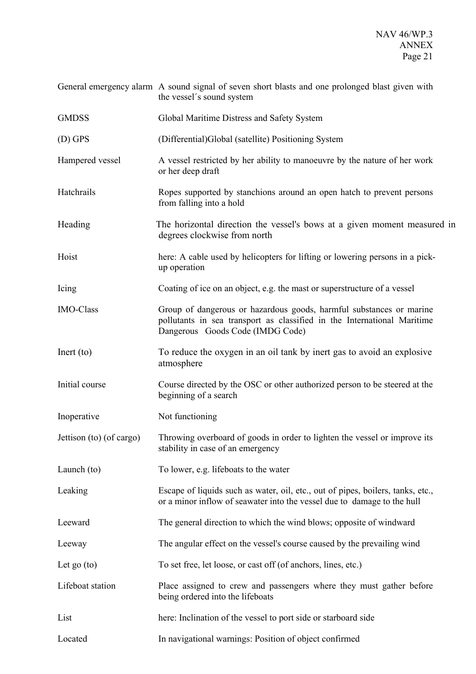|                          | General emergency alarm A sound signal of seven short blasts and one prolonged blast given with<br>the vessel's sound system                                                       |
|--------------------------|------------------------------------------------------------------------------------------------------------------------------------------------------------------------------------|
| <b>GMDSS</b>             | Global Maritime Distress and Safety System                                                                                                                                         |
| $(D)$ GPS                | (Differential)Global (satellite) Positioning System                                                                                                                                |
| Hampered vessel          | A vessel restricted by her ability to manoeuvre by the nature of her work<br>or her deep draft                                                                                     |
| Hatchrails               | Ropes supported by stanchions around an open hatch to prevent persons<br>from falling into a hold                                                                                  |
| Heading                  | The horizontal direction the vessel's bows at a given moment measured in<br>degrees clockwise from north                                                                           |
| Hoist                    | here: A cable used by helicopters for lifting or lowering persons in a pick-<br>up operation                                                                                       |
| Icing                    | Coating of ice on an object, e.g. the mast or superstructure of a vessel                                                                                                           |
| <b>IMO-Class</b>         | Group of dangerous or hazardous goods, harmful substances or marine<br>pollutants in sea transport as classified in the International Maritime<br>Dangerous Goods Code (IMDG Code) |
| Inert (to)               | To reduce the oxygen in an oil tank by inert gas to avoid an explosive<br>atmosphere                                                                                               |
| Initial course           | Course directed by the OSC or other authorized person to be steered at the<br>beginning of a search                                                                                |
| Inoperative              | Not functioning                                                                                                                                                                    |
| Jettison (to) (of cargo) | Throwing overboard of goods in order to lighten the vessel or improve its<br>stability in case of an emergency                                                                     |
| Launch (to)              | To lower, e.g. lifeboats to the water                                                                                                                                              |
| Leaking                  | Escape of liquids such as water, oil, etc., out of pipes, boilers, tanks, etc.,<br>or a minor inflow of seawater into the vessel due to damage to the hull                         |
| Leeward                  | The general direction to which the wind blows; opposite of windward                                                                                                                |
| Leeway                   | The angular effect on the vessel's course caused by the prevailing wind                                                                                                            |
| Let go $(to)$            | To set free, let loose, or cast off (of anchors, lines, etc.)                                                                                                                      |
| Lifeboat station         | Place assigned to crew and passengers where they must gather before<br>being ordered into the lifeboats                                                                            |
| List                     | here: Inclination of the vessel to port side or starboard side                                                                                                                     |
| Located                  | In navigational warnings: Position of object confirmed                                                                                                                             |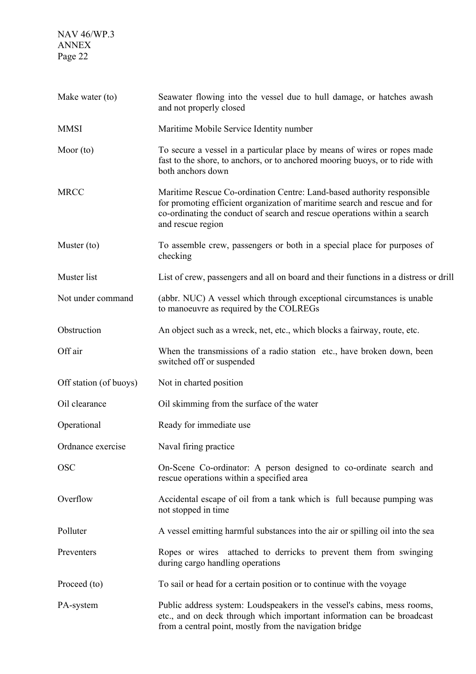| Make water (to)        | Seawater flowing into the vessel due to hull damage, or hatches awash<br>and not properly closed                                                                                                                                                       |
|------------------------|--------------------------------------------------------------------------------------------------------------------------------------------------------------------------------------------------------------------------------------------------------|
| <b>MMSI</b>            | Maritime Mobile Service Identity number                                                                                                                                                                                                                |
| Moor $(to)$            | To secure a vessel in a particular place by means of wires or ropes made<br>fast to the shore, to anchors, or to anchored mooring buoys, or to ride with<br>both anchors down                                                                          |
| <b>MRCC</b>            | Maritime Rescue Co-ordination Centre: Land-based authority responsible<br>for promoting efficient organization of maritime search and rescue and for<br>co-ordinating the conduct of search and rescue operations within a search<br>and rescue region |
| Muster $(to)$          | To assemble crew, passengers or both in a special place for purposes of<br>checking                                                                                                                                                                    |
| Muster list            | List of crew, passengers and all on board and their functions in a distress or drill                                                                                                                                                                   |
| Not under command      | (abbr. NUC) A vessel which through exceptional circumstances is unable<br>to manoeuvre as required by the COLREGs                                                                                                                                      |
| Obstruction            | An object such as a wreck, net, etc., which blocks a fairway, route, etc.                                                                                                                                                                              |
| Off air                | When the transmissions of a radio station etc., have broken down, been<br>switched off or suspended                                                                                                                                                    |
| Off station (of buoys) | Not in charted position                                                                                                                                                                                                                                |
| Oil clearance          | Oil skimming from the surface of the water                                                                                                                                                                                                             |
| Operational            | Ready for immediate use                                                                                                                                                                                                                                |
| Ordnance exercise      | Naval firing practice                                                                                                                                                                                                                                  |
| <b>OSC</b>             | On-Scene Co-ordinator: A person designed to co-ordinate search and<br>rescue operations within a specified area                                                                                                                                        |
| Overflow               | Accidental escape of oil from a tank which is full because pumping was<br>not stopped in time                                                                                                                                                          |
| Polluter               | A vessel emitting harmful substances into the air or spilling oil into the sea                                                                                                                                                                         |
| Preventers             | Ropes or wires attached to derricks to prevent them from swinging<br>during cargo handling operations                                                                                                                                                  |
| Proceed (to)           | To sail or head for a certain position or to continue with the voyage                                                                                                                                                                                  |
| PA-system              | Public address system: Loudspeakers in the vessel's cabins, mess rooms,<br>etc., and on deck through which important information can be broadcast<br>from a central point, mostly from the navigation bridge                                           |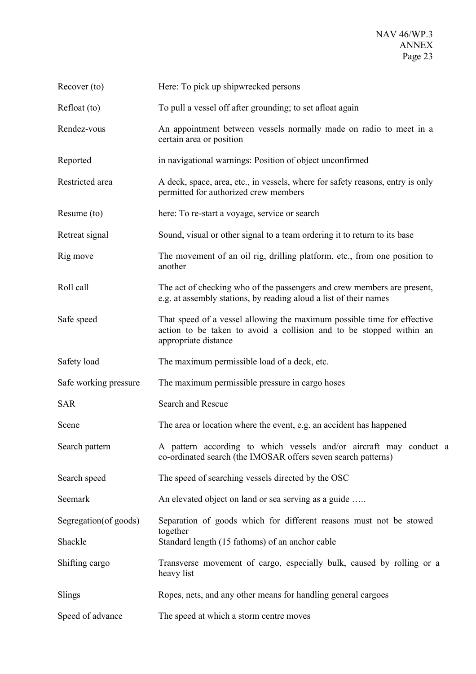| Recover (to)           | Here: To pick up shipwrecked persons                                                                                                                                   |
|------------------------|------------------------------------------------------------------------------------------------------------------------------------------------------------------------|
| Refloat (to)           | To pull a vessel off after grounding; to set afloat again                                                                                                              |
| Rendez-vous            | An appointment between vessels normally made on radio to meet in a<br>certain area or position                                                                         |
| Reported               | in navigational warnings: Position of object unconfirmed                                                                                                               |
| Restricted area        | A deck, space, area, etc., in vessels, where for safety reasons, entry is only<br>permitted for authorized crew members                                                |
| Resume (to)            | here: To re-start a voyage, service or search                                                                                                                          |
| Retreat signal         | Sound, visual or other signal to a team ordering it to return to its base                                                                                              |
| Rig move               | The movement of an oil rig, drilling platform, etc., from one position to<br>another                                                                                   |
| Roll call              | The act of checking who of the passengers and crew members are present,<br>e.g. at assembly stations, by reading aloud a list of their names                           |
| Safe speed             | That speed of a vessel allowing the maximum possible time for effective<br>action to be taken to avoid a collision and to be stopped within an<br>appropriate distance |
| Safety load            | The maximum permissible load of a deck, etc.                                                                                                                           |
| Safe working pressure  | The maximum permissible pressure in cargo hoses                                                                                                                        |
| <b>SAR</b>             | Search and Rescue                                                                                                                                                      |
| Scene                  | The area or location where the event, e.g. an accident has happened                                                                                                    |
| Search pattern         | A pattern according to which vessels and/or aircraft may conduct a<br>co-ordinated search (the IMOSAR offers seven search patterns)                                    |
| Search speed           | The speed of searching vessels directed by the OSC                                                                                                                     |
| Seemark                | An elevated object on land or sea serving as a guide                                                                                                                   |
| Segregation (of goods) | Separation of goods which for different reasons must not be stowed                                                                                                     |
| Shackle                | together<br>Standard length (15 fathoms) of an anchor cable                                                                                                            |
| Shifting cargo         | Transverse movement of cargo, especially bulk, caused by rolling or a<br>heavy list                                                                                    |
| Slings                 | Ropes, nets, and any other means for handling general cargoes                                                                                                          |
| Speed of advance       | The speed at which a storm centre moves                                                                                                                                |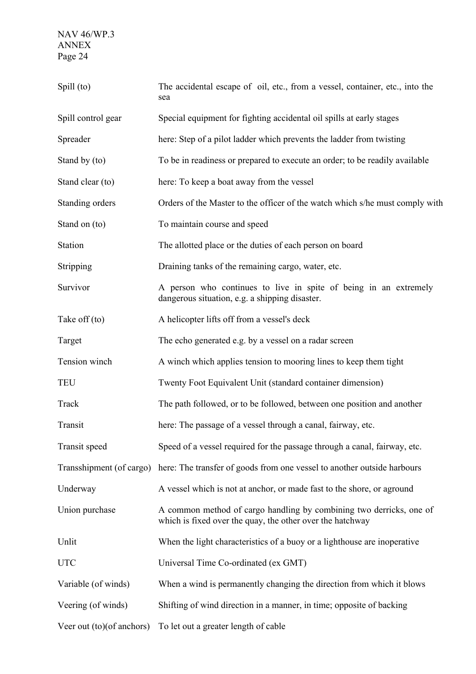| Spill (to)                | The accidental escape of oil, etc., from a vessel, container, etc., into the<br>sea                                              |
|---------------------------|----------------------------------------------------------------------------------------------------------------------------------|
| Spill control gear        | Special equipment for fighting accidental oil spills at early stages                                                             |
| Spreader                  | here: Step of a pilot ladder which prevents the ladder from twisting                                                             |
| Stand by (to)             | To be in readiness or prepared to execute an order; to be readily available                                                      |
| Stand clear (to)          | here: To keep a boat away from the vessel                                                                                        |
| Standing orders           | Orders of the Master to the officer of the watch which s/he must comply with                                                     |
| Stand on (to)             | To maintain course and speed                                                                                                     |
| Station                   | The allotted place or the duties of each person on board                                                                         |
| Stripping                 | Draining tanks of the remaining cargo, water, etc.                                                                               |
| Survivor                  | A person who continues to live in spite of being in an extremely<br>dangerous situation, e.g. a shipping disaster.               |
| Take off (to)             | A helicopter lifts off from a vessel's deck                                                                                      |
| Target                    | The echo generated e.g. by a vessel on a radar screen                                                                            |
| Tension winch             | A winch which applies tension to mooring lines to keep them tight                                                                |
| <b>TEU</b>                | Twenty Foot Equivalent Unit (standard container dimension)                                                                       |
| Track                     | The path followed, or to be followed, between one position and another                                                           |
| Transit                   | here: The passage of a vessel through a canal, fairway, etc.                                                                     |
| Transit speed             | Speed of a vessel required for the passage through a canal, fairway, etc.                                                        |
| Transshipment (of cargo)  | here: The transfer of goods from one vessel to another outside harbours                                                          |
| Underway                  | A vessel which is not at anchor, or made fast to the shore, or aground                                                           |
| Union purchase            | A common method of cargo handling by combining two derricks, one of<br>which is fixed over the quay, the other over the hatchway |
| Unlit                     | When the light characteristics of a buoy or a lighthouse are inoperative                                                         |
| <b>UTC</b>                | Universal Time Co-ordinated (ex GMT)                                                                                             |
| Variable (of winds)       | When a wind is permanently changing the direction from which it blows                                                            |
| Veering (of winds)        | Shifting of wind direction in a manner, in time; opposite of backing                                                             |
| Veer out (to)(of anchors) | To let out a greater length of cable                                                                                             |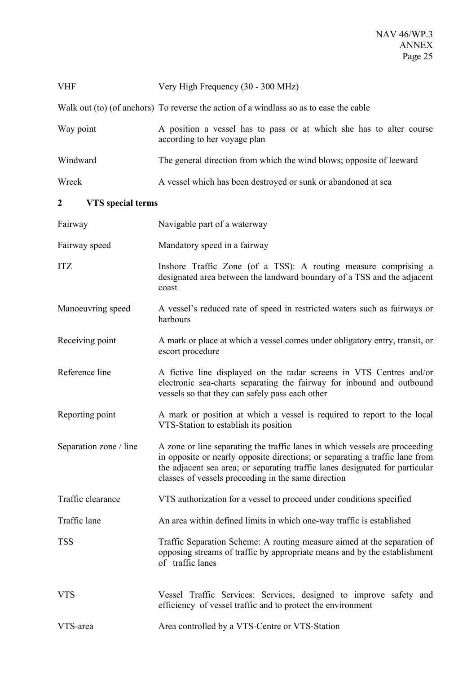| <b>VHF</b>                    | Very High Frequency (30 - 300 MHz)                                                                                                                                                                                                                                                                 |
|-------------------------------|----------------------------------------------------------------------------------------------------------------------------------------------------------------------------------------------------------------------------------------------------------------------------------------------------|
|                               | Walk out (to) (of anchors) To reverse the action of a windlass so as to ease the cable                                                                                                                                                                                                             |
| Way point                     | A position a vessel has to pass or at which she has to alter course<br>according to her voyage plan                                                                                                                                                                                                |
| Windward                      | The general direction from which the wind blows; opposite of leeward                                                                                                                                                                                                                               |
| Wreck                         | A vessel which has been destroyed or sunk or abandoned at sea                                                                                                                                                                                                                                      |
| <b>VTS</b> special terms<br>2 |                                                                                                                                                                                                                                                                                                    |
| Fairway                       | Navigable part of a waterway                                                                                                                                                                                                                                                                       |
| Fairway speed                 | Mandatory speed in a fairway                                                                                                                                                                                                                                                                       |
| <b>ITZ</b>                    | Inshore Traffic Zone (of a TSS): A routing measure comprising a<br>designated area between the landward boundary of a TSS and the adjacent<br>coast                                                                                                                                                |
| Manoeuvring speed             | A vessel's reduced rate of speed in restricted waters such as fairways or<br>harbours                                                                                                                                                                                                              |
| Receiving point               | A mark or place at which a vessel comes under obligatory entry, transit, or<br>escort procedure                                                                                                                                                                                                    |
| Reference line                | A fictive line displayed on the radar screens in VTS Centres and/or<br>electronic sea-charts separating the fairway for inbound and outbound<br>vessels so that they can safely pass each other                                                                                                    |
| Reporting point               | A mark or position at which a vessel is required to report to the local<br>VTS-Station to establish its position                                                                                                                                                                                   |
| Separation zone / line        | A zone or line separating the traffic lanes in which vessels are proceeding<br>in opposite or nearly opposite directions; or separating a traffic lane from<br>the adjacent sea area; or separating traffic lanes designated for particular<br>classes of vessels proceeding in the same direction |
| Traffic clearance             | VTS authorization for a vessel to proceed under conditions specified                                                                                                                                                                                                                               |
| Traffic lane                  | An area within defined limits in which one-way traffic is established                                                                                                                                                                                                                              |
| <b>TSS</b>                    | Traffic Separation Scheme: A routing measure aimed at the separation of<br>opposing streams of traffic by appropriate means and by the establishment<br>of traffic lanes                                                                                                                           |
| <b>VTS</b>                    | Vessel Traffic Services: Services, designed to improve safety and<br>efficiency of vessel traffic and to protect the environment                                                                                                                                                                   |
| VTS-area                      | Area controlled by a VTS-Centre or VTS-Station                                                                                                                                                                                                                                                     |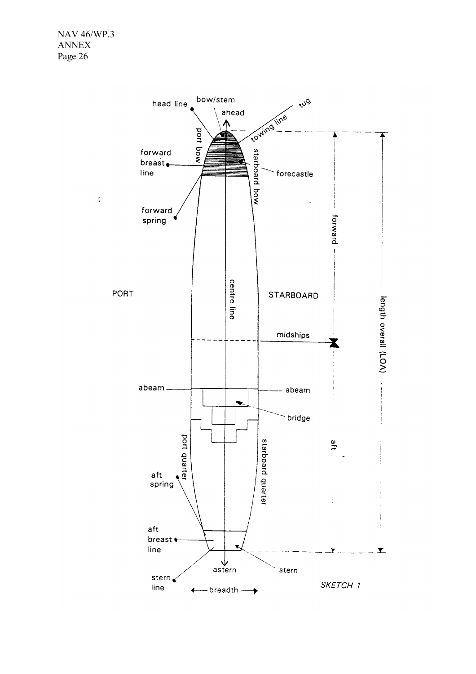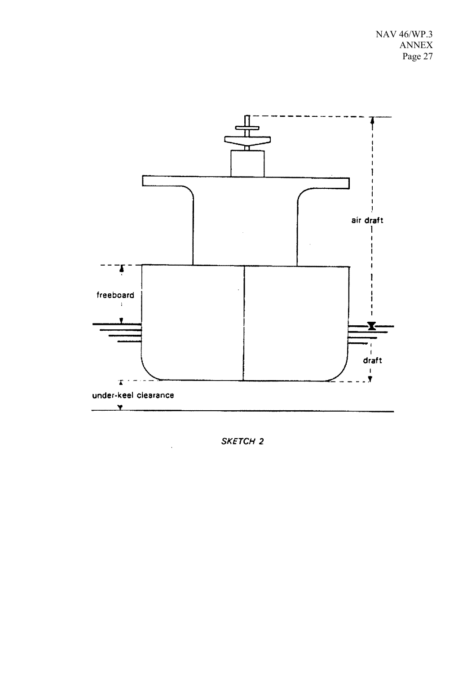

SKETCH<sub>2</sub>

J.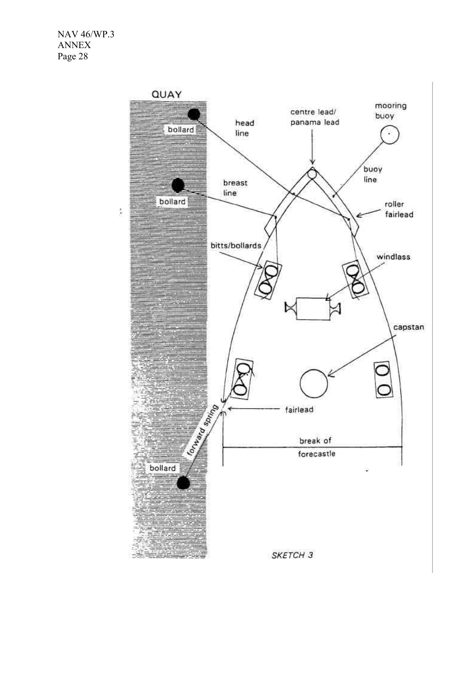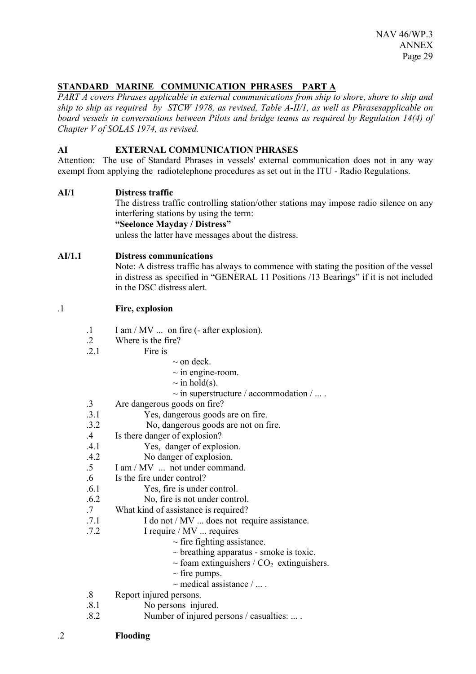# **STANDARD MARINE COMMUNICATION PHRASES PART A**

*PART A covers Phrases applicable in external communications from ship to shore, shore to ship and ship to ship as required by STCW 1978, as revised, Table A-II/1, as well as Phrasesapplicable on board vessels in conversations between Pilots and bridge teams as required by Regulation 14(4) of Chapter V of SOLAS 1974, as revised.* 

## **AI EXTERNAL COMMUNICATION PHRASES**

Attention: The use of Standard Phrases in vessels' external communication does not in any way exempt from applying the radiotelephone procedures as set out in the ITU - Radio Regulations.

#### **AI/1 Distress traffic**

The distress traffic controlling station/other stations may impose radio silence on any interfering stations by using the term:

# **"Seelonce Mayday / Distress"**

unless the latter have messages about the distress.

#### **AI/1.1 Distress communications**

Note: A distress traffic has always to commence with stating the position of the vessel in distress as specified in "GENERAL 11 Positions /13 Bearings" if it is not included in the DSC distress alert.

# .1 **Fire, explosion**

- .1 I am / MV ... on fire (- after explosion).
- .2 Where is the fire?
- 2.1 Fire is
- $\sim$  on deck.
- $\sim$  in engine-room.
- $\sim$  in hold(s).
- $\sim$  in superstructure / accommodation / ... .
- .3 Are dangerous goods on fire?
- .3.1 Yes, dangerous goods are on fire.
- .3.2 No, dangerous goods are not on fire.
- .4 Is there danger of explosion?
- .4.1 Yes, danger of explosion.
- .4.2 No danger of explosion.
- .5 I am / MV ... not under command.
- .6 Is the fire under control?
- .6.1 Yes, fire is under control.
- .6.2 No, fire is not under control.
- .7 What kind of assistance is required?
- .7.1 I do not / MV ... does not require assistance.
- .7.2 I require / MV ... requires
	- $\sim$  fire fighting assistance.
	- $\sim$  breathing apparatus smoke is toxic.
	- $\sim$  foam extinguishers / CO<sub>2</sub> extinguishers.
	- $\sim$  fire pumps.
	- $\sim$  medical assistance / ...
- .8 Report injured persons.
- .8.1 No persons injured.
- .8.2 Number of injured persons / casualties: ... .
- .2 **Flooding**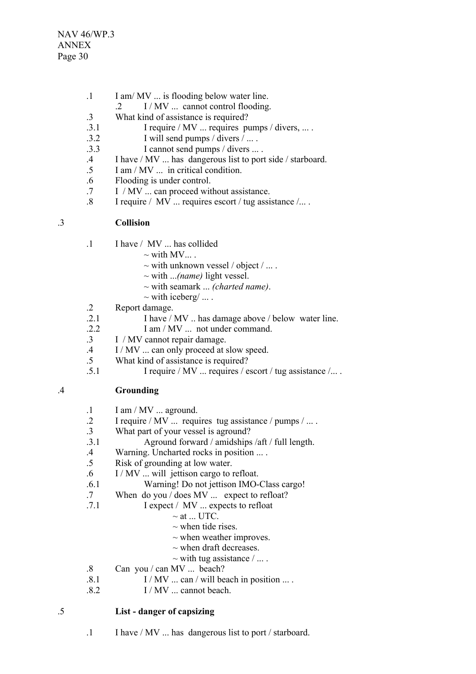- .1 I am/ MV ... is flooding below water line.
- .2 I / MV ... cannot control flooding.
- .3 What kind of assistance is required?
- $.3.1$  I require / MV ... requires pumps / divers, ...
- $.3.2$  I will send pumps / divers  $\overline{I}$ ...
- .3.3 I cannot send pumps / divers ... .
- .4 I have / MV ... has dangerous list to port side / starboard.
- .5 I am / MV ... in critical condition.
- .6 Flooding is under control.
- .7 I / MV ... can proceed without assistance.
- .8 I require / MV ... requires escort / tug assistance /... .

# .3 **Collision**

- .1 I have / MV ... has collided
	- $\sim$  with MV...
	- $\sim$  with unknown vessel / object / ...
	- ~ with ...*(name)* light vessel.
	- ~ with seamark ... *(charted name)*.
	- $\sim$  with iceberg/ ...
- .2 Report damage.
- .2.1 I have / MV .. has damage above / below water line.
- .2.2 I am / MV ... not under command.
- .3 I / MV cannot repair damage.
- .4 I / MV ... can only proceed at slow speed.
- .5 What kind of assistance is required?
- .5.1 I require / MV ... requires / escort / tug assistance /... .

# .4 **Grounding**

- $.1$  I am / MV  $\ldots$  aground.
- .2 I require / MV ... requires tug assistance / pumps / ... .
- .3 What part of your vessel is aground?
- .3.1 Aground forward / amidships /aft / full length.
- .4 Warning. Uncharted rocks in position ... .
- .5 Risk of grounding at low water.
- .6 I / MV ... will jettison cargo to refloat.
- .6.1 Warning! Do not jettison IMO-Class cargo!
- .7 When do you / does MV ... expect to refloat?
- .7.1 I expect / MV ... expects to refloat
	- $\sim$  at ... UTC.
	- $\sim$  when tide rises.
	- $\sim$  when weather improves.
	- $\sim$  when draft decreases.
	- $\sim$  with tug assistance  $/ \dots$ .
- .8 Can you / can MV ... beach?
- $.8.1$  I / MV ... can / will beach in position ... .
- $.8.2$  I / MV ... cannot beach.

- .5 **List danger of capsizing**
	- .1 I have / MV ... has dangerous list to port / starboard.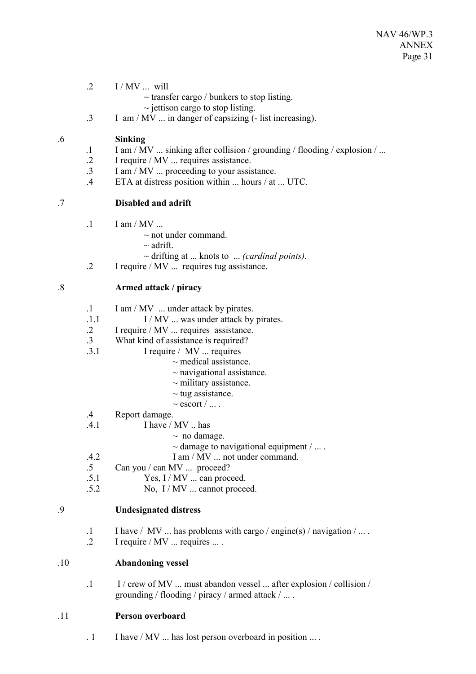- $.2 \qquad I/MV \dots$  will
	- $\sim$  transfer cargo / bunkers to stop listing.
	- $\sim$  jettison cargo to stop listing.
- .3 I am / MV ... in danger of capsizing (- list increasing).

# .6 **Sinking**

- .1 I am / MV ... sinking after collision / grounding / flooding / explosion / ...
- .2 I require / MV ... requires assistance.
- .3 I am / MV ... proceeding to your assistance.
- .4 ETA at distress position within ... hours / at ... UTC.

# .7 **Disabled and adrift**

- $1 \quad$  I am / MV ...
	- $\sim$  not under command.
	- $\sim$  adrift.
	- ~ drifting at ... knots to ... *(cardinal points).*
- .2 I require / MV ... requires tug assistance.

# .8 **Armed attack / piracy**

- .1 I am / MV ... under attack by pirates.
- .1.1 I / MV ... was under attack by pirates.
- .2 I require / MV ... requires assistance.
- .3 What kind of assistance is required?
- .3.1 I require / MV ... requires
	- $\sim$  medical assistance.
		- $\sim$  navigational assistance.
		- $\sim$  military assistance.
		- $\sim$  tug assistance.
	- $\sim$  escort  $/$  ...
- .4 Report damage.
- I have  $/$  MV  $\ldots$  has
	- $\sim$  no damage.
		- $\sim$  damage to navigational equipment / ...
- .4.2 I am / MV ... not under command.
- .5 Can you / can MV ... proceed?
- $.5.1$  Yes, I / MV ... can proceed.
- .5.2 No, I / MV ... cannot proceed.

# .9 **Undesignated distress**

- .1 I have / MV ... has problems with cargo / engine(s) / navigation / ... .
- .2 I require / MV ... requires ... .

#### .10 **Abandoning vessel**

.1 I / crew of MV ... must abandon vessel ... after explosion / collision / grounding / flooding / piracy / armed attack / ... .

# .11 **Person overboard**

. 1 I have / MV ... has lost person overboard in position ... .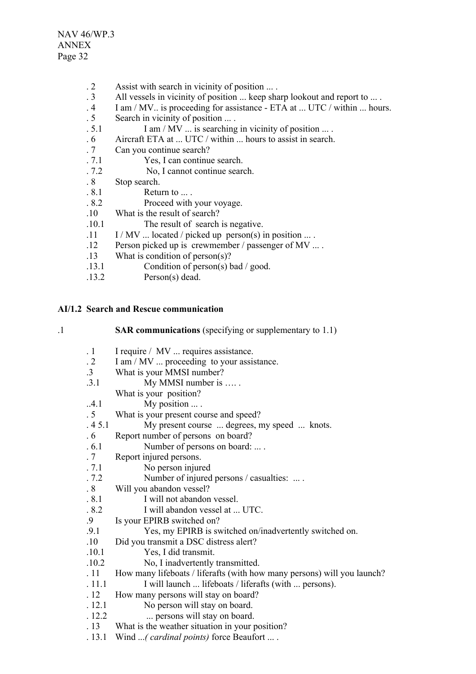- . 2 Assist with search in vicinity of position ... .
- . 3 All vessels in vicinity of position ... keep sharp lookout and report to ... .
- . 4 I am / MV.. is proceeding for assistance ETA at ... UTC / within ... hours.
- . 5 Search in vicinity of position ... .
- . 5.1 I am / MV ... is searching in vicinity of position ... .
- . 6 Aircraft ETA at ... UTC / within ... hours to assist in search.
- . 7 Can you continue search?
- . 7.1 Yes, I can continue search.
- . 7.2 No, I cannot continue search.
- . 8 Stop search.
- . 8.1 Return to ... .
- . 8.2 Proceed with your voyage.
- .10 What is the result of search?
- .10.1 The result of search is negative.
- $11$  I / MV ... located / picked up person(s) in position ... .
- .12 Person picked up is crewmember / passenger of MV ... .
- .13 What is condition of person(s)?
- .13.1 Condition of person(s) bad / good.
- .13.2 Person(s) dead.

# **AI/1.2 Search and Rescue communication**

|   | ٠ |
|---|---|
| I |   |

**SAR communications** (specifying or supplementary to 1.1)

| $\cdot$ 1       | I require / MV  requires assistance.                                    |
|-----------------|-------------------------------------------------------------------------|
| $\cdot$ 2       | I am / MV  proceeding to your assistance.                               |
| $\cdot$ 3       | What is your MMSI number?                                               |
| .3.1            | My MMSI number is                                                       |
|                 | What is your position?                                                  |
| .4.1            | My position $\dots$ .                                                   |
| .5              | What is your present course and speed?                                  |
| .45.1           | My present course  degrees, my speed  knots.                            |
| .6              | Report number of persons on board?                                      |
| .6.1            | Number of persons on board:  .                                          |
| .7              | Report injured persons.                                                 |
| .7.1            | No person injured                                                       |
| .7.2            | Number of injured persons / casualties:                                 |
| .8 <sub>1</sub> | Will you abandon vessel?                                                |
| .8.1            | I will not abandon vessel.                                              |
| .8.2            | I will abandon vessel at  UTC.                                          |
| 9.              | Is your EPIRB switched on?                                              |
| .9.1            | Yes, my EPIRB is switched on/inadvertently switched on.                 |
| .10             | Did you transmit a DSC distress alert?                                  |
| .10.1           | Yes, I did transmit.                                                    |
| .10.2           | No, I inadvertently transmitted.                                        |
| .11             | How many lifeboats / liferafts (with how many persons) will you launch? |
| . 11.1          | I will launch  lifeboats / liferafts (with  persons).                   |
| .12             | How many persons will stay on board?                                    |
| .12.1           | No person will stay on board.                                           |
| .12.2           | persons will stay on board.                                             |
| .13             | What is the weather situation in your position?                         |
| . 13.1          | Wind  ( <i>cardinal points</i> ) force Beaufort  .                      |
|                 |                                                                         |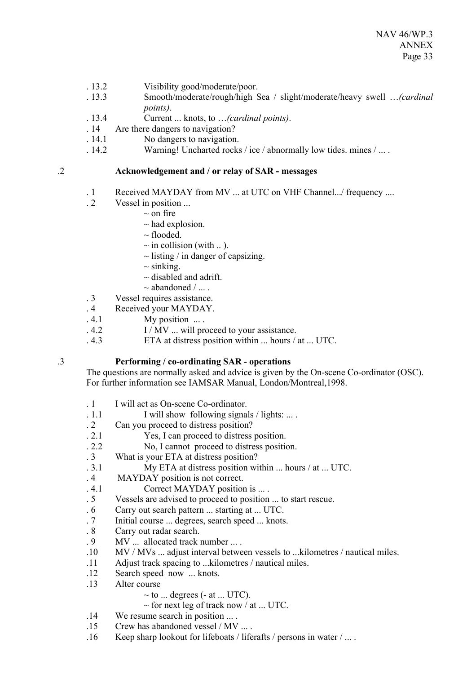- . 13.2 Visibility good/moderate/poor.
- . 13.3 Smooth/moderate/rough/high Sea / slight/moderate/heavy swell …*(cardinal points)*.
- . 13.4 Current ... knots, to …*(cardinal points)*.
- . 14 Are there dangers to navigation?
- . 14.1 No dangers to navigation.
- . 14.2 Warning! Uncharted rocks / ice / abnormally low tides. mines / ... .

#### .2 **Acknowledgement and / or relay of SAR - messages**

- . 1 Received MAYDAY from MV ... at UTC on VHF Channel.../ frequency ....
- . 2 Vessel in position ...
	- $\sim$  on fire
	- $\sim$  had explosion.
	- $\sim$  flooded.
	- $\sim$  in collision (with ...).
	- $\sim$  listing / in danger of capsizing.
	- $\sim$  sinking.
	- $\sim$  disabled and adrift.
	- $\sim$  abandoned /
- . 3 Vessel requires assistance.
- . 4 Received your MAYDAY.
- $.4.1$  My position  $\ldots$ .
- $1/MV$  ... will proceed to your assistance.
- . 4.3 ETA at distress position within ... hours / at ... UTC.

#### .3 **Performing / co-ordinating SAR - operations**

The questions are normally asked and advice is given by the On-scene Co-ordinator (OSC). For further information see IAMSAR Manual, London/Montreal,1998.

- . 1 I will act as On-scene Co-ordinator.
- $1.1$  I will show following signals / lights: ...
- . 2 Can you proceed to distress position?
- . 2.1 Yes, I can proceed to distress position.
- . 2.2 No, I cannot proceed to distress position.
- . 3 What is your ETA at distress position?
- . 3.1 My ETA at distress position within ... hours / at ... UTC.
- . 4 MAYDAY position is not correct.
- . 4.1 Correct MAYDAY position is ... .
- . 5 Vessels are advised to proceed to position ... to start rescue.
- . 6 Carry out search pattern ... starting at ... UTC.
- . 7 Initial course ... degrees, search speed ... knots.
- . 8 Carry out radar search.
- . 9 MV ... allocated track number ... .
- .10 MV / MVs ... adjust interval between vessels to ...kilometres / nautical miles.
- .11 Adjust track spacing to ...kilometres / nautical miles.
- .12 Search speed now ... knots.
- .13 Alter course
	- $\sim$  to ... degrees (- at ... UTC).
	- $\sim$  for next leg of track now / at ... UTC.
- .14 We resume search in position ... .
- .15 Crew has abandoned vessel / MV ... .
- .16 Keep sharp lookout for lifeboats / liferafts / persons in water / ... .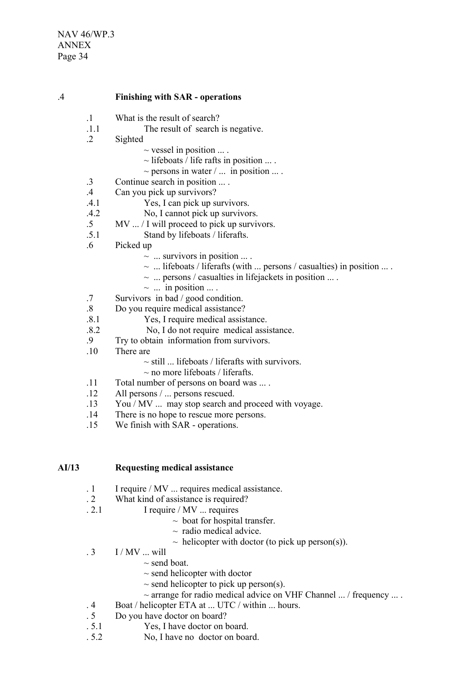#### .4 **Finishing with SAR - operations**

- .1 What is the result of search?
- .1.1 The result of search is negative.
- .2 Sighted
	- $\sim$  vessel in position ....
	- $\sim$  lifeboats / life rafts in position ... .
	- $\sim$  persons in water  $/ \dots$  in position  $\dots$ .
- .3 Continue search in position ... .
- .4 Can you pick up survivors?
- .4.1 Yes, I can pick up survivors.
- .4.2 No, I cannot pick up survivors.
- .5 MV ... / I will proceed to pick up survivors.
- .5.1 Stand by lifeboats / liferafts.
- .6 Picked up
	- $\sim$  ... survivors in position ....
	- $\sim$  ... lifeboats / liferafts (with ... persons / casualties) in position ... .
	- $\sim$  ... persons / casualties in lifejackets in position ...
	- $\sim$  ... in position ...
- .7 Survivors in bad / good condition.
- .8 Do you require medical assistance?
- .8.1 Yes, I require medical assistance.
- .8.2 No, I do not require medical assistance.
- .9 Try to obtain information from survivors.
- .10 There are
	- $\sim$  still ... lifeboats / liferafts with survivors.
	- $\sim$  no more lifeboats / liferafts.
- .11 Total number of persons on board was ... .
- .12 All persons / ... persons rescued.
- .13 You / MV ... may stop search and proceed with voyage.
- .14 There is no hope to rescue more persons.
- .15 We finish with SAR operations.

#### **AI/13 Requesting medical assistance**

- . 1 I require / MV ... requires medical assistance.
- . 2 What kind of assistance is required?
- . 2.1 I require / MV ... requires
	- $\sim$  boat for hospital transfer.
	- $\sim$  radio medical advice.
	- $\sim$  helicopter with doctor (to pick up person(s)).
- . 3 I / MV ... will
	- $\sim$  send boat.
	- $\sim$  send helicopter with doctor
	- $\sim$  send helicopter to pick up person(s).
	- $\sim$  arrange for radio medical advice on VHF Channel ... / frequency ... .
- . 4 Boat / helicopter ETA at ... UTC / within ... hours.
- . 5 Do you have doctor on board?
- . 5.1 Yes, I have doctor on board.
- . 5.2 No, I have no doctor on board.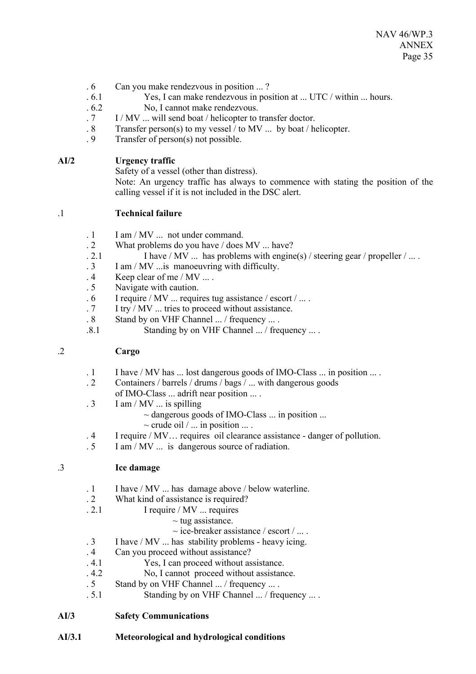- . 6 Can you make rendezvous in position ... ?
- . 6.1 Yes, I can make rendezvous in position at ... UTC / within ... hours.
- . 6.2 No, I cannot make rendezvous.
- . 7 I / MV ... will send boat / helicopter to transfer doctor.
- . 8 Transfer person(s) to my vessel / to MV ... by boat / helicopter.
- . 9 Transfer of person(s) not possible.

## **AI/2 Urgency traffic**

Safety of a vessel (other than distress).

Note: An urgency traffic has always to commence with stating the position of the calling vessel if it is not included in the DSC alert.

## .1 **Technical failure**

- . 1 I am / MV ... not under command.
- . 2 What problems do you have / does MV ... have?
- . 2.1 I have / MV ... has problems with engine(s) / steering gear / propeller / ... .  $\overline{3}$  I am / MV ... is manoeuvring with difficulty.
- I am / MV ... is manoeuvring with difficulty.
- . 4 Keep clear of me / MV ... .
- . 5 Navigate with caution.
- $\sim 6$  I require / MV ... requires tug assistance / escort / ...
- . 7 I try / MV ... tries to proceed without assistance.
- . 8 Stand by on VHF Channel ... / frequency ... .
- .8.1 Standing by on VHF Channel ... / frequency ... .

# .2 **Cargo**

- . 1 I have / MV has ... lost dangerous goods of IMO-Class ... in position ... .
- . 2 Containers / barrels / drums / bags / ... with dangerous goods
- of IMO-Class ... adrift near position ... .
- $.3$  I am / MV  $\ldots$  is spilling
	- $\sim$  dangerous goods of IMO-Class  $\ldots$  in position  $\ldots$
	- $\sim$  crude oil / ... in position ... .
- . 4 I require / MV… requires oil clearance assistance danger of pollution.
- . 5 I am / MV ... is dangerous source of radiation.

#### .3 **Ice damage**

- . 1 I have / MV ... has damage above / below waterline.
- . 2 What kind of assistance is required?
- . 2.1 I require / MV ... requires
	- $\sim$  tug assistance.
	- $\sim$  ice-breaker assistance / escort / ....
- . 3 I have / MV ... has stability problems heavy icing.
- . 4 Can you proceed without assistance?
- . 4.1 Yes, I can proceed without assistance.
- . 4.2 No, I cannot proceed without assistance.
- . 5 Stand by on VHF Channel ... / frequency ... .
- . 5.1 Standing by on VHF Channel ... / frequency ... .

#### **AI/3 Safety Communications**

**AI/3.1 Meteorological and hydrological conditions**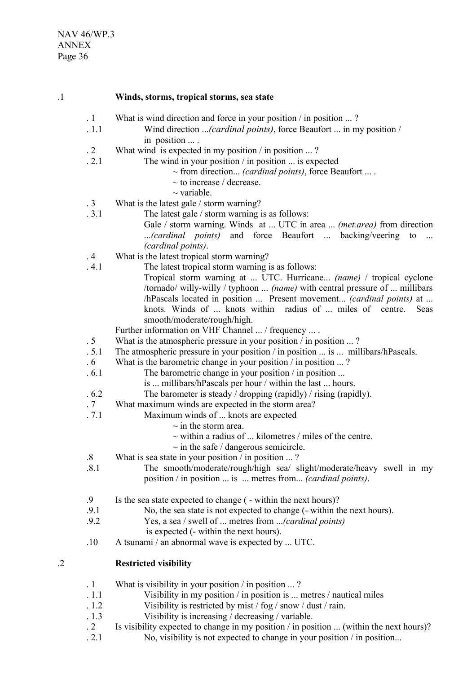- .1 **Winds, storms, tropical storms, sea state** . 1 What is wind direction and force in your position / in position ... ? . 1.1 Wind direction ...*(cardinal points)*, force Beaufort ... in my position / in position ... . . 2 What wind is expected in my position / in position ... ? . 2.1 The wind in your position / in position ... is expected ~ from direction... *(cardinal points)*, force Beaufort ... .  $\sim$  to increase / decrease.  $\sim$  variable. . 3 What is the latest gale / storm warning? . 3.1 The latest gale / storm warning is as follows: Gale / storm warning. Winds at ... UTC in area ... *(met.area)* from direction ...*(cardinal points)* and force Beaufort ... backing/veering to ... *(cardinal points)*. . 4 What is the latest tropical storm warning? . 4.1 The latest tropical storm warning is as follows: Tropical storm warning at ... UTC. Hurricane... *(name)* / tropical cyclone /tornado/ willy-willy / typhoon ... *(name)* with central pressure of ... millibars /hPascals located in position ... Present movement... *(cardinal points)* at ... knots. Winds of ... knots within radius of ... miles of centre. Seas smooth/moderate/rough/high. Further information on VHF Channel ... / frequency ... . . 5 What is the atmospheric pressure in your position / in position ... ? . 5.1 The atmospheric pressure in your position / in position ... is ... millibars/hPascals. . 6 What is the barometric change in your position / in position ... ? . 6.1 The barometric change in your position / in position ... is ... millibars/hPascals per hour / within the last ... hours. . 6.2 The barometer is steady / dropping (rapidly) / rising (rapidly). . 7 What maximum winds are expected in the storm area? . 7.1 Maximum winds of ... knots are expected  $\sim$  in the storm area.  $\sim$  within a radius of  $\ldots$  kilometres / miles of the centre.  $\sim$  in the safe / dangerous semicircle. .8 What is sea state in your position / in position ... ? .8.1 The smooth/moderate/rough/high sea/ slight/moderate/heavy swell in my position / in position ... is ... metres from... *(cardinal points)*. .9 Is the sea state expected to change ( - within the next hours)? .9.1 No, the sea state is not expected to change (- within the next hours). .9.2 Yes, a sea / swell of ... metres from ...*(cardinal points)* is expected (- within the next hours). .10 A tsunami / an abnormal wave is expected by ... UTC. .2 **Restricted visibility** . 1 What is visibility in your position / in position ... ? . 1.1 Visibility in my position / in position is ... metres / nautical miles . 1.2 Visibility is restricted by mist / fog / snow / dust / rain.<br>1.3 Visibility is increasing / decreasing / variable. . 1.3 Visibility is increasing / decreasing / variable.<br>2 Is visibility expected to change in my position / in pos Is visibility expected to change in my position  $/$  in position  $\ldots$  (within the next hours)?
	- . 2.1 No, visibility is not expected to change in your position / in position...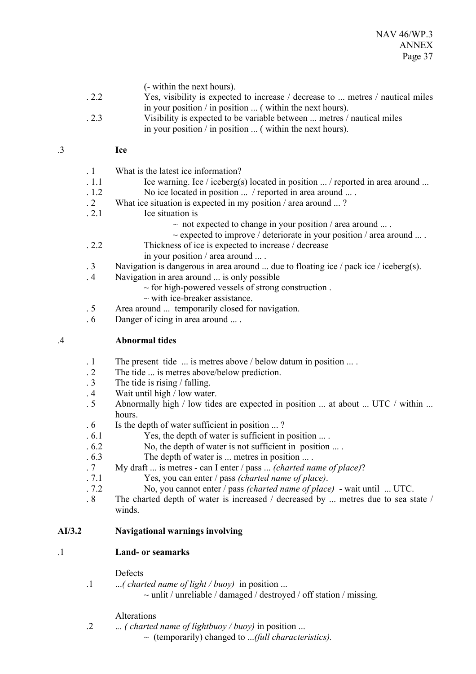(- within the next hours).

- . 2.2 Yes, visibility is expected to increase / decrease to ... metres / nautical miles in your position / in position ... ( within the next hours).
- . 2.3 Visibility is expected to be variable between ... metres / nautical miles in your position / in position ... ( within the next hours).

### .3 **Ice**

- . 1 What is the latest ice information?
- $1.1$  Ice warning. Ice / iceberg(s) located in position  $\ldots$  / reported in area around  $\ldots$
- . 1.2 No ice located in position ... / reported in area around ... .
- . 2 What ice situation is expected in my position / area around ... ?
- . 2.1 Ice situation is
	- $\sim$  not expected to change in your position / area around ...
	- $\sim$  expected to improve / deteriorate in your position / area around ....
- . 2.2 Thickness of ice is expected to increase / decrease
	- in your position / area around ... .
- . 3 Navigation is dangerous in area around ... due to floating ice / pack ice / iceberg(s).
- . 4 Navigation in area around ... is only possible
	- $\sim$  for high-powered vessels of strong construction.
	- $\sim$  with ice-breaker assistance.
- . 5 Area around ... temporarily closed for navigation.
- . 6 Danger of icing in area around ... .

### .4 **Abnormal tides**

- . 1 The present tide ... is metres above / below datum in position ... .
- 2 The tide ... is metres above/below prediction.<br>3 The tide is rising / falling.
- The tide is rising  $/$  falling.
- . 4 Wait until high / low water.
- . 5 Abnormally high / low tides are expected in position ... at about ... UTC / within ... hours.
- . 6 Is the depth of water sufficient in position ... ?
- . 6.1 Yes, the depth of water is sufficient in position ... .
- . 6.2 No, the depth of water is not sufficient in position ... .
- . 6.3 The depth of water is ... metres in position ... .
- . 7 My draft ... is metres can I enter / pass ... *(charted name of place)*?
- . 7.1 Yes, you can enter / pass *(charted name of place)*.
- . 7.2 No, you cannot enter / pass *(charted name of place)* wait until ... UTC.
- . 8 The charted depth of water is increased / decreased by ... metres due to sea state / winds.

# **AI/3.2 Navigational warnings involving**

# .1 **Land- or seamarks**

### **Defects**

.1 ...*( charted name of light / buoy)* in position ...

 $\sim$  unlit / unreliable / damaged / destroyed / off station / missing.

### Alterations

.2 .*.. ( charted name of lightbuoy / buoy)* in position ...

~ (temporarily) changed to ...*(full characteristics).*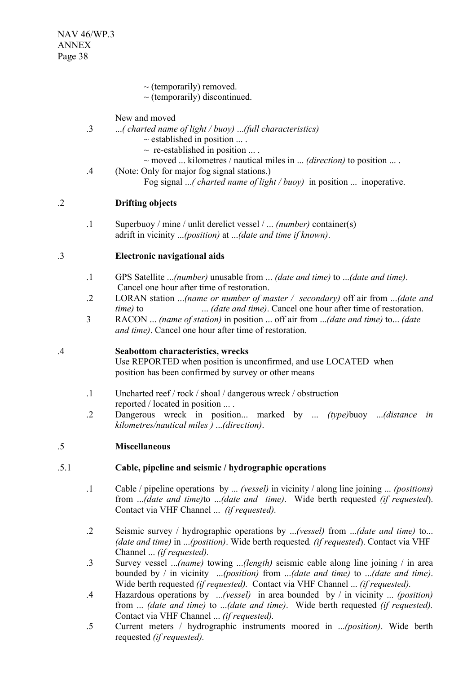- $\sim$  (temporarily) removed.
- $\sim$  (temporarily) discontinued.

New and moved

- .3 ...*( charted name of light / buoy)* ...*(full characteristics)*
	- $\sim$  established in position  $\dots$ .
	- $\sim$  re-established in position ....
	- ~ moved ... kilometres / nautical miles in ... *(direction)* to position ... .
- .4 (Note: Only for major fog signal stations.) Fog signal ...*( charted name of light / buoy)* in position ... inoperative.

# .2 **Drifting objects**

.1 Superbuoy / mine / unlit derelict vessel / ... *(number)* container(s) adrift in vicinity ...*(position)* at ...*(date and time if known)*.

# .3 **Electronic navigational aids**

- .1 GPS Satellite ...*(number)* unusable from ... *(date and time)* to ...*(date and time)*. Cancel one hour after time of restoration.
- .2 LORAN station ...*(name or number of master / secondary)* off air from ...*(date and time)* to ... *(date and time)*. Cancel one hour after time of restoration.
- 3 RACON ... *(name of station)* in position ... off air from ...*(date and time)* to... *(date and time)*. Cancel one hour after time of restoration.

# .4 **Seabottom characteristics, wrecks**

Use REPORTED when position is unconfirmed, and use LOCATED when position has been confirmed by survey or other means

- .1 Uncharted reef / rock / shoal / dangerous wreck / obstruction reported / located in position ... .
- .2 Dangerous wreck in position... marked by ... *(type)*buoy ...*(distance in kilometres/nautical miles )* ...*(direction)*.

### .5 **Miscellaneous**

# .5.1 **Cable, pipeline and seismic / hydrographic operations**

- .1 Cable / pipeline operations by ... *(vessel)* in vicinity / along line joining ... *(positions)* from ...*(date and time)*to ...*(date and time)*. Wide berth requested *(if requested*). Contact via VHF Channel ... *(if requested).*
- .2 Seismic survey / hydrographic operations by ...*(vessel)* from ...*(date and time)* to... *(date and time)* in ...*(position)*. Wide berth requested*. (if requested*). Contact via VHF Channel ... *(if requested).*
- .3 Survey vessel ...*(name)* towing ...*(length)* seismic cable along line joining / in area bounded by / in vicinity ...*(position)* from ...*(date and time)* to ...*(date and time)*. Wide berth requested *(if requested).* Contact via VHF Channel ... *(if requested).*
- .4 Hazardous operations by ...*(vessel)* in area bounded by / in vicinity ... *(position)* from ... *(date and time)* to ...*(date and time)*. Wide berth requested *(if requested).* Contact via VHF Channel ... *(if requested).*
- .5 Current meters / hydrographic instruments moored in ...*(position)*. Wide berth requested *(if requested).*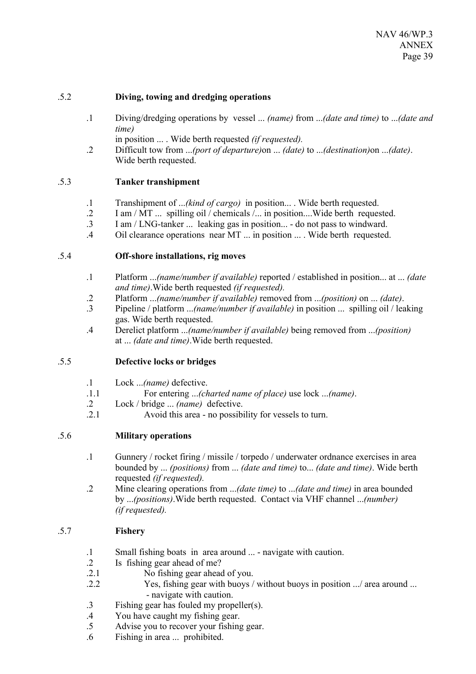## .5.2 **Diving, towing and dredging operations**

- .1 Diving/dredging operations by vessel ... *(name)* from ...*(date and time)* to ...*(date and time)*
	- in position ... . Wide berth requested *(if requested).*
- .2 Difficult tow from ...*(port of departure)*on ... *(date)* to ...*(destination)*on ...*(date)*. Wide berth requested.

# .5.3 **Tanker transhipment**

- .1 Transhipment of ...*(kind of cargo)* in position... . Wide berth requested.
- .2 I am / MT ... spilling oil / chemicals /... in position....Wide berth requested.
- .3 I am / LNG-tanker ... leaking gas in position... do not pass to windward.
- .4 Oil clearance operations near MT ... in position ... . Wide berth requested.

## .5.4 **Off-shore installations, rig moves**

- .1 Platform ...*(name/number if available)* reported / established in position... at ... *(date and time)*.Wide berth requested *(if requested).*
- .2 Platform ...*(name/number if available)* removed from ...*(position)* on ... *(date)*.
- .3 Pipeline / platform ...*(name/number if available)* in position ... spilling oil / leaking gas. Wide berth requested.
- .4 Derelict platform ...*(name/number if available)* being removed from ...*(position)* at ... *(date and time)*.Wide berth requested.

# .5.5 **Defective locks or bridges**

- .1 Lock ...*(name)* defective.
- .1.1 For entering ...*(charted name of place)* use lock ...*(name)*.
- .2 Lock / bridge ... *(name)* defective.
- .2.1 Avoid this area no possibility for vessels to turn.

# .5.6 **Military operations**

- .1 Gunnery / rocket firing / missile / torpedo / underwater ordnance exercises in area bounded by ... *(positions)* from ... *(date and time)* to... *(date and time)*. Wide berth requested *(if requested).*
- .2 Mine clearing operations from ...*(date time)* to ...*(date and time)* in area bounded by ...*(positions)*.Wide berth requested. Contact via VHF channel ...*(number) (if requested).*

# .5.7 **Fishery**

- .1 Small fishing boats in area around ... navigate with caution.
- .2 Is fishing gear ahead of me?
- .2.1 No fishing gear ahead of you.<br>2.2 Yes fishing gear with buoys  $/$
- Yes, fishing gear with buoys / without buoys in position .../ area around ... - navigate with caution.
- .3 Fishing gear has fouled my propeller(s).
- .4 You have caught my fishing gear.
- .5 Advise you to recover your fishing gear.
- .6 Fishing in area ... prohibited.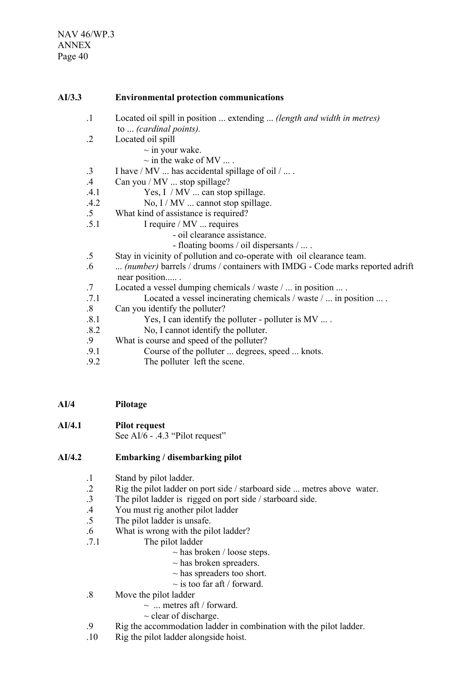### **AI/3.3 Environmental protection communications**

- .1 Located oil spill in position ... extending ... *(length and width in metres)* to ... *(cardinal points).*
- .2 Located oil spill
	- $\sim$  in your wake.
	- $\sim$  in the wake of MV ....
- $\therefore$  I have / MV  $\ldots$  has accidental spillage of oil /  $\ldots$ .
- .4 Can you / MV ... stop spillage?
- .4.1 Yes, I / MV ... can stop spillage.
- .4.2 No, I / MV ... cannot stop spillage.
- .5 What kind of assistance is required?
- .5.1 I require / MV ... requires
	- oil clearance assistance.
	- floating booms / oil dispersants / ... .
- .5 Stay in vicinity of pollution and co-operate with oil clearance team.
- .6 ... *(number)* barrels / drums / containers with IMDG Code marks reported adrift near position..... .
- .7 Located a vessel dumping chemicals / waste / ... in position ... .
- .7.1 Located a vessel incinerating chemicals / waste / ... in position ... .
- .8 Can you identify the polluter?
- .8.1 Yes, I can identify the polluter polluter is MV ... .
- 8.2 No, I cannot identify the polluter.<br>9 What is course and speed of the polluter?
- What is course and speed of the polluter?
- .9.1 Course of the polluter ... degrees, speed ... knots.
- .9.2 The polluter left the scene.
- **AI/4 Pilotage**
- **AI/4.1 Pilot request** See AI/6 - .4.3 "Pilot request"

### **AI/4.2 Embarking / disembarking pilot**

- .1 Stand by pilot ladder.
- .2 Rig the pilot ladder on port side / starboard side ... metres above water.
- .3 The pilot ladder is rigged on port side / starboard side.
- .4 You must rig another pilot ladder
- .5 The pilot ladder is unsafe.
- .6 What is wrong with the pilot ladder?
- .7.1 The pilot ladder
	- $\sim$  has broken / loose steps.
	- $\sim$  has broken spreaders.
	- $\sim$  has spreaders too short.
	- $\sim$  is too far aft / forward.
- .8 Move the pilot ladder
	- $\sim$  ... metres aft / forward.
	- $\sim$  clear of discharge.
- .9 Rig the accommodation ladder in combination with the pilot ladder.
- .10 Rig the pilot ladder alongside hoist.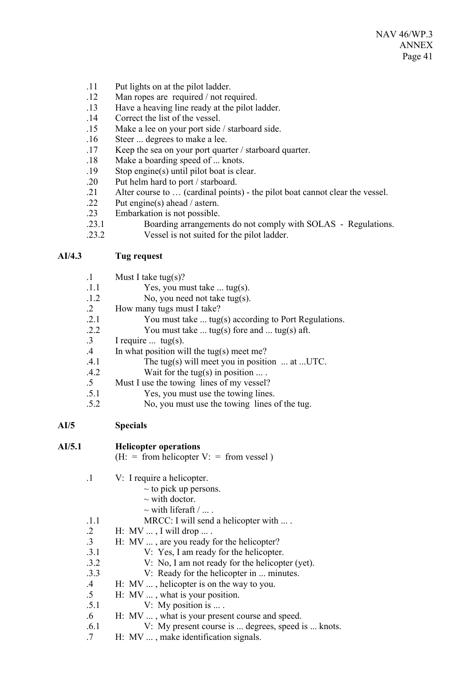- .11 Put lights on at the pilot ladder.
- .12 Man ropes are required / not required.
- .13 Have a heaving line ready at the pilot ladder.
- Correct the list of the vessel.
- .15 Make a lee on your port side / starboard side.
- .16 Steer ... degrees to make a lee.
- .17 Keep the sea on your port quarter / starboard quarter.
- .18 Make a boarding speed of ... knots.
- .19 Stop engine(s) until pilot boat is clear.
- .20 Put helm hard to port / starboard.
- .21 Alter course to … (cardinal points) the pilot boat cannot clear the vessel.
- .22 Put engine(s) ahead / astern.
- .23 Embarkation is not possible.
- .23.1 Boarding arrangements do not comply with SOLAS Regulations.
- .23.2 Vessel is not suited for the pilot ladder.

# **AI/4.3 Tug request**

- .1 Must I take tug(s)? .1.1 Yes, you must take ... tug(s). .1.2 No, you need not take tug(s). .2 How many tugs must I take? .2.1 You must take ... tug(s) according to Port Regulations. .2.2 You must take  $\dots$  tug(s) fore and  $\dots$  tug(s) aft.
- .3 I require ... tug(s).
- .4 In what position will the tug(s) meet me?
- .4.1 The tug(s) will meet you in position ... at ...UTC.
- .4.2 Wait for the tug(s) in position ... .
- .5 Must I use the towing lines of my vessel?
- .5.1 Yes, you must use the towing lines.
- .5.2 No, you must use the towing lines of the tug.

| AI/5 | <b>Specials</b> |
|------|-----------------|
|------|-----------------|

| AI/5.1  |                 | <b>Helicopter operations</b>                       |
|---------|-----------------|----------------------------------------------------|
|         |                 | $(H: = from helicopter V: = from vessel)$          |
| $\cdot$ |                 | V: I require a helicopter.                         |
|         |                 | $\sim$ to pick up persons.                         |
|         |                 | $\sim$ with doctor.                                |
|         |                 | $\sim$ with liferaft /                             |
|         | .1.1            | MRCC: I will send a helicopter with $\dots$ .      |
|         | $\cdot$ 2       | H: MV $\dots$ , I will drop $\dots$ .              |
|         | $\cdot$ 3       | H: MV , are you ready for the helicopter?          |
|         | .3.1            | V: Yes, I am ready for the helicopter.             |
|         | .3.2            | V: No, I am not ready for the helicopter (yet).    |
|         | .3.3            | V: Ready for the helicopter in  minutes.           |
|         | $.4\phantom{0}$ | H: $MV$ , helicopter is on the way to you.         |
|         | $.5\,$          | $H: MV$ , what is your position.                   |
|         | .5.1            | V: My position is $\dots$ .                        |
|         | $.6\,$          | H: MV , what is your present course and speed.     |
|         | .6.1            | V: My present course is  degrees, speed is  knots. |
|         |                 |                                                    |

.7 H: MV ... , make identification signals.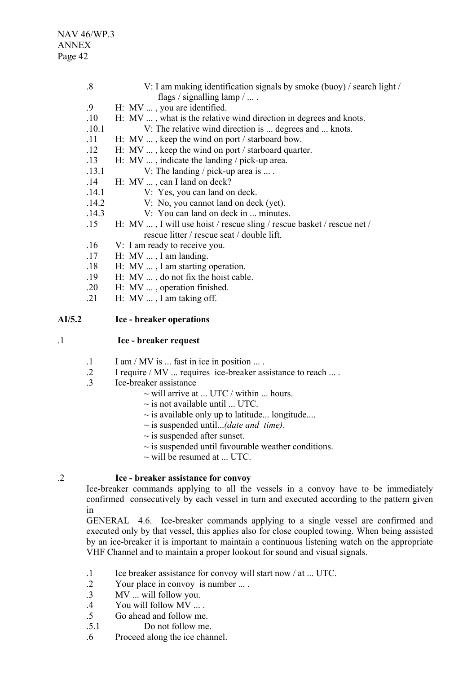NAV 46/WP.3 ANNEX Page 42

| $\boldsymbol{.8}$ | V: I am making identification signals by smoke (buoy) / search light /<br>flags / signalling $\lambda$ |
|-------------------|--------------------------------------------------------------------------------------------------------|
|                   |                                                                                                        |
| .9                | H: MV , you are identified.                                                                            |
| .10               | H: MV , what is the relative wind direction in degrees and knots.                                      |
| .10.1             | V: The relative wind direction is  degrees and  knots.                                                 |
| .11               | H: MV , keep the wind on port / starboard bow.                                                         |
| .12               | H: MV $\dots$ , keep the wind on port / starboard quarter.                                             |
| .13               | H: MV $\dots$ , indicate the landing / pick-up area.                                                   |
| .13.1             | V: The landing / pick-up area is $\dots$ .                                                             |
| .14               | H: MV , can I land on deck?                                                                            |
| .14.1             | V: Yes, you can land on deck.                                                                          |
| .14.2             | V: No, you cannot land on deck (yet).                                                                  |
| .14.3             | V: You can land on deck in  minutes.                                                                   |
| .15               | H: MV , I will use hoist / rescue sling / rescue basket / rescue net /                                 |
|                   | rescue litter / rescue seat / double lift.                                                             |
| .16               | V: I am ready to receive you.                                                                          |
| .17               | H: MV , I am landing.                                                                                  |
| .18               | H: MV , I am starting operation.                                                                       |
| .19               | H: $MV$ , do not fix the hoist cable.                                                                  |
| .20               | H: MV , operation finished.                                                                            |

.21 H:  $MV$  ..., I am taking off.

#### **AI/5.2 Ice - breaker operations**

#### .1 **Ice - breaker request**

- $1 \quad$  I am / MV is ... fast in ice in position ... .
- .2 I require / MV ... requires ice-breaker assistance to reach ... .
- .3 Ice-breaker assistance
	- $\sim$  will arrive at ... UTC / within ... hours.
	- $\sim$  is not available until ... UTC.
	- $\sim$  is available only up to latitude... longitude....
	- ~ is suspended until...*(date and time)*.
	- $\sim$  is suspended after sunset.
	- $\sim$  is suspended until favourable weather conditions.
	- $\sim$  will be resumed at ... UTC.

### .2 **Ice - breaker assistance for convoy**

Ice-breaker commands applying to all the vessels in a convoy have to be immediately confirmed consecutively by each vessel in turn and executed according to the pattern given in

GENERAL 4.6. Ice-breaker commands applying to a single vessel are confirmed and executed only by that vessel, this applies also for close coupled towing. When being assisted by an ice-breaker it is important to maintain a continuous listening watch on the appropriate VHF Channel and to maintain a proper lookout for sound and visual signals.

- .1 Ice breaker assistance for convoy will start now / at ... UTC.
- .2 Your place in convoy is number ... .
- .3 MV ... will follow you.
- .4 You will follow MV ... .
- .5 Go ahead and follow me.
- .5.1 Do not follow me.
- .6 Proceed along the ice channel.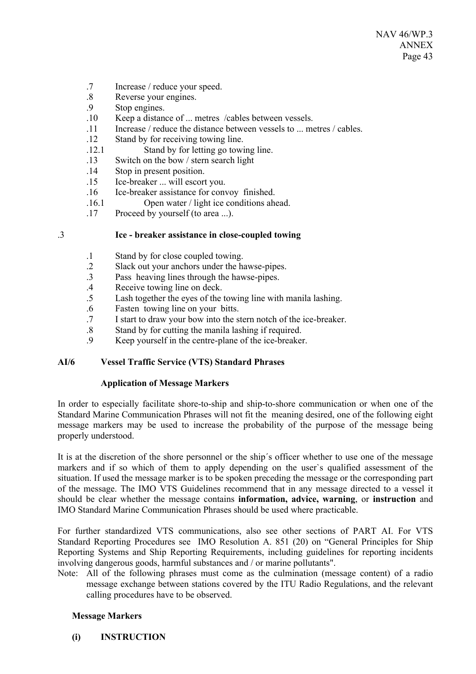- .7 Increase / reduce your speed.
- .8 Reverse your engines.
- .9 Stop engines.
- .10 Keep a distance of ... metres /cables between vessels.
- .11 Increase / reduce the distance between vessels to ... metres / cables.
- .12 Stand by for receiving towing line.
- .12.1 Stand by for letting go towing line.
- .13 Switch on the bow / stern search light
- .14 Stop in present position.
- .15 Ice-breaker ... will escort you.
- .16 Ice-breaker assistance for convoy finished.
- .16.1 Open water / light ice conditions ahead.
- .17 Proceed by yourself (to area ...).

## .3 **Ice - breaker assistance in close-coupled towing**

- .1 Stand by for close coupled towing.
- .2 Slack out your anchors under the hawse-pipes.
- .3 Pass heaving lines through the hawse-pipes.
- .4 Receive towing line on deck.
- .5 Lash together the eyes of the towing line with manila lashing.
- .6 Fasten towing line on your bitts.
- .7 I start to draw your bow into the stern notch of the ice-breaker.
- .8 Stand by for cutting the manila lashing if required.<br>9 Keep yourself in the centre-plane of the ice-breaker
- Keep yourself in the centre-plane of the ice-breaker.

# **AI/6 Vessel Traffic Service (VTS) Standard Phrases**

### **Application of Message Markers**

In order to especially facilitate shore-to-ship and ship-to-shore communication or when one of the Standard Marine Communication Phrases will not fit the meaning desired, one of the following eight message markers may be used to increase the probability of the purpose of the message being properly understood.

It is at the discretion of the shore personnel or the ship´s officer whether to use one of the message markers and if so which of them to apply depending on the user`s qualified assessment of the situation. If used the message marker is to be spoken preceding the message or the corresponding part of the message. The IMO VTS Guidelines recommend that in any message directed to a vessel it should be clear whether the message contains **information, advice, warning**, or **instruction** and IMO Standard Marine Communication Phrases should be used where practicable.

For further standardized VTS communications, also see other sections of PART AI. For VTS Standard Reporting Procedures see IMO Resolution A. 851 (20) on "General Principles for Ship Reporting Systems and Ship Reporting Requirements, including guidelines for reporting incidents involving dangerous goods, harmful substances and / or marine pollutants".

Note: All of the following phrases must come as the culmination (message content) of a radio message exchange between stations covered by the ITU Radio Regulations, and the relevant calling procedures have to be observed.

### **Message Markers**

**(i) INSTRUCTION**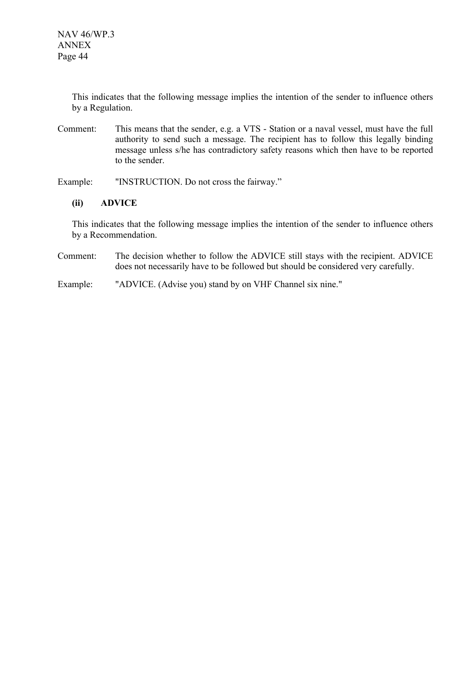This indicates that the following message implies the intention of the sender to influence others by a Regulation.

- Comment: This means that the sender, e.g. a VTS Station or a naval vessel, must have the full authority to send such a message. The recipient has to follow this legally binding message unless s/he has contradictory safety reasons which then have to be reported to the sender.
- Example: "INSTRUCTION. Do not cross the fairway."

### **(ii) ADVICE**

This indicates that the following message implies the intention of the sender to influence others by a Recommendation.

Comment: The decision whether to follow the ADVICE still stays with the recipient. ADVICE does not necessarily have to be followed but should be considered very carefully.

Example: "ADVICE. (Advise you) stand by on VHF Channel six nine."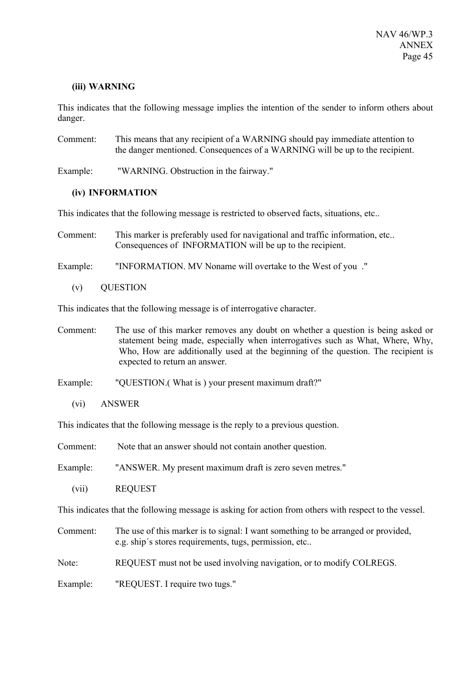### **(iii) WARNING**

This indicates that the following message implies the intention of the sender to inform others about danger.

Comment: This means that any recipient of a WARNING should pay immediate attention to the danger mentioned. Consequences of a WARNING will be up to the recipient.

Example: "WARNING. Obstruction in the fairway."

### **(iv) INFORMATION**

This indicates that the following message is restricted to observed facts, situations, etc..

Comment: This marker is preferably used for navigational and traffic information, etc.. Consequences of INFORMATION will be up to the recipient.

Example: "INFORMATION. MV Noname will overtake to the West of you ."

(v) QUESTION

This indicates that the following message is of interrogative character.

- Comment: The use of this marker removes any doubt on whether a question is being asked or statement being made, especially when interrogatives such as What, Where, Why, Who, How are additionally used at the beginning of the question. The recipient is expected to return an answer.
- Example: "QUESTION.(What is ) your present maximum draft?"
	- (vi) ANSWER

This indicates that the following message is the reply to a previous question.

| Comment:<br>Note that an answer should not contain another question.                                                                                    |  |
|---------------------------------------------------------------------------------------------------------------------------------------------------------|--|
| "ANSWER. My present maximum draft is zero seven metres."<br>Example:                                                                                    |  |
| <b>REQUEST</b><br>(vii)                                                                                                                                 |  |
| This indicates that the following message is asking for action from others with respect to the vessel.                                                  |  |
| The use of this marker is to signal: I want something to be arranged or provided,<br>Comment:<br>e.g. ship's stores requirements, tugs, permission, etc |  |
| Note:<br>REQUEST must not be used involving navigation, or to modify COLREGS.                                                                           |  |

Example: "REQUEST. I require two tugs."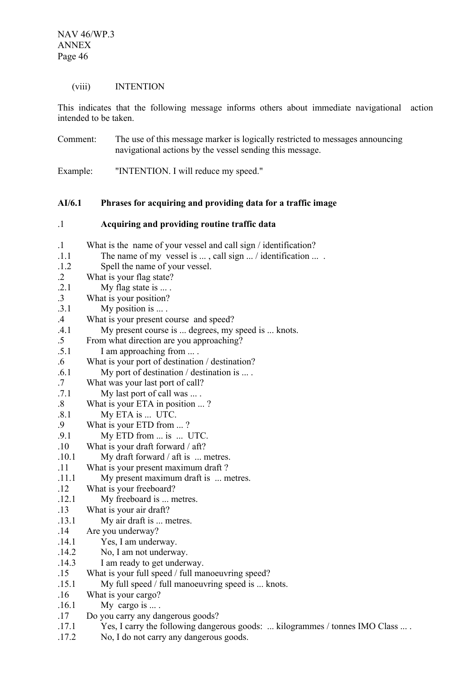(viii) INTENTION

This indicates that the following message informs others about immediate navigational action intended to be taken.

Comment: The use of this message marker is logically restricted to messages announcing navigational actions by the vessel sending this message.

Example: "INTENTION. I will reduce my speed."

# **AI/6.1 Phrases for acquiring and providing data for a traffic image**

| .1 | Acquiring and providing routine traffic data |
|----|----------------------------------------------|
|----|----------------------------------------------|

| $\cdot$   | What is the name of your vessel and call sign / identification?                 |
|-----------|---------------------------------------------------------------------------------|
| .1.1      | The name of my vessel is $\dots$ , call sign $\dots$ / identification $\dots$ . |
| .1.2      | Spell the name of your vessel.                                                  |
| $\cdot$ 2 | What is your flag state?                                                        |
| .2.1      | My flag state is  .                                                             |
| $\cdot$ 3 | What is your position?                                                          |
| .3.1      | My position is $\dots$ .                                                        |
| .4        | What is your present course and speed?                                          |
| .4.1      | My present course is  degrees, my speed is  knots.                              |
| $.5\,$    | From what direction are you approaching?                                        |
| .5.1      | I am approaching from                                                           |
| .6        | What is your port of destination / destination?                                 |
| .6.1      | My port of destination / destination is $\dots$ .                               |
| .7        | What was your last port of call?                                                |
| .7.1      | My last port of call was                                                        |
| .8        | What is your ETA in position ?                                                  |
| .8.1      | My ETA is  UTC.                                                                 |
| .9        | What is your ETD from ?                                                         |
| .9.1      | My ETD from  is  UTC.                                                           |
| .10       | What is your draft forward / aft?                                               |
| .10.1     | My draft forward $/$ aft is $\ldots$ metres.                                    |
| .11       | What is your present maximum draft?                                             |
| .11.1     | My present maximum draft is  metres.                                            |
| .12       | What is your freeboard?                                                         |
| .12.1     | My freeboard is  metres.                                                        |
| .13       | What is your air draft?                                                         |
| .13.1     | My air draft is  metres.                                                        |
| .14       | Are you underway?                                                               |
| .14.1     | Yes, I am underway.                                                             |
| .14.2     | No, I am not underway.                                                          |
| .14.3     | I am ready to get underway.                                                     |
| .15       | What is your full speed / full manoeuvring speed?                               |
| .15.1     | My full speed / full manoeuvring speed is  knots.                               |
| .16       | What is your cargo?                                                             |
| .16.1     | My cargo is $\dots$ .                                                           |
| .17       | Do you carry any dangerous goods?                                               |
| .17.1     | Yes, I carry the following dangerous goods:  kilogrammes / tonnes IMO Class  .  |
| .17.2     | No, I do not carry any dangerous goods.                                         |
|           |                                                                                 |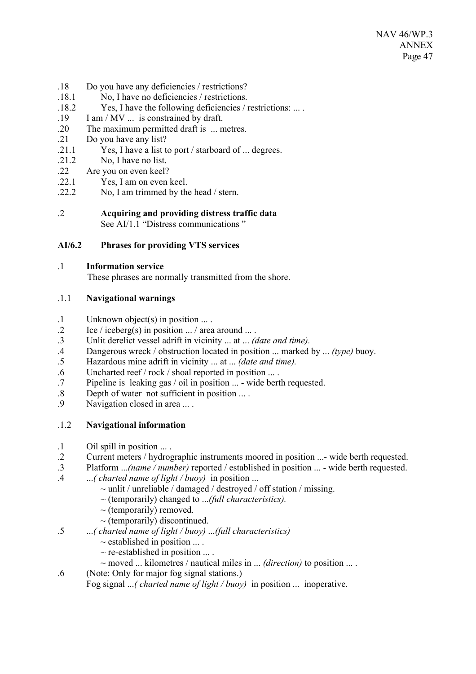- .18 Do you have any deficiencies / restrictions?
- .18.1 No, I have no deficiencies / restrictions.
- .18.2 Yes, I have the following deficiencies / restrictions: ... .
- .19 I am / MV ... is constrained by draft.
- .20 The maximum permitted draft is ... metres.
- .21 Do you have any list?
- .21.1 Yes, I have a list to port / starboard of ... degrees.
- .21.2 No, I have no list.
- .22 Are you on even keel?
- .22.1 Yes, I am on even keel.
- .22.2 No, I am trimmed by the head / stern.
- .2 **Acquiring and providing distress traffic data** See AI/1.1 "Distress communications"

## **AI/6.2 Phrases for providing VTS services**

### .1 **Information service**

These phrases are normally transmitted from the shore.

### .1.1 **Navigational warnings**

- .1 Unknown object(s) in position ... .
- .2 Ice / iceberg(s) in position  $\ldots$  / area around  $\ldots$ .<br>3 Unlit derelict vessel adrift in vicinity  $\ldots$  at  $\ldots$  (a
- .3 Unlit derelict vessel adrift in vicinity ... at ... *(date and time).*
- .4 Dangerous wreck / obstruction located in position ... marked by ... *(type)* buoy.
- .5 Hazardous mine adrift in vicinity ... at ... *(date and time).*
- .6 Uncharted reef / rock / shoal reported in position ... .
- .7 Pipeline is leaking gas / oil in position ... wide berth requested.
- .8 Depth of water not sufficient in position ... .
- .9 Navigation closed in area ... .

### .1.2 **Navigational information**

- .1 Oil spill in position ... .
- .2 Current meters / hydrographic instruments moored in position ...- wide berth requested.
- .3 Platform ..*.(name / number)* reported / established in position ... wide berth requested.
- .4 ...*( charted name of light / buoy)* in position ...
	- $\sim$  unlit / unreliable / damaged / destroyed / off station / missing.
	- ~ (temporarily) changed to ...*(full characteristics).*
	- $\sim$  (temporarily) removed.
	- $\sim$  (temporarily) discontinued.
- .5 ...*( charted name of light / buoy)* ...*(full characteristics)*
	- $\sim$  established in position  $\dots$ .
	- $\sim$  re-established in position  $\dots$ .
	- ~ moved ... kilometres / nautical miles in ... *(direction)* to position ... .
- .6 (Note: Only for major fog signal stations.)
	- Fog signal ...*( charted name of light / buoy)* in position ... inoperative.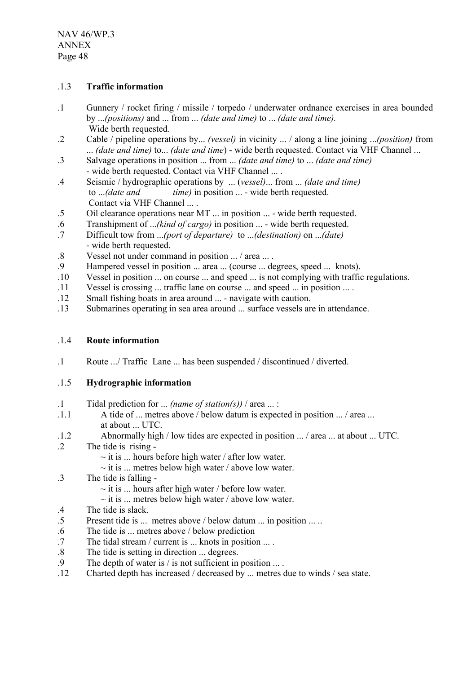### .1.3 **Traffic information**

- .1 Gunnery / rocket firing / missile / torpedo / underwater ordnance exercises in area bounded by ...*(positions)* and ... from ... *(date and time)* to ... *(date and time).* Wide berth requested.
- .2 Cable / pipeline operations by... *(vessel)* in vicinity ... / along a line joining ...*(position)* from ... *(date and time)* to... *(date and time*) - wide berth requested. Contact via VHF Channel ...
- .3 Salvage operations in position ... from ... *(date and time)* to ... *(date and time)* - wide berth requested. Contact via VHF Channel ... .
- .4 Seismic / hydrographic operations by ... (*vessel)*... from ... *(date and time)* to ...*(date and time)* in position ... - wide berth requested. Contact via VHF Channel ... .
- .5 Oil clearance operations near MT ... in position ... wide berth requested.
- .6 Transhipment of ...*(kind of cargo)* in position ... wide berth requested.
- .7 Difficult tow from ...*(port of departure)* to ...*(destination)* on ...*(date)* - wide berth requested.
- .8 Vessel not under command in position ... / area ... .
- .9 Hampered vessel in position ... area ... (course ... degrees, speed ... knots).
- .10 Vessel in position ... on course ... and speed ... is not complying with traffic regulations.
- .11 Vessel is crossing ... traffic lane on course ... and speed ... in position ... .
- .12 Small fishing boats in area around ... navigate with caution.
- .13 Submarines operating in sea area around ... surface vessels are in attendance.

### .1.4 **Route information**

.1 Route .../ Traffic Lane ... has been suspended / discontinued / diverted.

# .1.5 **Hydrographic information**

- .1 Tidal prediction for ... *(name of station(s))* / area ... :
- .1.1 A tide of ... metres above / below datum is expected in position ... / area ... at about ... UTC.
- .1.2 Abnormally high / low tides are expected in position ... / area ... at about ... UTC.
- .2 The tide is rising
	- $\sim$  it is ... hours before high water / after low water.
	- $\sim$  it is ... metres below high water / above low water.
- .3 The tide is falling
	- $\sim$  it is ... hours after high water / before low water.
	- $\sim$  it is ... metres below high water / above low water.
- .4 The tide is slack.
- .5 Present tide is ... metres above / below datum ... in position ... ..
- .6 The tide is ... metres above / below prediction
- .7 The tidal stream / current is ... knots in position ... .
- .8 The tide is setting in direction ... degrees.
- .9 The depth of water is / is not sufficient in position ... .
- .12 Charted depth has increased / decreased by ... metres due to winds / sea state.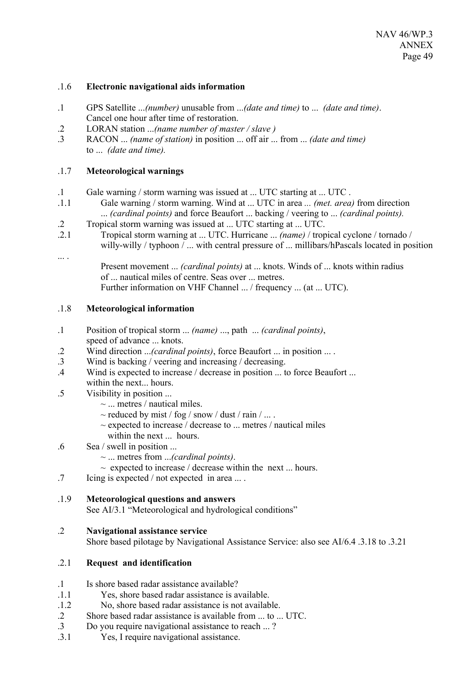#### .1.6 **Electronic navigational aids information**

- .1 GPS Satellite ...*(number)* unusable from ...*(date and time)* to ... *(date and time)*. Cancel one hour after time of restoration.
- .2 LORAN station ...*(name number of master / slave )*
- .3 RACON ... *(name of station)* in position ... off air ... from ... *(date and time)* to ... *(date and time).*

## .1.7 **Meteorological warnings**

- .1 Gale warning / storm warning was issued at ... UTC starting at ... UTC .
- .1.1 Gale warning / storm warning. Wind at ... UTC in area *... (met. area)* from direction ... *(cardinal points)* and force Beaufort ... backing / veering to ... *(cardinal points).*
- .2 Tropical storm warning was issued at ... UTC starting at ... UTC.
- .2.1 Tropical storm warning at ... UTC. Hurricane ... *(name)* / tropical cyclone / tornado / willy-willy / typhoon / ... with central pressure of ... millibars/hPascals located in position
- ... .

Present movement ... *(cardinal points)* at ... knots. Winds of ... knots within radius of ... nautical miles of centre. Seas over ... metres. Further information on VHF Channel ... / frequency ... (at ... UTC).

### .1.8 **Meteorological information**

- .1 Position of tropical storm ... *(name)* ..., path ... *(cardinal points)*, speed of advance ... knots.
- .2 Wind direction ...*(cardinal points)*, force Beaufort ... in position ... .
- .3 Wind is backing / veering and increasing / decreasing.
- .4 Wind is expected to increase / decrease in position ... to force Beaufort ... within the next... hours.
- .5 Visibility in position ...
	- $\sim$  ... metres / nautical miles.
	- $\sim$  reduced by mist / fog / snow / dust / rain / ... .
	- $\sim$  expected to increase / decrease to ... metres / nautical miles
	- within the next ... hours.
- .6 Sea / swell in position ...
	- ~ ... metres from ...*(cardinal points)*.
	- $\sim$  expected to increase / decrease within the next ... hours.
- .7 Icing is expected / not expected in area ... .

### .1.9 **Meteorological questions and answers**

See AI/3.1 "Meteorological and hydrological conditions"

### .2 **Navigational assistance service**

Shore based pilotage by Navigational Assistance Service: also see AI/6.4 .3.18 to .3.21

### .2.1 **Request and identification**

- .1 Is shore based radar assistance available?
- .1.1 Yes, shore based radar assistance is available.
- .1.2 No, shore based radar assistance is not available.
- .2 Shore based radar assistance is available from ... to ... UTC.
- .3 Do you require navigational assistance to reach ... ?
- .3.1 Yes, I require navigational assistance.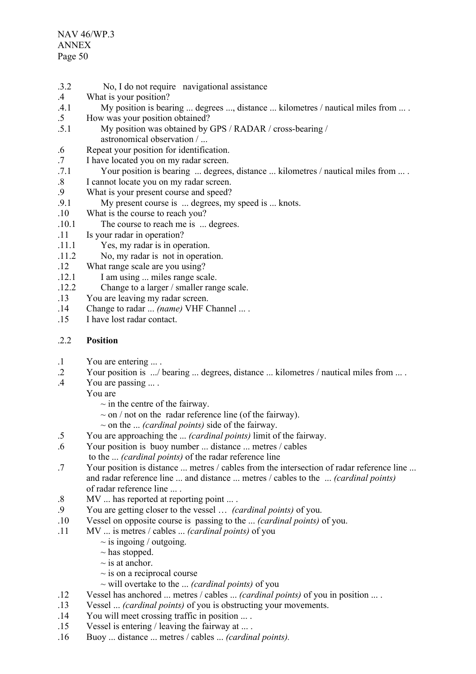- .3.2 No, I do not require navigational assistance .4 What is your position? .4.1 My position is bearing ... degrees ..., distance ... kilometres / nautical miles from ... .
- .5 How was your position obtained?
- .5.1 My position was obtained by GPS / RADAR / cross-bearing / astronomical observation / ...
- .6 Repeat your position for identification.
- .7 I have located you on my radar screen.
- .7.1 Your position is bearing ... degrees, distance ... kilometres / nautical miles from ... .
- .8 I cannot locate you on my radar screen.<br>9 What is your present course and speed?
- What is your present course and speed?
- .9.1 My present course is ... degrees, my speed is ... knots.
- .10 What is the course to reach you?
- .10.1 The course to reach me is ... degrees.
- .11 Is your radar in operation?
- .11.1 Yes, my radar is in operation.
- .11.2 No, my radar is not in operation.
- .12 What range scale are you using?
- .12.1 I am using ... miles range scale.
- .12.2 Change to a larger / smaller range scale.
- .13 You are leaving my radar screen.
- .14 Change to radar ... *(name)* VHF Channel ... .
- .15 I have lost radar contact.

### .2.2 **Position**

- .1 You are entering ... .
- .2 Your position is .../ bearing ... degrees, distance ... kilometres / nautical miles from ... .
- .4 You are passing ... .

You are

- $\sim$  in the centre of the fairway.
- $\sim$  on / not on the radar reference line (of the fairway).
- ~ on the ... *(cardinal points)* side of the fairway.
- .5 You are approaching the ... *(cardinal points)* limit of the fairway.
- .6 Your position is buoy number ... distance ... metres / cables
- to the ... *(cardinal points)* of the radar reference line
- .7 Your position is distance ... metres / cables from the intersection of radar reference line ... and radar reference line ... and distance ... metres / cables to the ... *(cardinal points)*  of radar reference line ... .
- .8 MV ... has reported at reporting point ... .
- .9 You are getting closer to the vessel … *(cardinal points)* of you.
- .10 Vessel on opposite course is passing to the ... *(cardinal points)* of you.
- .11 MV ... is metres / cables ... *(cardinal points)* of you
	- $\sim$  is ingoing / outgoing.
	- $\sim$  has stopped.
	- $\sim$  is at anchor.
	- $\sim$  is on a reciprocal course
	- ~ will overtake to the ... *(cardinal points)* of you
- .12 Vessel has anchored ... metres / cables ... *(cardinal points)* of you in position ... .
- .13 Vessel ... *(cardinal points)* of you is obstructing your movements.
- .14 You will meet crossing traffic in position ... .
- .15 Vessel is entering / leaving the fairway at ... .
- .16 Buoy ... distance ... metres / cables ... *(cardinal points).*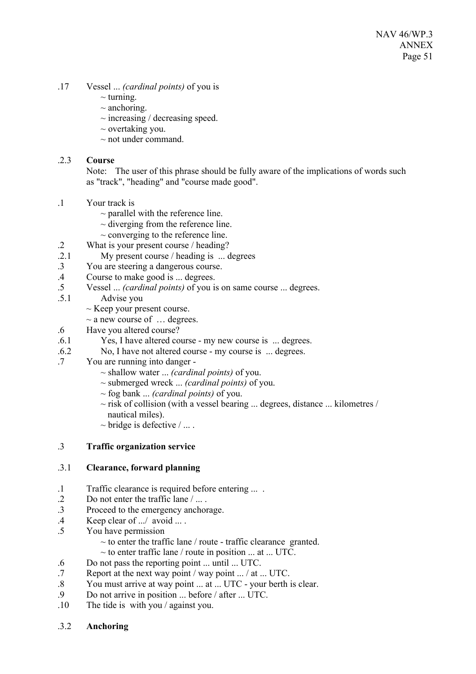- .17 Vessel ... *(cardinal points)* of you is
	- $\sim$  turning.
	- $\sim$  anchoring.
	- $\sim$  increasing / decreasing speed.
	- $\sim$  overtaking you.
	- $\sim$  not under command.

### .2.3 **Course**

Note: The user of this phrase should be fully aware of the implications of words such as "track", "heading" and "course made good".

- .1 Your track is
	- $\sim$  parallel with the reference line.
	- $\sim$  diverging from the reference line.
	- $\sim$  converging to the reference line.
- .2 What is your present course / heading?
- .2.1 My present course / heading is ... degrees
- .3 You are steering a dangerous course.
- .4 Course to make good is ... degrees.
- .5 Vessel ... *(cardinal points)* of you is on same course ... degrees.
- .5.1 Advise you
	- $\sim$  Keep your present course.
	- $\sim$  a new course of  $\ldots$  degrees.
- .6 Have you altered course?
- .6.1 Yes, I have altered course my new course is ... degrees.
- .6.2 No, I have not altered course my course is ... degrees.
- .7 You are running into danger
	- ~ shallow water ... *(cardinal points)* of you.
	- ~ submerged wreck ... *(cardinal points)* of you.
	- ~ fog bank ... *(cardinal points)* of you.
	- $\sim$  risk of collision (with a vessel bearing ... degrees, distance ... kilometres / nautical miles).
	- $\sim$  bridge is defective  $/ \dots$ .

### .3 **Traffic organization service**

### .3.1 **Clearance, forward planning**

- .1 Traffic clearance is required before entering ... .
- .2 Do not enter the traffic lane / ... .
- .3 Proceed to the emergency anchorage.
- .4 Keep clear of .../ avoid ... .
- .5 You have permission
	- $\sim$  to enter the traffic lane / route traffic clearance granted.
	- $\sim$  to enter traffic lane / route in position ... at ... UTC.
- .6 Do not pass the reporting point ... until ... UTC.<br>7 Report at the next way point / way point / at
- Report at the next way point / way point  $\ldots$  / at  $\ldots$  UTC.
- .8 You must arrive at way point ... at ... UTC your berth is clear.
- .9 Do not arrive in position ... before / after ... UTC.
- .10 The tide is with you / against you.
- .3.2 **Anchoring**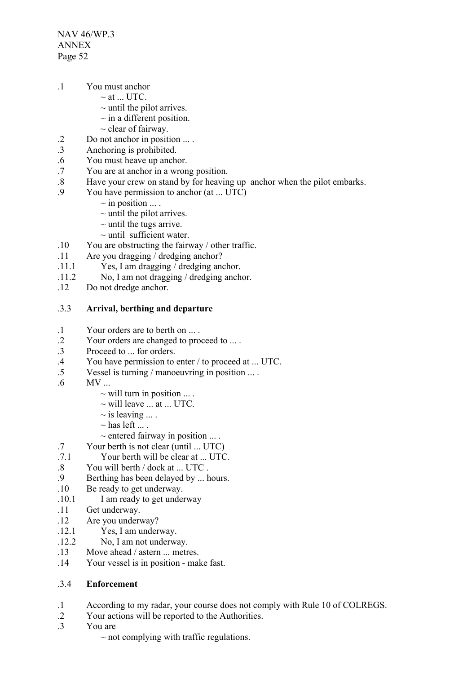NAV 46/WP.3 ANNEX Page 52

- .1 You must anchor
	- $\sim$  at  $\blacksquare$  UTC.
		- $\sim$  until the pilot arrives.
		- $\sim$  in a different position.
		- $\sim$  clear of fairway.
- .2 Do not anchor in position ... .
- .3 Anchoring is prohibited.
- .6 You must heave up anchor.
- .7 You are at anchor in a wrong position.
- .8 Have your crew on stand by for heaving up anchor when the pilot embarks.<br>9 You have permission to anchor (at  $\Box$  ITC)
	- You have permission to anchor  $(at \dots UTC)$ 
		- $\sim$  in position  $\dots$ .
		- $\sim$  until the pilot arrives.
		- $\sim$  until the tugs arrive.
		- $\sim$  until sufficient water.
- .10 You are obstructing the fairway / other traffic.
- .11 Are you dragging / dredging anchor?
- .11.1 Yes, I am dragging / dredging anchor.
- .11.2 No, I am not dragging / dredging anchor.
- .12 Do not dredge anchor.

### .3.3 **Arrival, berthing and departure**

- .1 Your orders are to berth on ... .
- .2 Your orders are changed to proceed to ... .
- .3 Proceed to ... for orders.
- .4 You have permission to enter / to proceed at ... UTC.
- .5 Vessel is turning / manoeuvring in position ... .
- .6 MV ...
	- $\sim$  will turn in position  $\ldots$ .
	- $\sim$  will leave ... at ... UTC.
	- $\sim$  is leaving ....
	- $\sim$  has left ...
	- $\sim$  entered fairway in position  $\dots$ .
- .7 Your berth is not clear (until ... UTC)<br>7.1 Your berth will be clear at UTC
- Your berth will be clear at LUTC.
- .8 You will berth / dock at ... UTC .<br>9 Berthing has been delayed by ... l
- Berthing has been delayed by ... hours.
- .10 Be ready to get underway.
- .10.1 I am ready to get underway
- .11 Get underway.
- .12 Are you underway?
- .12.1 Yes, I am underway.
- .12.2 No, I am not underway.
- .13 Move ahead / astern ... metres.
- .14 Your vessel is in position make fast.

# .3.4 **Enforcement**

- .1 According to my radar, your course does not comply with Rule 10 of COLREGS.
- .2 Your actions will be reported to the Authorities.
- .3 You are
	- $\sim$  not complying with traffic regulations.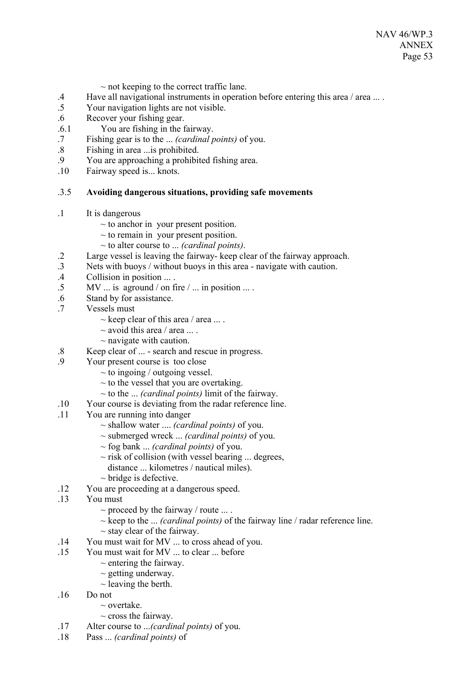NAV 46/WP.3 ANNEX Page 53

- $\sim$  not keeping to the correct traffic lane.
- .4 Have all navigational instruments in operation before entering this area / area ... .
- .5 Your navigation lights are not visible.
- .6 Recover your fishing gear.
- .6.1 You are fishing in the fairway.
- .7 Fishing gear is to the ... *(cardinal points)* of you.
- .8 Fishing in area ...is prohibited.
- .9 You are approaching a prohibited fishing area.
- .10 Fairway speed is... knots.

### .3.5 **Avoiding dangerous situations, providing safe movements**

- .1 It is dangerous
	- $\sim$  to anchor in your present position.
	- $\sim$  to remain in your present position.
	- ~ to alter course to ... *(cardinal points)*.
- .2 Large vessel is leaving the fairway- keep clear of the fairway approach.
- .3 Nets with buoys / without buoys in this area navigate with caution.
- .4 Collision in position ... .
- $.5$  MV ... is aground / on fire / ... in position ... .
- .6 Stand by for assistance.
- .7 Vessels must
	- $\sim$  keep clear of this area / area ....
	- $\sim$  avoid this area / area ....
	- $\sim$  navigate with caution.
- .8 Keep clear of ... search and rescue in progress.
- .9 Your present course is too close
	- $\sim$  to ingoing / outgoing vessel.
	- $\sim$  to the vessel that you are overtaking.
	- ~ to the ... *(cardinal points)* limit of the fairway.
- .10 Your course is deviating from the radar reference line.
- .11 You are running into danger
	- ~ shallow water .... *(cardinal points)* of you.
	- ~ submerged wreck ... *(cardinal points)* of you.
	- ~ fog bank ... *(cardinal points)* of you.
	- $\sim$  risk of collision (with vessel bearing ... degrees, distance ... kilometres / nautical miles).
	- $\sim$  bridge is defective.
- .12 You are proceeding at a dangerous speed.
- .13 You must
	- $\sim$  proceed by the fairway / route ... .
	- ~ keep to the ... *(cardinal points)* of the fairway line / radar reference line.
	- $\sim$  stay clear of the fairway.
- .14 You must wait for MV ... to cross ahead of you.
- .15 You must wait for MV ... to clear ... before
	- $\sim$  entering the fairway.
	- $\sim$  getting underway.
	- $\sim$  leaving the berth.
- .16 Do not
	- $\sim$  overtake
	- $\sim$  cross the fairway.
- .17 Alter course to ...*(cardinal points)* of you.
- .18 Pass ... *(cardinal points)* of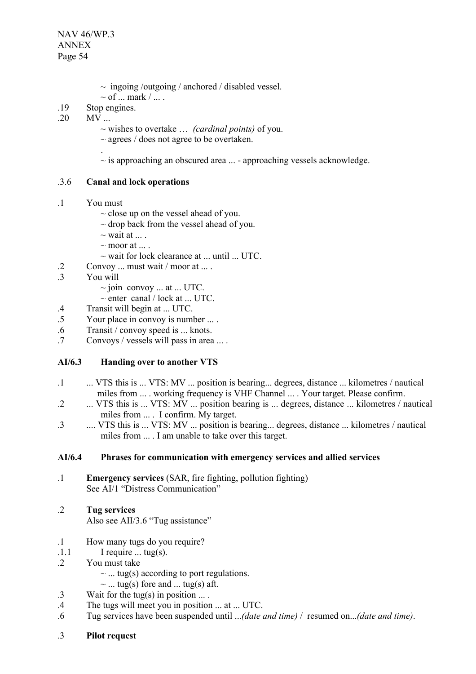- $\sim$  ingoing /outgoing / anchored / disabled vessel.
- $\sim$  of  $\ldots$  mark  $/ \ldots$ .
- .19 Stop engines.
- .20 MV ...
	- ~ wishes to overtake … *(cardinal points)* of you.
	- ~ agrees / does not agree to be overtaken.
	- .  $\sim$  is approaching an obscured area  $\ldots$  - approaching vessels acknowledge.

## .3.6 **Canal and lock operations**

- .1 You must
	- $\sim$  close up on the vessel ahead of you.
	- $\sim$  drop back from the vessel ahead of you.
	- $\sim$  wait at ...
	- $\sim$  moor at  $\ldots$ .
	- $\sim$  wait for lock clearance at ... until ... UTC.
- .2 Convoy ... must wait / moor at ... .
- .3 You will
	- $\sim$  join convoy ... at ... UTC.
	- $\sim$  enter canal / lock at ... UTC.
- .4 Transit will begin at ... UTC.
- .5 Your place in convoy is number ... .
- .6 Transit / convoy speed is ... knots.
- Convoys / vessels will pass in area ... .

# **AI/6.3 Handing over to another VTS**

- .1 ... VTS this is ... VTS: MV ... position is bearing... degrees, distance ... kilometres / nautical miles from ... . working frequency is VHF Channel ... . Your target. Please confirm.
- .2 ... VTS this is ... VTS: MV ... position bearing is ... degrees, distance ... kilometres / nautical miles from ... . I confirm. My target.
- .3 .... VTS this is ... VTS: MV ... position is bearing... degrees, distance ... kilometres / nautical miles from ... . I am unable to take over this target.

### **AI/6.4 Phrases for communication with emergency services and allied services**

- .1 **Emergency services** (SAR, fire fighting, pollution fighting) See AI/1 "Distress Communication"
- .2 **Tug services**

Also see AII/3.6 "Tug assistance"

- .1 How many tugs do you require?
- $1.1$  I require  $\dots$  tug(s).
- .2 You must take
	- $\sim$  ... tug(s) according to port regulations.
	- $\sim$  ... tug(s) fore and ... tug(s) aft.
- .3 Wait for the tug(s) in position ... .
- .4 The tugs will meet you in position ... at ... UTC.
- .6 Tug services have been suspended until ...*(date and time)* / resumed on...*(date and time)*.
- .3 **Pilot request**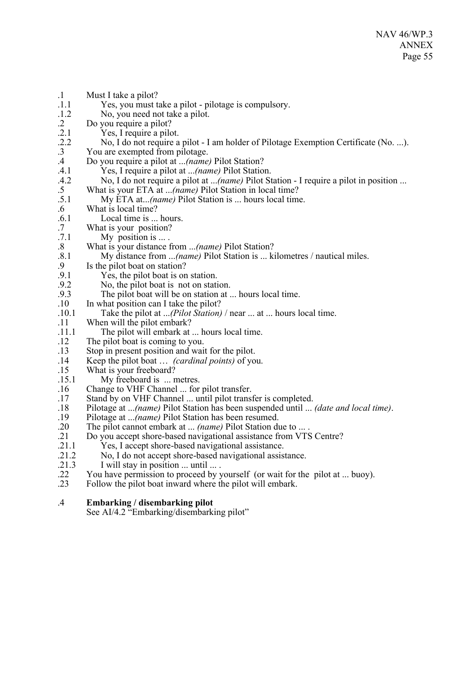| $\cdot$ 1         | Must I take a pilot?                                                                 |
|-------------------|--------------------------------------------------------------------------------------|
| .1.1              | Yes, you must take a pilot - pilotage is compulsory.                                 |
| .1.2              | No, you need not take a pilot.                                                       |
| $\cdot$ 2         | Do you require a pilot?                                                              |
| .2.1              | Yes, I require a pilot.                                                              |
| .2.2              | No, I do not require a pilot - I am holder of Pilotage Exemption Certificate (No. ). |
| $\cdot$ 3         | You are exempted from pilotage.                                                      |
| $.4\,$            | Do you require a pilot at (name) Pilot Station?                                      |
| .4.1              | Yes, I require a pilot at <i>(name)</i> Pilot Station.                               |
| .4.2              | No, I do not require a pilot at (name) Pilot Station - I require a pilot in position |
| $.5\,$            | What is your ETA at (name) Pilot Station in local time?                              |
| .5.1              | My ETA at(name) Pilot Station is  hours local time.                                  |
| $.6\,$            | What is local time?                                                                  |
| .6.1              | Local time is  hours.                                                                |
| $.7\,$            | What is your position?                                                               |
| .7.1              | My position is  .                                                                    |
| $\boldsymbol{.8}$ | What is your distance from (name) Pilot Station?                                     |
| .8.1              | My distance from (name) Pilot Station is  kilometres / nautical miles.               |
| 9.                | Is the pilot boat on station?                                                        |
| .9.1              | Yes, the pilot boat is on station.                                                   |
| .9.2              | No, the pilot boat is not on station.                                                |
| .9.3<br>.10       | The pilot boat will be on station at  hours local time.                              |
| .10.1             | In what position can I take the pilot?                                               |
| .11               | Take the pilot at ( <i>Pilot Station</i> ) / near  at  hours local time.             |
| .11.1             | When will the pilot embark?<br>The pilot will embark at  hours local time.           |
| .12               | The pilot boat is coming to you.                                                     |
| .13               | Stop in present position and wait for the pilot.                                     |
| .14               | Keep the pilot boat <i>(cardinal points)</i> of you.                                 |
| .15               | What is your freeboard?                                                              |
| .15.1             | My freeboard is  metres.                                                             |
| .16               | Change to VHF Channel  for pilot transfer.                                           |
| .17               | Stand by on VHF Channel  until pilot transfer is completed.                          |
| .18               | Pilotage at (name) Pilot Station has been suspended until  (date and local time).    |
| .19               | Pilotage at (name) Pilot Station has been resumed.                                   |
| .20               | The pilot cannot embark at <i>(name)</i> Pilot Station due to  .                     |
| .21               | Do you accept shore-based navigational assistance from VTS Centre?                   |
| .21.1             | Yes, I accept shore-based navigational assistance.                                   |
| .21.2             | No, I do not accept shore-based navigational assistance.                             |
| .21.3             | I will stay in position  until  .                                                    |
| .22               | You have permission to proceed by yourself (or wait for the pilot at  buoy).         |
| .23               | Follow the pilot boat inward where the pilot will embark.                            |
|                   |                                                                                      |

.4 **Embarking / disembarking pilot**

See AI/4.2 "Embarking/disembarking pilot"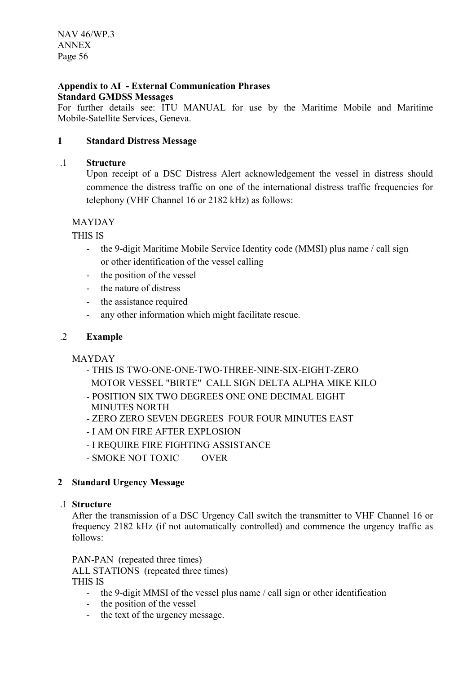#### **Appendix to AI - External Communication Phrases Standard GMDSS Messages**

For further details see: ITU MANUAL for use by the Maritime Mobile and Maritime Mobile-Satellite Services, Geneva.

# **1 Standard Distress Message**

## .1 **Structure**

Upon receipt of a DSC Distress Alert acknowledgement the vessel in distress should commence the distress traffic on one of the international distress traffic frequencies for telephony (VHF Channel 16 or 2182 kHz) as follows:

# MAYDAY

THIS IS

- the 9-digit Maritime Mobile Service Identity code (MMSI) plus name / call sign or other identification of the vessel calling
- the position of the vessel
- the nature of distress
- the assistance required
- any other information which might facilitate rescue.

# .2 **Example**

MAYDAY

- THIS IS TWO-ONE-ONE-TWO-THREE-NINE-SIX-EIGHT-ZERO
- MOTOR VESSEL "BIRTE" CALL SIGN DELTA ALPHA MIKE KILO
- POSITION SIX TWO DEGREES ONE ONE DECIMAL EIGHT MINUTES NORTH
- ZERO ZERO SEVEN DEGREES FOUR FOUR MINUTES EAST
- I AM ON FIRE AFTER EXPLOSION
- I REQUIRE FIRE FIGHTING ASSISTANCE
- SMOKE NOT TOXIC OVER

# **2 Standard Urgency Message**

# .1 **Structure**

After the transmission of a DSC Urgency Call switch the transmitter to VHF Channel 16 or frequency 2182 kHz (if not automatically controlled) and commence the urgency traffic as follows:

PAN-PAN (repeated three times)

ALL STATIONS (repeated three times)

THIS IS

- the 9-digit MMSI of the vessel plus name / call sign or other identification
- the position of the vessel
- the text of the urgency message.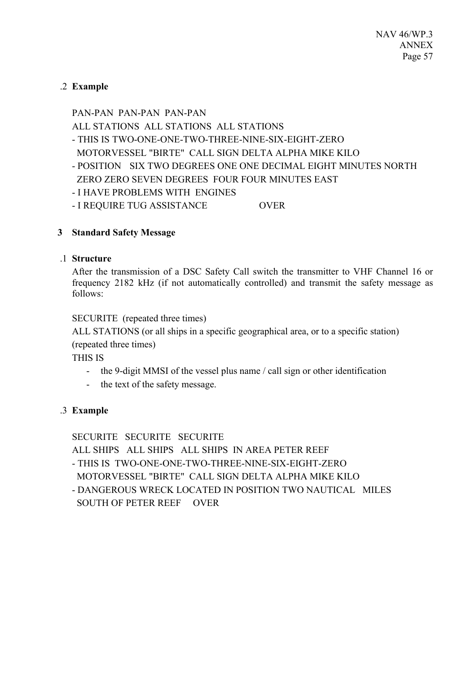# .2 **Example**

# PAN-PAN PAN-PAN PAN-PAN ALL STATIONS ALL STATIONS ALL STATIONS - THIS IS TWO-ONE-ONE-TWO-THREE-NINE-SIX-EIGHT-ZERO MOTORVESSEL "BIRTE" CALL SIGN DELTA ALPHA MIKE KILO

- POSITION SIX TWO DEGREES ONE ONE DECIMAL EIGHT MINUTES NORTH ZERO ZERO SEVEN DEGREES FOUR FOUR MINUTES EAST
- I HAVE PROBLEMS WITH ENGINES
- I REQUIRE TUG ASSISTANCE OVER

# **3 Standard Safety Message**

# .1 **Structure**

After the transmission of a DSC Safety Call switch the transmitter to VHF Channel 16 or frequency 2182 kHz (if not automatically controlled) and transmit the safety message as follows:

SECURITE (repeated three times)

ALL STATIONS (or all ships in a specific geographical area, or to a specific station) (repeated three times)

THIS IS

- the 9-digit MMSI of the vessel plus name / call sign or other identification
- the text of the safety message.

# .3 **Example**

# SECURITE SECURITE SECURITE

ALL SHIPS ALL SHIPS ALL SHIPS IN AREA PETER REEF

- THIS IS TWO-ONE-ONE-TWO-THREE-NINE-SIX-EIGHT-ZERO

MOTORVESSEL "BIRTE" CALL SIGN DELTA ALPHA MIKE KILO

- DANGEROUS WRECK LOCATED IN POSITION TWO NAUTICAL MILES SOUTH OF PETER REEF OVER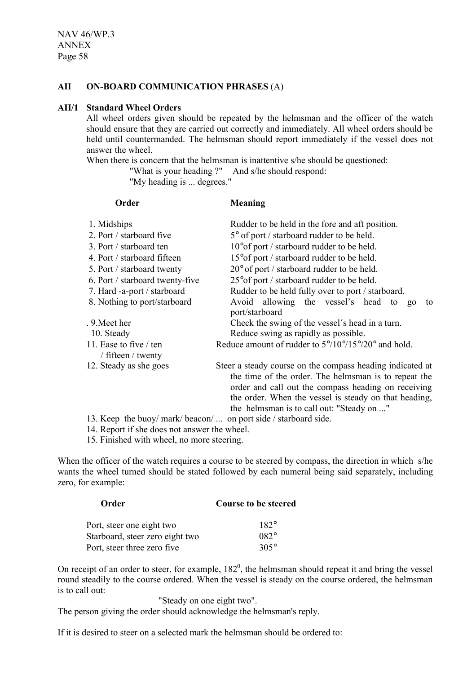### **AII ON-BOARD COMMUNICATION PHRASES** (A)

#### **AII/1 Standard Wheel Orders**

All wheel orders given should be repeated by the helmsman and the officer of the watch should ensure that they are carried out correctly and immediately. All wheel orders should be held until countermanded. The helmsman should report immediately if the vessel does not answer the wheel.

When there is concern that the helmsman is inattentive s/he should be questioned:

"What is your heading ?" And s/he should respond:

"My heading is ... degrees."

**Order Meaning**

| 1. Midships                                  | Rudder to be held in the fore and aft position.                                                                                                                                                                                                                                |
|----------------------------------------------|--------------------------------------------------------------------------------------------------------------------------------------------------------------------------------------------------------------------------------------------------------------------------------|
| 2. Port / starboard five                     | 5° of port / starboard rudder to be held.                                                                                                                                                                                                                                      |
| 3. Port / starboard ten                      | 10° of port / starboard rudder to be held.                                                                                                                                                                                                                                     |
| 4. Port / starboard fifteen                  | 15° of port / starboard rudder to be held.                                                                                                                                                                                                                                     |
| 5. Port / starboard twenty                   | $20^{\circ}$ of port / starboard rudder to be held.                                                                                                                                                                                                                            |
| 6. Port / starboard twenty-five              | 25° of port / starboard rudder to be held.                                                                                                                                                                                                                                     |
| 7. Hard -a-port / starboard                  | Rudder to be held fully over to port / starboard.                                                                                                                                                                                                                              |
| 8. Nothing to port/starboard                 | Avoid allowing the vessel's head to<br>to<br>$g_0$<br>port/starboard                                                                                                                                                                                                           |
| . 9. Meet her                                | Check the swing of the vessel's head in a turn.                                                                                                                                                                                                                                |
| 10. Steady                                   | Reduce swing as rapidly as possible.                                                                                                                                                                                                                                           |
| 11. Ease to five / ten<br>/ fifteen / twenty | Reduce amount of rudder to $5^{\circ}/10^{\circ}/15^{\circ}/20^{\circ}$ and hold.                                                                                                                                                                                              |
| 12. Steady as she goes                       | Steer a steady course on the compass heading indicated at<br>the time of the order. The helmsman is to repeat the<br>order and call out the compass heading on receiving<br>the order. When the vessel is steady on that heading,<br>the helmsman is to call out: "Steady on " |

13. Keep the buoy/ mark/ beacon/ ... on port side / starboard side.

14. Report if she does not answer the wheel.

15. Finished with wheel, no more steering.

When the officer of the watch requires a course to be steered by compass, the direction in which s/he wants the wheel turned should be stated followed by each numeral being said separately, including zero, for example:

| Order                           | <b>Course to be steered</b> |
|---------------------------------|-----------------------------|
| Port, steer one eight two       | $182^\circ$                 |
| Starboard, steer zero eight two | $082^\circ$                 |
| Port, steer three zero five     | $305^\circ$                 |

On receipt of an order to steer, for example,  $182^\circ$ , the helmsman should repeat it and bring the vessel round steadily to the course ordered. When the vessel is steady on the course ordered, the helmsman is to call out:

"Steady on one eight two".

The person giving the order should acknowledge the helmsman's reply.

If it is desired to steer on a selected mark the helmsman should be ordered to: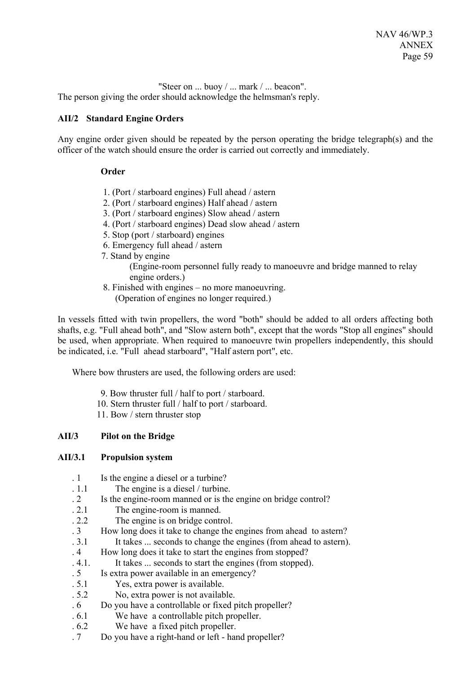"Steer on ... buoy / ... mark / ... beacon". The person giving the order should acknowledge the helmsman's reply.

## **AII/2 Standard Engine Orders**

Any engine order given should be repeated by the person operating the bridge telegraph(s) and the officer of the watch should ensure the order is carried out correctly and immediately.

### **Order**

- 1. (Port / starboard engines) Full ahead / astern
- 2. (Port / starboard engines) Half ahead / astern
- 3. (Port / starboard engines) Slow ahead / astern
- 4. (Port / starboard engines) Dead slow ahead / astern
- 5. Stop (port / starboard) engines
- 6. Emergency full ahead / astern
- 7. Stand by engine
	- (Engine-room personnel fully ready to manoeuvre and bridge manned to relay engine orders.)
- 8. Finished with engines no more manoeuvring.
	- (Operation of engines no longer required.)

In vessels fitted with twin propellers, the word "both" should be added to all orders affecting both shafts, e.g. "Full ahead both", and "Slow astern both", except that the words "Stop all engines" should be used, when appropriate. When required to manoeuvre twin propellers independently, this should be indicated, i.e. "Full ahead starboard", "Half astern port", etc.

Where bow thrusters are used, the following orders are used:

- 9. Bow thruster full / half to port / starboard.
- 10. Stern thruster full / half to port / starboard.
- 11. Bow / stern thruster stop

# **AII/3 Pilot on the Bridge**

### **AII/3.1 Propulsion system**

- . 1 Is the engine a diesel or a turbine?
- . 1.1 The engine is a diesel / turbine.
- . 2 Is the engine-room manned or is the engine on bridge control?
- . 2.1 The engine-room is manned.
- . 2.2 The engine is on bridge control.
- . 3 How long does it take to change the engines from ahead to astern?
- . 3.1 It takes ... seconds to change the engines (from ahead to astern).
- . 4 How long does it take to start the engines from stopped?
- . 4.1. It takes ... seconds to start the engines (from stopped).
- . 5 Is extra power available in an emergency?
- . 5.1 Yes, extra power is available.
- . 5.2 No, extra power is not available.
- . 6 Do you have a controllable or fixed pitch propeller?
- . 6.1 We have a controllable pitch propeller.
- . 6.2 We have a fixed pitch propeller.
- . 7 Do you have a right-hand or left hand propeller?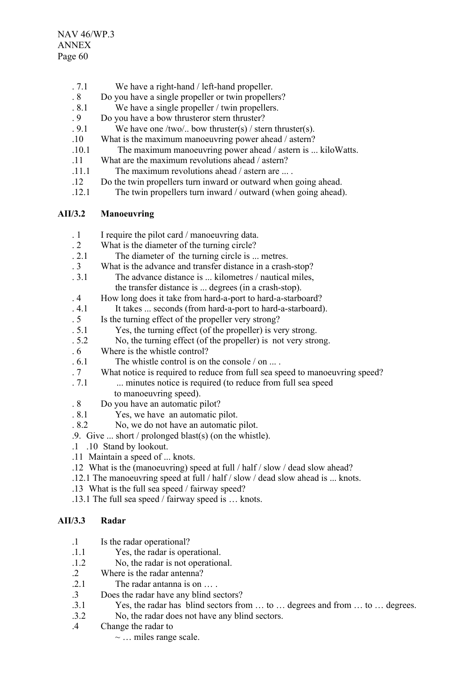- . 7.1 We have a right-hand / left-hand propeller.
- . 8 Do you have a single propeller or twin propellers?
- . 8.1 We have a single propeller / twin propellers.
- . 9 Do you have a bow thrusteror stern thruster?
- . 9.1 We have one /two/.. bow thruster(s) / stern thruster(s).
- .10 What is the maximum manoeuvring power ahead / astern?
- .10.1 The maximum manoeuvring power ahead / astern is ... kiloWatts.
- .11 What are the maximum revolutions ahead / astern?
- .11.1 The maximum revolutions ahead / astern are ... .
- .12 Do the twin propellers turn inward or outward when going ahead.
- .12.1 The twin propellers turn inward / outward (when going ahead).

# **AII/3.2 Manoeuvring**

- . 1 I require the pilot card / manoeuvring data.
- . 2 What is the diameter of the turning circle?
- . 2.1 The diameter of the turning circle is ... metres.
- . 3 What is the advance and transfer distance in a crash-stop?
- . 3.1 The advance distance is ... kilometres / nautical miles, the transfer distance is ... degrees (in a crash-stop).
- . 4 How long does it take from hard-a-port to hard-a-starboard?
- . 4.1 It takes ... seconds (from hard-a-port to hard-a-starboard).
- . 5 Is the turning effect of the propeller very strong?
- . 5.1 Yes, the turning effect (of the propeller) is very strong.
- . 5.2 No, the turning effect (of the propeller) is not very strong.
- . 6 Where is the whistle control?
- . 6.1 The whistle control is on the console / on ... .
- . 7 What notice is required to reduce from full sea speed to manoeuvring speed?
- . 7.1 ... minutes notice is required (to reduce from full sea speed
	- to manoeuvring speed).
- . 8 Do you have an automatic pilot?
- . 8.1 Yes, we have an automatic pilot.
- . 8.2 No, we do not have an automatic pilot.
- .9. Give ... short / prolonged blast(s) (on the whistle).
- .1 .10 Stand by lookout.
- .11 Maintain a speed of ... knots.
- .12 What is the (manoeuvring) speed at full / half / slow / dead slow ahead?
- .12.1 The manoeuvring speed at full / half / slow / dead slow ahead is ... knots.
- .13 What is the full sea speed / fairway speed?
- .13.1 The full sea speed / fairway speed is … knots.

# **AII/3.3 Radar**

- .1 Is the radar operational?
- .1.1 Yes, the radar is operational.
- .1.2 No, the radar is not operational.
- .2 Where is the radar antenna?
- .2.1 The radar antanna is on … .
- .3 Does the radar have any blind sectors?
- .3.1 Yes, the radar has blind sectors from … to … degrees and from … to … degrees.
- .3.2 No, the radar does not have any blind sectors.
- .4 Change the radar to
	- $\sim$  ... miles range scale.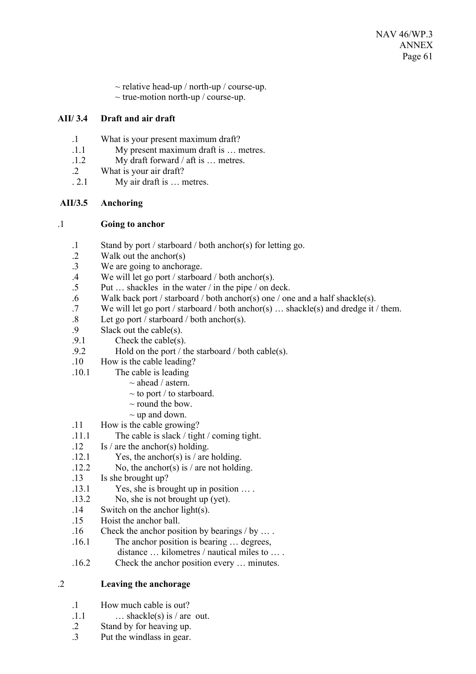- $\sim$  relative head-up / north-up / course-up.
- $\sim$  true-motion north-up / course-up.

# **AII/ 3.4 Draft and air draft**

- .1 What is your present maximum draft?
- .1.1 My present maximum draft is … metres.
- .1.2 My draft forward / aft is … metres.
- .2 What is your air draft?
- . 2.1 My air draft is … metres.

# **AII/3.5 Anchoring**

## .1 **Going to anchor**

- .1 Stand by port / starboard / both anchor(s) for letting go.
- .2 Walk out the anchor(s)
- .3 We are going to anchorage.
- .4 We will let go port / starboard / both anchor(s).
- .5 Put … shackles in the water / in the pipe / on deck.
- .6 Walk back port / starboard / both anchor(s) one / one and a half shackle(s).
- .7 We will let go port / starboard / both anchor(s) … shackle(s) and dredge it / them.
- .8 Let go port / starboard / both anchor(s).<br>9 Slack out the cable(s)
- .9 Slack out the cable(s).<br>9.1 Check the cable(s)
- Check the cable $(s)$ .
- .9.2 Hold on the port / the starboard / both cable(s).
- .10 How is the cable leading?
- .10.1 The cable is leading
	- $\sim$  ahead / astern.
	- $\sim$  to port / to starboard.
	- $\sim$  round the bow.
	- $\sim$  up and down.
- .11 How is the cable growing?
- .11.1 The cable is slack / tight / coming tight.
- $12$  Is / are the anchor(s) holding.
- .12.1 Yes, the anchor(s) is / are holding.
- .12.2 No, the anchor(s) is / are not holding.
- .13 Is she brought up?
- .13.1 Yes, she is brought up in position … .
- .13.2 No, she is not brought up (yet).
- .14 Switch on the anchor light(s).
- .15 Hoist the anchor ball.
- .16 Check the anchor position by bearings / by … .
- .16.1 The anchor position is bearing … degrees,
	- distance … kilometres / nautical miles to … .
- .16.2 Check the anchor position every … minutes.

# .2 **Leaving the anchorage**

- .1 How much cable is out?
- $1.1$  … shackle(s) is / are out.
- .2 Stand by for heaving up.
- .3 Put the windlass in gear.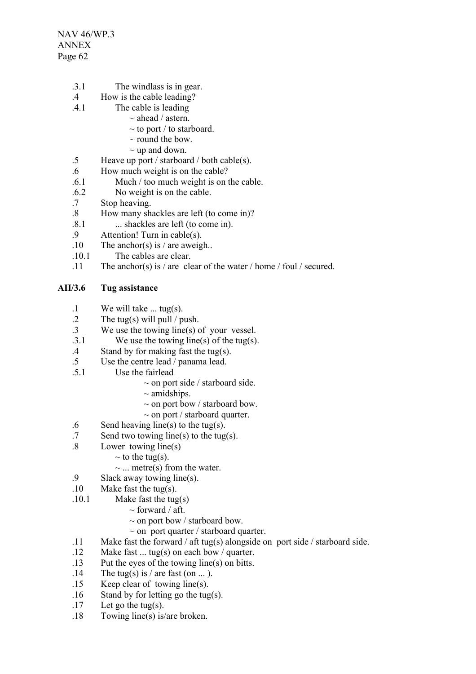NAV 46/WP.3 ANNEX Page 62

- .3.1 The windlass is in gear.
- .4 How is the cable leading?
- .4.1 The cable is leading
	- $\sim$  ahead / astern.
	- $\sim$  to port / to starboard.
	- $\sim$  round the bow
	- $\sim$  up and down.
- .5 Heave up port / starboard / both cable(s).
- .6 How much weight is on the cable?
- .6.1 Much / too much weight is on the cable.
- .6.2 No weight is on the cable.
- .7 Stop heaving.
- .8 How many shackles are left (to come in)?
- .8.1 ... shackles are left (to come in).
- .9 Attention! Turn in cable(s).
- .10 The anchor(s) is / are aweigh..
- .10.1 The cables are clear.
- .11 The anchor(s) is / are clear of the water / home / foul / secured.

## **AII/3.6 Tug assistance**

- .1 We will take ... tug(s).
- .2 The tug(s) will pull / push.
- .3 We use the towing line(s) of your vessel.<br>3.1 We use the towing line(s) of the tug(s)
- We use the towing line(s) of the tug(s).
- .4 Stand by for making fast the tug(s).
- .5 Use the centre lead / panama lead.
- .5.1 Use the fairlead
	- $\sim$  on port side / starboard side.
	- $\sim$  amidships.
	- $\sim$  on port bow / starboard bow.
	- $\sim$  on port / starboard quarter.
- .6 Send heaving line(s) to the tug(s).
- .7 Send two towing line(s) to the tug(s).
- .8 Lower towing line(s)
	- $\sim$  to the tug(s).
		- $\sim$  ... metre(s) from the water.
- .9 Slack away towing line(s).
- .10 Make fast the tug(s).
- .10.1 Make fast the tug(s)
	- $\sim$  forward / aft.
	- $\sim$  on port bow / starboard bow.
	- $\sim$  on port quarter / starboard quarter.
- .11 Make fast the forward / aft tug(s) alongside on port side / starboard side.
- .12 Make fast ... tug(s) on each bow / quarter.
- .13 Put the eyes of the towing line(s) on bitts.
- .14 The tug(s) is / are fast (on ... ).
- .15 Keep clear of towing line(s).
- .16 Stand by for letting go the tug(s).
- .17 Let go the tug(s).
- .18 Towing line(s) is/are broken.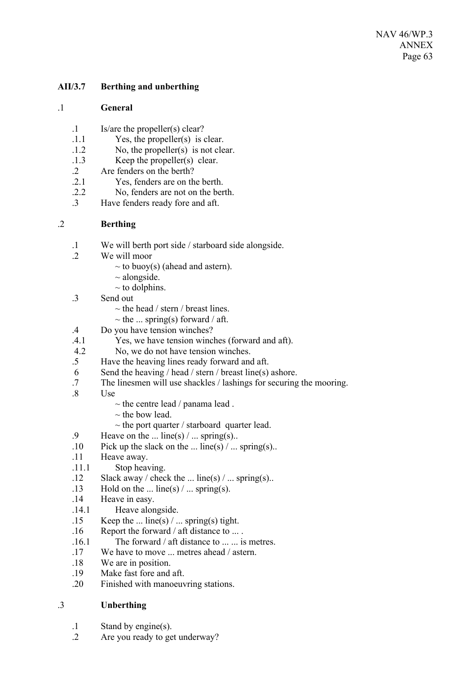## **AII/3.7 Berthing and unberthing**

### .1 **General**

- .1 Is/are the propeller(s) clear?
- .1.1 Yes, the propeller(s) is clear.
- .1.2 No, the propeller(s) is not clear.
- .1.3 Keep the propeller(s) clear.
- 2 Are fenders on the berth?<br>2 1 Yes. fenders are on the
- Yes, fenders are on the berth.
- .2.2 No, fenders are not on the berth.
- .3 Have fenders ready fore and aft.

### .2 **Berthing**

- .1 We will berth port side / starboard side alongside.
- .2 We will moor
	- $\sim$  to buoy(s) (ahead and astern).
	- $\sim$  alongside.
	- $\sim$  to dolphins.
- .3 Send out
	- $\sim$  the head / stern / breast lines.
	- $\sim$  the ... spring(s) forward / aft.
- .4 Do you have tension winches?
- .4.1 Yes, we have tension winches (forward and aft).
- 4.2 No, we do not have tension winches.
- .5 Have the heaving lines ready forward and aft.
- 6 Send the heaving / head / stern / breast line(s) ashore.
- .7 The linesmen will use shackles / lashings for securing the mooring.
- .8 Use
	- $\sim$  the centre lead / panama lead.
	- $\sim$  the bow lead.
	- $\sim$  the port quarter / starboard quarter lead.
- .9 Heave on the ... line(s)  $/$  ... spring(s)..
- .10 Pick up the slack on the ... line(s)  $/$  ... spring(s)..
- .11 Heave away.
- .11.1 Stop heaving.
- .12 Slack away / check the ... line(s) / ... spring(s)..
- .13 Hold on the ... line(s)  $/$  ... spring(s).
- .14 Heave in easy.
- .14.1 Heave alongside.
- .15 Keep the ... line(s)  $/$  ... spring(s) tight.
- .16 Report the forward / aft distance to ... .
- .16.1 The forward / aft distance to ... ... is metres.
- .17 We have to move ... metres ahead / astern.
- .18 We are in position.
- .19 Make fast fore and aft.
- .20 Finished with manoeuvring stations.

### .3 **Unberthing**

- .1 Stand by engine(s).
- .2 Are you ready to get underway?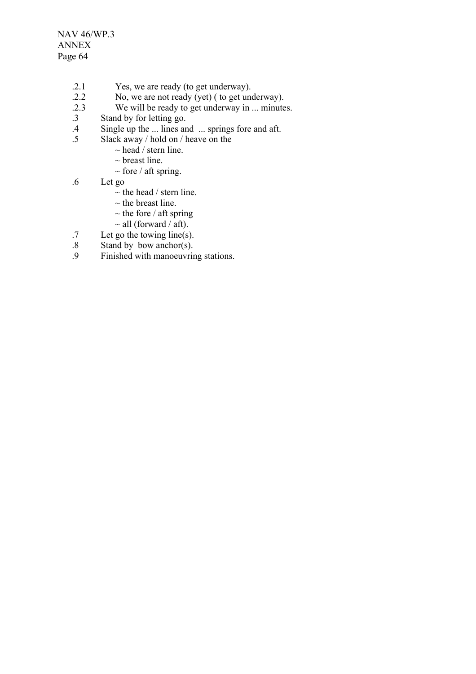NAV 46/WP.3 ANNEX Page 64

- .2.1 Yes, we are ready (to get underway).
- .2.2 No, we are not ready (yet) ( to get underway).<br>2.3 We will be ready to get underway in ... minute
- We will be ready to get underway in ... minutes.
- .3 Stand by for letting go.<br>4 Single up the ... lines and
- .4 Single up the ... lines and ... springs fore and aft.<br>5 Slack away / hold on / heave on the
	- Slack away / hold on / heave on the
		- $\sim$  head / stern line.
		- $\sim$  breast line.
		- $\sim$  fore / aft spring.
- .6 Let go
	- $\sim$  the head / stern line.
	- $\sim$  the breast line.
	- $\sim$  the fore / aft spring
	- $\sim$  all (forward / aft).
- .7 Let go the towing line(s).
- $.8$  Stand by bow anchor(s).<br>9 Finished with manoeuvring
- Finished with manoeuvring stations.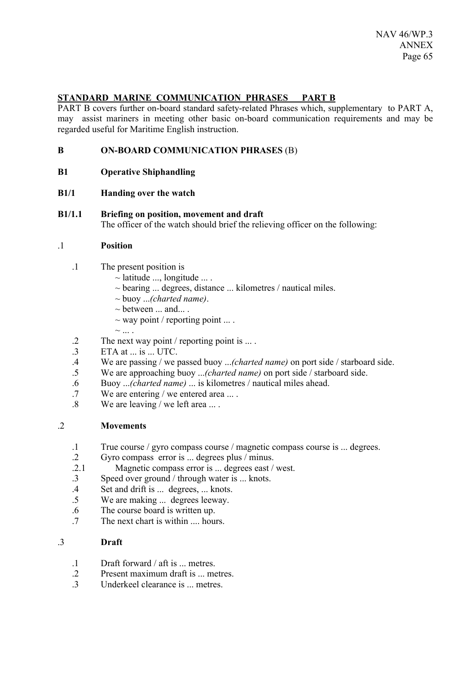# **STANDARD MARINE COMMUNICATION PHRASES PART B**

PART B covers further on-board standard safety-related Phrases which, supplementary to PART A, may assist mariners in meeting other basic on-board communication requirements and may be regarded useful for Maritime English instruction.

- **B ON-BOARD COMMUNICATION PHRASES** (B)
- **B1 Operative Shiphandling**
- **B1/1 Handing over the watch**
- **B1/1.1 Briefing on position, movement and draft** The officer of the watch should brief the relieving officer on the following:

### .1 **Position**

- .1 The present position is
	- $\sim$  latitude ..., longitude ....
	- $\sim$  bearing ... degrees, distance ... kilometres / nautical miles.
	- ~ buoy ...*(charted name)*.
	- $\sim$  between  $\dots$  and $\dots$ .
	- $\sim$  way point / reporting point ....
	- $\sim$  ... .
- .2 The next way point / reporting point is ... .
- .3 ETA at ... is ... UTC.
- .4 We are passing / we passed buoy ...*(charted name)* on port side / starboard side.
- We are approaching buoy ...*(charted name)* on port side / starboard side.
- .6 Buoy ...*(charted name)* ... is kilometres / nautical miles ahead.
- .7 We are entering / we entered area ... .
- .8 We are leaving / we left area ... .

### .2 **Movements**

- .1 True course / gyro compass course / magnetic compass course is ... degrees.
- .2 Gyro compass error is ... degrees plus / minus.
- 2.1 Magnetic compass error is ... degrees east / west.<br>3 Speed over ground / through water is knots
- Speed over ground  $/$  through water is  $\ldots$  knots.
- .4 Set and drift is ... degrees, ... knots.
- .5 We are making ... degrees leeway.
- .6 The course board is written up.
- .7 The next chart is within .... hours.

# .3 **Draft**

- .1 Draft forward / aft is ... metres.
- .2 Present maximum draft is ... metres.
- 3 Underkeel clearance is metres.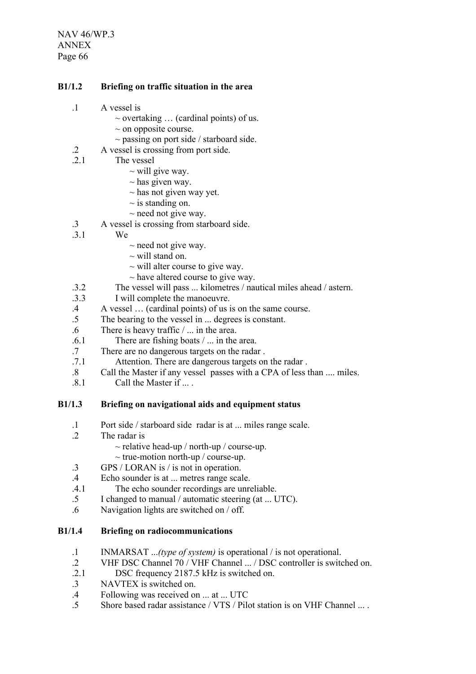NAV 46/WP.3 ANNEX Page 66

### **B1/1.2 Briefing on traffic situation in the area**

- .1 A vessel is
	- $\sim$  overtaking  $\ldots$  (cardinal points) of us.
	- $\sim$  on opposite course.
	- $\sim$  passing on port side / starboard side.
- .2 A vessel is crossing from port side.
- .2.1 The vessel
	- $\sim$  will give way.
	- $\sim$  has given way.
	- $\sim$  has not given way yet.
	- $\sim$  is standing on.
	- $\sim$  need not give way.
- .3 A vessel is crossing from starboard side.
- .3.1 We
	- $\sim$  need not give way.
	- $\sim$  will stand on.
	- $\sim$  will alter course to give way.
	- $\sim$  have altered course to give way.
- .3.2 The vessel will pass ... kilometres / nautical miles ahead / astern.
- .3.3 I will complete the manoeuvre.
- .4 A vessel … (cardinal points) of us is on the same course.
- .5 The bearing to the vessel in ... degrees is constant.
- .6 There is heavy traffic / ... in the area.
- .6.1 There are fishing boats / ... in the area.
- .7 There are no dangerous targets on the radar .
- .7.1 Attention. There are dangerous targets on the radar .
- .8 Call the Master if any vessel passes with a CPA of less than .... miles.
- .8.1 Call the Master if ... .

### **B1/1.3 Briefing on navigational aids and equipment status**

- .1 Port side / starboard side radar is at ... miles range scale.
- The radar is
	- $\sim$  relative head-up / north-up / course-up.
	- $\sim$  true-motion north-up / course-up.
- .3 GPS / LORAN is / is not in operation.
- .4 Echo sounder is at ... metres range scale.
- .4.1 The echo sounder recordings are unreliable.
- .5 I changed to manual / automatic steering (at ... UTC).
- .6 Navigation lights are switched on / off.

## **B1/1.4 Briefing on radiocommunications**

- .1 INMARSAT ...*(type of system)* is operational / is not operational.
- .2 VHF DSC Channel 70 / VHF Channel ... / DSC controller is switched on.<br>2.1 DSC frequency 2187.5 kHz is switched on
- DSC frequency 2187.5 kHz is switched on.
- .3 NAVTEX is switched on.
- .4 Following was received on ... at ... UTC
- .5 Shore based radar assistance / VTS / Pilot station is on VHF Channel ... .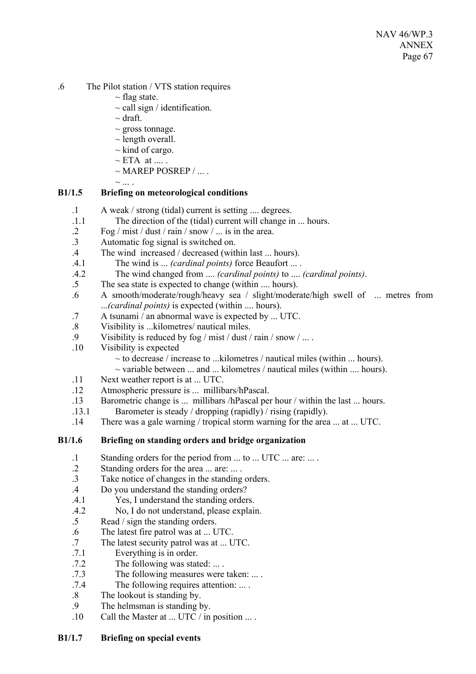- .6 The Pilot station / VTS station requires
	- $\sim$  flag state.
	- $\sim$  call sign / identification.
	- $\sim$  draft.
	- $\sim$  gross tonnage.
	- $\sim$  length overall.
	- $\sim$  kind of cargo.
	- $\sim$  ETA at .....
	- $\sim$  MAREP POSREP / ...
	- $\sim$  ....

## **B1/1.5 Briefing on meteorological conditions**

- .1 A weak / strong (tidal) current is setting .... degrees.
- .1.1 The direction of the (tidal) current will change in ... hours.
- .2 Fog / mist / dust / rain / snow / ... is in the area.
- .3 Automatic fog signal is switched on.
- .4 The wind increased / decreased (within last ... hours).
- .4.1 The wind is ... *(cardinal points)* force Beaufort ... .
- .4.2 The wind changed from .... *(cardinal points)* to .... *(cardinal points)*.
- .5 The sea state is expected to change (within .... hours).
- .6 A smooth/moderate/rough/heavy sea / slight/moderate/high swell of ... metres from ...*(cardinal points)* is expected (within .... hours).
- .7 A tsunami / an abnormal wave is expected by ... UTC.
- .8 Visibility is ...kilometres/ nautical miles.
- .9 Visibility is reduced by fog / mist / dust / rain / snow / ... .
- .10 Visibility is expected
	- $\sim$  to decrease / increase to ...kilometres / nautical miles (within ... hours).
	- $\sim$  variable between ... and ... kilometres / nautical miles (within .... hours).
- .11 Next weather report is at ... UTC.
- .12 Atmospheric pressure is ... millibars/hPascal.
- .13 Barometric change is ... millibars /hPascal per hour / within the last ... hours.
- .13.1 Barometer is steady / dropping (rapidly) / rising (rapidly).
- .14 There was a gale warning / tropical storm warning for the area ... at ... UTC.

# **B1/1.6 Briefing on standing orders and bridge organization**

- .1 Standing orders for the period from ... to ... UTC ... are: ... .
- .2 Standing orders for the area ... are: ... .
- .3 Take notice of changes in the standing orders.
- .4 Do you understand the standing orders?
- .4.1 Yes, I understand the standing orders.
- .4.2 No, I do not understand, please explain.
- .5 Read / sign the standing orders.
- .6 The latest fire patrol was at ... UTC.
- .7 The latest security patrol was at ... UTC.
- .7.1 Everything is in order.
- .7.2 The following was stated: ... .
- .7.3 The following measures were taken: ... .
- .7.4 The following requires attention: ... .
- .8 The lookout is standing by.
- .9 The helmsman is standing by.
- .10 Call the Master at ... UTC / in position ... .

# **B1/1.7 Briefing on special events**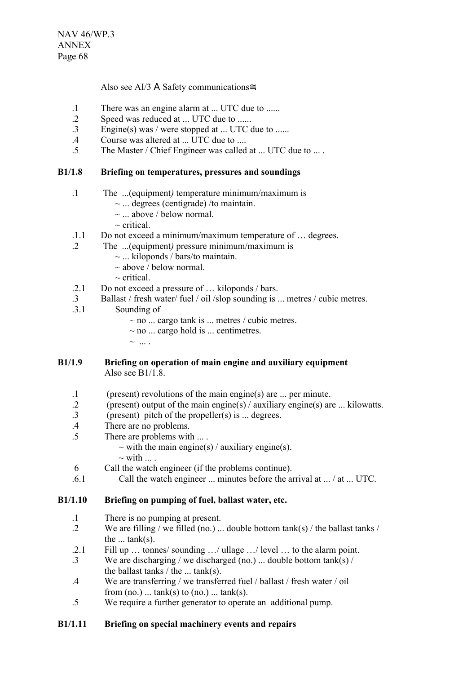Also see AI/3 Α Safety communications≅.

- .1 There was an engine alarm at ... UTC due to ......
- .2 Speed was reduced at ... UTC due to ......
- .3 Engine(s) was / were stopped at ... UTC due to ......
- .4 Course was altered at ... UTC due to ....
- .5 The Master / Chief Engineer was called at ... UTC due to ... .

### **B1/1.8 Briefing on temperatures, pressures and soundings**

- .1 The ...(equipment*)* temperature minimum/maximum is
	- $\sim$  ... degrees (centigrade) /to maintain.
	- $\sim$  ... above / below normal.
	- $\sim$  critical.
- .1.1 Do not exceed a minimum/maximum temperature of … degrees.
- .2 The ...(equipment*)* pressure minimum/maximum is
	- $\sim$  ... kiloponds / bars/to maintain.
	- $\sim$  above / below normal.
	- $\sim$  critical
- .2.1 Do not exceed a pressure of … kiloponds / bars.
- .3 Ballast / fresh water/ fuel / oil /slop sounding is ... metres / cubic metres.<br>3.1 Sounding of
- Sounding of
	- $\sim$  no ... cargo tank is ... metres / cubic metres.
	- $\sim$  no ... cargo hold is ... centimetres.
	- $\sim$  ....

### **B1/1.9 Briefing on operation of main engine and auxiliary equipment** Also see B1/1.8.

- .1 (present) revolutions of the main engine(s) are ... per minute.
- .2 (present) output of the main engine(s) / auxiliary engine(s) are ... kilowatts.
- .3 (present) pitch of the propeller(s) is ... degrees.
- .4 There are no problems.
- .5 There are problems with ... .
	- $\sim$  with the main engine(s) / auxiliary engine(s).
		- $\sim$  with  $\ldots$ .
- 6 Call the watch engineer (if the problems continue).
- .6.1 Call the watch engineer ... minutes before the arrival at ... / at ... UTC.

### **B1/1.10 Briefing on pumping of fuel, ballast water, etc.**

- .1 There is no pumping at present.
- .2 We are filling / we filled (no.) ... double bottom tank(s) / the ballast tanks / the  $\ldots$  tank(s).
- .2.1 Fill up … tonnes/ sounding …/ ullage …/ level … to the alarm point.
- .3 We are discharging / we discharged (no.) ... double bottom tank(s) / the ballast tanks  $/$  the  $\ldots$  tank(s).
- .4 We are transferring / we transferred fuel / ballast / fresh water / oil from  $(no.)$  ...  $tank(s)$  to  $(no.)$  ...  $tank(s)$ .
- .5 We require a further generator to operate an additional pump.

### **B1/1.11 Briefing on special machinery events and repairs**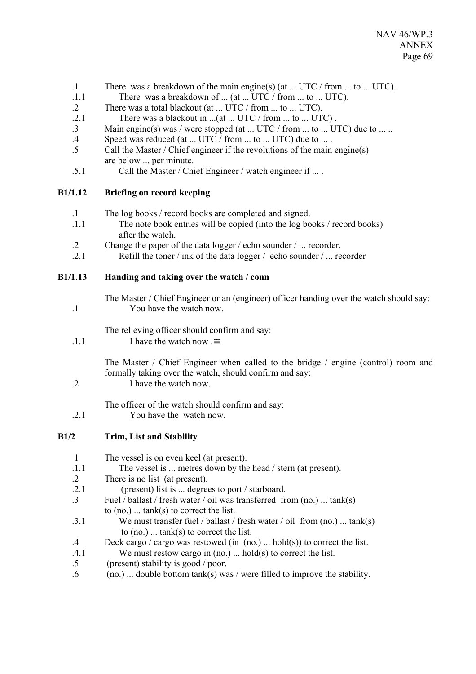- .1 There was a breakdown of the main engine(s) (at ... UTC / from ... to ... UTC).
- .1.1 There was a breakdown of ... (at ... UTC / from ... to ... UTC).
- .2 There was a total blackout (at ... UTC / from ... to ... UTC).
- .2.1 There was a blackout in ...(at ... UTC / from ... to ... UTC).
- .3 Main engine(s) was / were stopped (at ... UTC / from ... to ... UTC) due to ... ..
- .4 Speed was reduced (at ... UTC / from ... to ... UTC) due to ... .
- .5 Call the Master / Chief engineer if the revolutions of the main engine(s) are below ... per minute.
- .5.1 Call the Master / Chief Engineer / watch engineer if ... .

## **B1/1.12 Briefing on record keeping**

- .1 The log books / record books are completed and signed.
- .1.1 The note book entries will be copied (into the log books / record books) after the watch.
- .2 Change the paper of the data logger / echo sounder / ... recorder.
- .2.1 Refill the toner / ink of the data logger / echo sounder / ... recorder

**B1/1.13 Handing and taking over the watch / conn**

The Master / Chief Engineer or an (engineer) officer handing over the watch should say: .1 You have the watch now.

The relieving officer should confirm and say:

.1.1 I have the watch now . $\cong$ 

The Master / Chief Engineer when called to the bridge / engine (control) room and formally taking over the watch, should confirm and say:

.2 I have the watch now.

The officer of the watch should confirm and say:

.2.1 You have the watch now.

- **B1/2 Trim, List and Stability**
	- 1 The vessel is on even keel (at present).
	- .1.1 The vessel is ... metres down by the head / stern (at present).
	- .2 There is no list (at present).
	- .2.1 (present) list is ... degrees to port / starboard.
	- .3 Fuel  $\overline{\phantom{a}}$  ballast / fresh water / oil was transferred from (no.) ... tank(s) to  $(no.)$  ...  $tank(s)$  to correct the list.
	- .3.1 We must transfer fuel / ballast / fresh water / oil from (no.) ... tank(s) to (no.) ... tank(s) to correct the list.
	- .4 Deck cargo / cargo was restowed (in (no.) ... hold(s)) to correct the list.
	- .4.1 We must restow cargo in (no.) ... hold(s) to correct the list.
	- .5 (present) stability is good / poor.
	- .6 (no.) ... double bottom tank(s) was / were filled to improve the stability.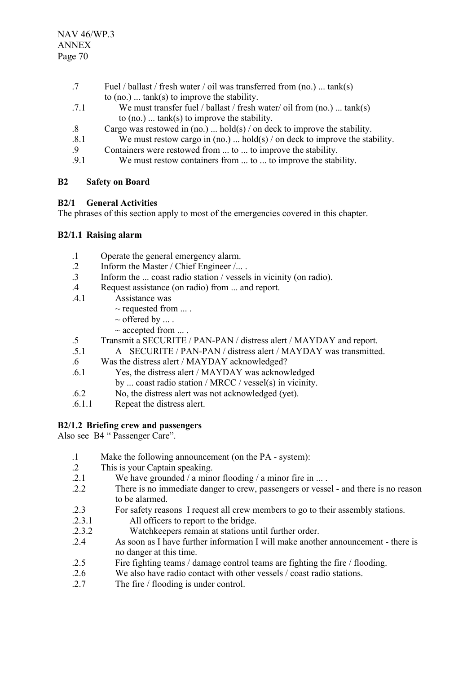- .7 Fuel / ballast / fresh water / oil was transferred from (no.) ... tank(s) to  $(no.)$  ...  $tank(s)$  to improve the stability.
- .7.1 We must transfer fuel / ballast / fresh water/ oil from (no.) ... tank(s) to (no.) ... tank(s) to improve the stability.
- .8 Cargo was restowed in (no.) ... hold(s) / on deck to improve the stability.
- .8.1 We must restow cargo in (no.) ... hold(s) / on deck to improve the stability.
- .9 Containers were restowed from ... to ... to improve the stability.
- .9.1 We must restow containers from ... to ... to improve the stability.

## **B2 Safety on Board**

## **B2/1 General Activities**

The phrases of this section apply to most of the emergencies covered in this chapter.

## **B2/1.1 Raising alarm**

- .1 Operate the general emergency alarm.
- .2 Inform the Master / Chief Engineer /... .
- .3 Inform the ... coast radio station / vessels in vicinity (on radio).
- .4 Request assistance (on radio) from ... and report.
- .4.1 Assistance was
	- $\sim$  requested from  $\dots$ .
	- $\sim$  offered by  $\dots$ .
	- $\sim$  accepted from  $\dots$ .
- .5 Transmit a SECURITE / PAN-PAN / distress alert / MAYDAY and report.
- .5.1 A SECURITE / PAN-PAN / distress alert / MAYDAY was transmitted.
- .6 Was the distress alert / MAYDAY acknowledged?
- .6.1 Yes, the distress alert / MAYDAY was acknowledged
	- by ... coast radio station / MRCC / vessel(s) in vicinity.
- .6.2 No, the distress alert was not acknowledged (yet).
- .6.1.1 Repeat the distress alert.

# **B2/1.2 Briefing crew and passengers**

Also see B4 " Passenger Care".

- .1 Make the following announcement (on the PA system):
- .2 This is your Captain speaking.
- .2.1 We have grounded / a minor flooding / a minor fire in ...
- .2.2 There is no immediate danger to crew, passengers or vessel and there is no reason to be alarmed.
- .2.3 For safety reasons I request all crew members to go to their assembly stations.
- .2.3.1 All officers to report to the bridge.
- .2.3.2 Watchkeepers remain at stations until further order.
- .2.4 As soon as I have further information I will make another announcement there is no danger at this time.
- .2.5 Fire fighting teams / damage control teams are fighting the fire / flooding.
- .2.6 We also have radio contact with other vessels / coast radio stations.
- .2.7 The fire / flooding is under control.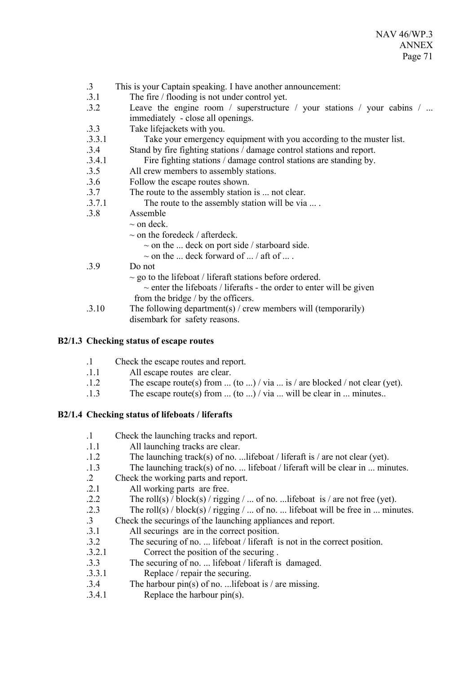- .3 This is your Captain speaking. I have another announcement:
- .3.1 The fire / flooding is not under control yet.
- .3.2 Leave the engine room / superstructure / your stations / your cabins / ... immediately - close all openings.
- .3.3 Take lifejackets with you.
- .3.3.1 Take your emergency equipment with you according to the muster list.
- .3.4 Stand by fire fighting stations / damage control stations and report.
- .3.4.1 Fire fighting stations / damage control stations are standing by.
- .3.5 All crew members to assembly stations.
- .3.6 Follow the escape routes shown.
- .3.7 The route to the assembly station is ... not clear.
- .3.7.1 The route to the assembly station will be via ... .
- .3.8 Assemble
	- $\sim$  on deck.
		- $\sim$  on the foredeck / afterdeck.
			- $\sim$  on the ... deck on port side / starboard side.
			- $\sim$  on the ... deck forward of ... / aft of ... .
- .3.9 Do not

 $\sim$  go to the lifeboat / liferaft stations before ordered.

- $\sim$  enter the lifeboats / liferafts the order to enter will be given from the bridge / by the officers.
- .3.10 The following department(s) / crew members will (temporarily) disembark for safety reasons.

## **B2/1.3 Checking status of escape routes**

- .1 Check the escape routes and report.
- .1.1 All escape routes are clear.
- .1.2 The escape route(s) from ... (to ...) / via ... is / are blocked / not clear (yet).
- .1.3 The escape route(s) from ... (to ...) / via ... will be clear in ... minutes..

# **B2/1.4 Checking status of lifeboats / liferafts**

- .1 Check the launching tracks and report. .1.1 All launching tracks are clear. .1.2 The launching track(s) of no. ...lifeboat / liferaft is / are not clear (yet). .1.3 The launching track(s) of no. ... lifeboat / liferaft will be clear in ... minutes. .2 Check the working parts and report. .2.1 All working parts are free. .2.2 The roll(s)  $\frac{1}{\log(\log(\log n))}$  is  $\frac{1}{\log(\log n)}$  ... of no. ... lifeboat is  $\frac{1}{\log(\log n)}$ . .2.3 The roll(s) / block(s) / rigging / ... of no. ... lifeboat will be free in ... minutes.
- .3 Check the securings of the launching appliances and report.<br>3.1 All securings are in the correct nosition.
- All securings are in the correct position.
- .3.2 The securing of no. ... lifeboat / liferaft is not in the correct position.
- .3.2.1 Correct the position of the securing .
- .3.3 The securing of no. ... lifeboat / liferaft is damaged.
- .3.3.1 Replace / repair the securing.
- .3.4 The harbour pin(s) of no. ...lifeboat is / are missing.
- .3.4.1 Replace the harbour pin(s).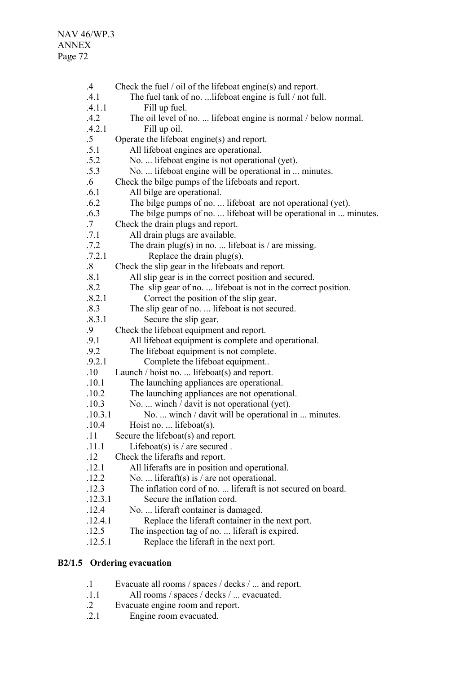| $.4\,$            | Check the fuel $\prime$ oil of the lifeboat engine(s) and report. |
|-------------------|-------------------------------------------------------------------|
| .4.1              | The fuel tank of no.  lifeboat engine is full / not full.         |
| .4.1.1            | Fill up fuel.                                                     |
| .4.2              | The oil level of no.  lifeboat engine is normal / below normal.   |
| .4.2.1            | Fill up oil.                                                      |
| $.5\phantom{0}$   | Operate the lifeboat engine(s) and report.                        |
| .5.1              | All lifeboat engines are operational.                             |
| .5.2              | No.  lifeboat engine is not operational (yet).                    |
| .5.3              | No.  lifeboat engine will be operational in  minutes.             |
| $.6\phantom{0}$   | Check the bilge pumps of the lifeboats and report.                |
| .6.1              | All bilge are operational.                                        |
| .6.2              | The bilge pumps of no.  lifeboat are not operational (yet).       |
| .6.3              | The bilge pumps of no.  lifeboat will be operational in  minutes. |
| $.7\,$            | Check the drain plugs and report.                                 |
| .7.1              | All drain plugs are available.                                    |
| .7.2              | The drain plug(s) in no.  lifeboat is / are missing.              |
| .7.2.1            | Replace the drain $plug(s)$ .                                     |
| $\boldsymbol{.8}$ | Check the slip gear in the lifeboats and report.                  |
| .8.1              | All slip gear is in the correct position and secured.             |
| .8.2              | The slip gear of no.  lifeboat is not in the correct position.    |
| .8.2.1            | Correct the position of the slip gear.                            |
| .8.3              | The slip gear of no.  lifeboat is not secured.                    |
| .8.3.1            | Secure the slip gear.                                             |
| .9                | Check the lifeboat equipment and report.                          |
| .9.1              | All lifeboat equipment is complete and operational.               |
| .9.2              | The lifeboat equipment is not complete.                           |
| .9.2.1            | Complete the lifeboat equipment                                   |
| .10               | Launch / hoist no.  lifeboat(s) and report.                       |
| .10.1             | The launching appliances are operational.                         |
| .10.2             | The launching appliances are not operational.                     |
| .10.3             | No.  winch / davit is not operational (yet).                      |
| .10.3.1           | No.  winch / davit will be operational in  minutes.               |
| .10.4             | Hoist no.  lifeboat(s).                                           |
| .11               | Secure the lifeboat(s) and report.                                |
| .11.1             | Lifeboat(s) is $/$ are secured.                                   |
| .12               | Check the liferafts and report.                                   |
| .12.1             | All liferafts are in position and operational.                    |
| .12.2             | No.  liferaft(s) is / are not operational.                        |
| .12.3             | The inflation cord of no.  liferaft is not secured on board.      |
| .12.3.1           | Secure the inflation cord.                                        |
| .12.4             | No.  liferaft container is damaged.                               |
| .12.4.1           | Replace the liferaft container in the next port.                  |
| .12.5             | The inspection tag of no.  liferaft is expired.                   |
| .12.5.1           | Replace the liferaft in the next port.                            |
|                   |                                                                   |

# **B2/1.5 Ordering evacuation**

- .1 Evacuate all rooms / spaces / decks / ... and report.<br>.1.1 All rooms / spaces / decks / ... evacuated.
- .1.1 All rooms / spaces / decks / ... evacuated.
- .2 Evacuate engine room and report.
- .2.1 Engine room evacuated.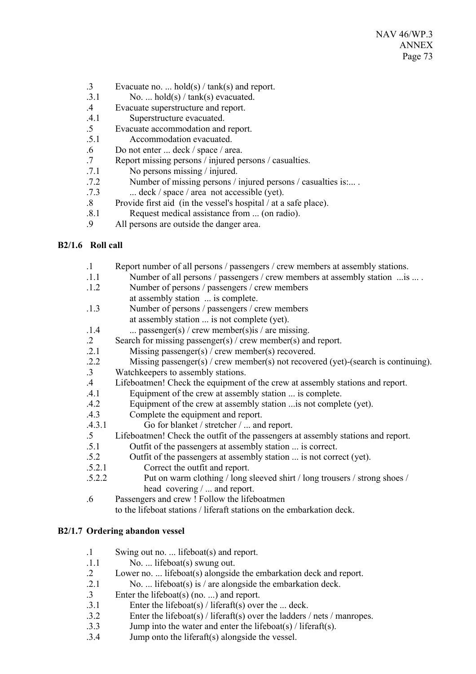- .3 Evacuate no. ... hold(s) / tank(s) and report.
- $.3.1$  No. ... hold(s) / tank(s) evacuated.
- .4 Evacuate superstructure and report.
- .4.1 Superstructure evacuated.
- .5 Evacuate accommodation and report.
- .5.1 Accommodation evacuated.
- .6 Do not enter ... deck / space / area.
- .7 Report missing persons / injured persons / casualties.
- .7.1 No persons missing / injured.
- .7.2 Number of missing persons / injured persons / casualties is:... .
- .7.3 ... deck / space / area not accessible (yet).
- .8 Provide first aid (in the vessel's hospital / at a safe place).
- .8.1 Request medical assistance from ... (on radio).
- .9 All persons are outside the danger area.

# **B2/1.6 Roll call**

.1 Report number of all persons / passengers / crew members at assembly stations. .1.1 Number of all persons / passengers / crew members at assembly station ...is ... . .1.2 Number of persons / passengers / crew members at assembly station ... is complete. .1.3 Number of persons / passengers / crew members at assembly station ... is not complete (yet).  $1.4$  ... passenger(s) / crew member(s) is / are missing. .2 Search for missing passenger(s) / crew member(s) and report. .2.1 Missing passenger(s) / crew member(s) recovered. .2.2 Missing passenger(s) / crew member(s) not recovered (yet)-(search is continuing). .3 Watchkeepers to assembly stations. .4 Lifeboatmen! Check the equipment of the crew at assembly stations and report. .4.1 Equipment of the crew at assembly station ... is complete. .4.2 Equipment of the crew at assembly station ...is not complete (yet). .4.3 Complete the equipment and report. .4.3.1 Go for blanket / stretcher / ... and report. .5 Lifeboatmen! Check the outfit of the passengers at assembly stations and report. .5.1 Outfit of the passengers at assembly station ... is correct. .5.2 Outfit of the passengers at assembly station ... is not correct (yet). .5.2.1 Correct the outfit and report. .5.2.2 Put on warm clothing / long sleeved shirt / long trousers / strong shoes / head covering / ... and report. .6 Passengers and crew ! Follow the lifeboatmen to the lifeboat stations / liferaft stations on the embarkation deck.

# **B2/1.7 Ordering abandon vessel**

- .1 Swing out no. ... lifeboat(s) and report.
- .1.1 No. ... lifeboat(s) swung out.
- .2 Lower no. ... lifeboat(s) alongside the embarkation deck and report.
- .2.1 No. ... lifeboat(s) is / are alongside the embarkation deck.
- .3 Enter the lifeboat(s) (no. ...) and report.
- .3.1 Enter the lifeboat(s) / liferaft(s) over the ... deck.
- .3.2 Enter the lifeboat(s) / liferaft(s) over the ladders / nets / manropes.
- .3.3 Jump into the water and enter the lifeboat(s) / liferaft(s).
- .3.4 Jump onto the liferaft(s) alongside the vessel.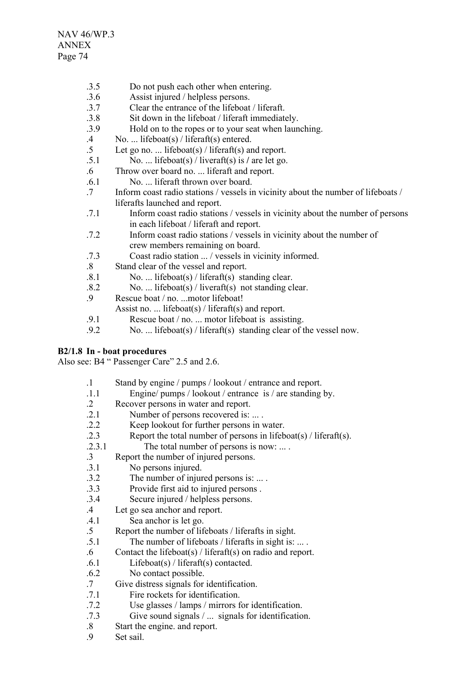- .3.5 Do not push each other when entering.
- .3.6 Assist injured / helpless persons.
- .3.7 Clear the entrance of the lifeboat / liferaft.
- .3.8 Sit down in the lifeboat / liferaft immediately.
- .3.9 Hold on to the ropes or to your seat when launching.
- .4 No. ... lifeboat(s) / liferaft(s) entered.
- .5 Let go no. ... lifeboat(s) / liferaft(s) and report.
- .5.1 No. ... lifeboat(s) / liveraft(s) is **/** are let go.
- .6 Throw over board no. ... liferaft and report.
- .6.1 No. ... liferaft thrown over board.
- .7 Inform coast radio stations / vessels in vicinity about the number of lifeboats / liferafts launched and report.
- .7.1 Inform coast radio stations / vessels in vicinity about the number of persons in each lifeboat / liferaft and report.
- .7.2 Inform coast radio stations / vessels in vicinity about the number of crew members remaining on board.
- .7.3 Coast radio station ... / vessels in vicinity informed.
- .8 Stand clear of the vessel and report.
- .8.1 No. ... lifeboat(s) / liferaft(s) standing clear.
- .8.2 No. ... lifeboat(s) / liveraft(s) not standing clear.
- .9 Rescue boat / no. ...motor lifeboat!
	- Assist no. ... lifeboat(s) / liferaft(s) and report.
- .9.1 Rescue boat / no. ... motor lifeboat is assisting.
- .9.2 No. ... lifeboat(s) / liferaft(s) standing clear of the vessel now.

### **B2/1.8 In - boat procedures**

Also see: B4 " Passenger Care" 2.5 and 2.6.

| $\cdot$ 1       | Stand by engine / pumps / lookout / entrance and report.         |
|-----------------|------------------------------------------------------------------|
| .1.1            | Engine/ pumps / lookout / entrance is / are standing by.         |
| $\cdot$ 2       | Recover persons in water and report.                             |
| .2.1            | Number of persons recovered is:                                  |
| .2.2            | Keep lookout for further persons in water.                       |
| .2.3            | Report the total number of persons in lifeboat(s) / liferaft(s). |
| .2.3.1          | The total number of persons is now:                              |
| $\cdot$ 3       | Report the number of injured persons.                            |
| .3.1            | No persons injured.                                              |
| .3.2            | The number of injured persons is:                                |
| .3.3            | Provide first aid to injured persons.                            |
| .3.4            | Secure injured / helpless persons.                               |
| $.4\phantom{0}$ | Let go sea anchor and report.                                    |
| .4.1            | Sea anchor is let go.                                            |
| $.5\,$          | Report the number of lifeboats / liferafts in sight.             |
| .5.1            | The number of lifeboats / liferafts in sight is:                 |
| $.6\,$          | Contact the lifeboat(s) / liferaft(s) on radio and report.       |
| .6.1            | Lifeboat(s) / liferaft(s) contacted.                             |
| .6.2            | No contact possible.                                             |
| $.7\phantom{0}$ | Give distress signals for identification.                        |
| .7.1            | Fire rockets for identification.                                 |
| .7.2            | Use glasses / lamps / mirrors for identification.                |
| .7.3            | Give sound signals $/ \dots$ signals for identification.         |
| $\mathbf{Q}$    | Start the engine and report                                      |

- .8 Start the engine. and report.
- .9 Set sail.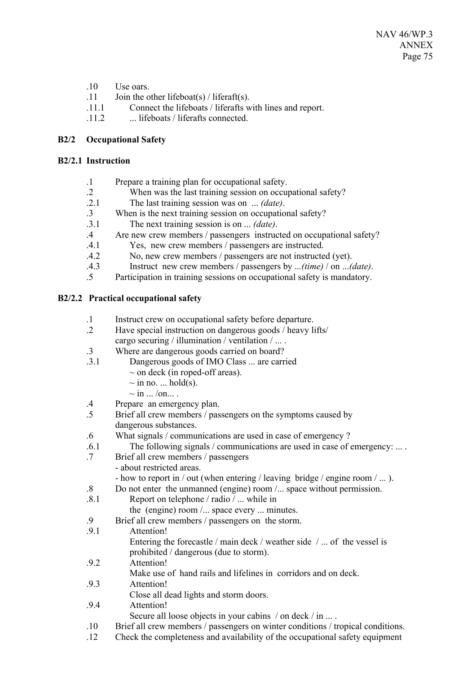- .10 Use oars.
- .11 Join the other lifeboat(s) / liferaft(s).
- .11.1 Connect the lifeboats / liferafts with lines and report.
- .11.2 ... lifeboats / liferafts connected.

### **B2/2 Occupational Safety**

#### **B2/2.1 Instruction**

- .1 Prepare a training plan for occupational safety.
- .2 When was the last training session on occupational safety?
- .2.1 The last training session was on ... *(date)*.
- .3 When is the next training session on occupational safety?
- .3.1 The next training session is on ... *(date)*.
- .4 Are new crew members / passengers instructed on occupational safety?
- .4.1 Yes, new crew members / passengers are instructed.
- .4.2 No, new crew members / passengers are not instructed (yet).
- .4.3 Instruct new crew members / passengers by ..*.(time)* / on ...*(date)*.
- .5 Participation in training sessions on occupational safety is mandatory.

## **B2/2.2 Practical occupational safety**

- .1 Instruct crew on occupational safety before departure.
- .2 Have special instruction on dangerous goods / heavy lifts/ cargo securing / illumination / ventilation / ... .
- .3 Where are dangerous goods carried on board?
- .3.1 Dangerous goods of IMO Class ... are carried
	- $\sim$  on deck (in roped-off areas).
	- $\sim$  in no. ... hold(s).
	- $\sim$  in  $\ldots$  /on $\ldots$ .
- .4 Prepare an emergency plan.
- .5 Brief all crew members / passengers on the symptoms caused by dangerous substances.
- .6 What signals / communications are used in case of emergency ?
- .6.1 The following signals / communications are used in case of emergency: ... .
- .7 Brief all crew members / passengers - about restricted areas.
	- how to report in / out (when entering / leaving bridge / engine room / ...).
- .8 Do not enter the unmanned (engine) room /... space without permission.
- .8.1 Report on telephone / radio / ... while in the (engine) room /... space every ... minutes.
- .9 Brief all crew members / passengers on the storm.
- .9.1 Attention! Entering the forecastle / main deck / weather side / ... of the vessel is prohibited / dangerous (due to storm). .9.2 Attention! Make use of hand rails and lifelines in corridors and on deck. .9.3 Attention! Close all dead lights and storm doors.
- .9.4 Attention!
	- Secure all loose objects in your cabins / on deck / in ... .
- .10 Brief all crew members / passengers on winter conditions / tropical conditions.
- .12 Check the completeness and availability of the occupational safety equipment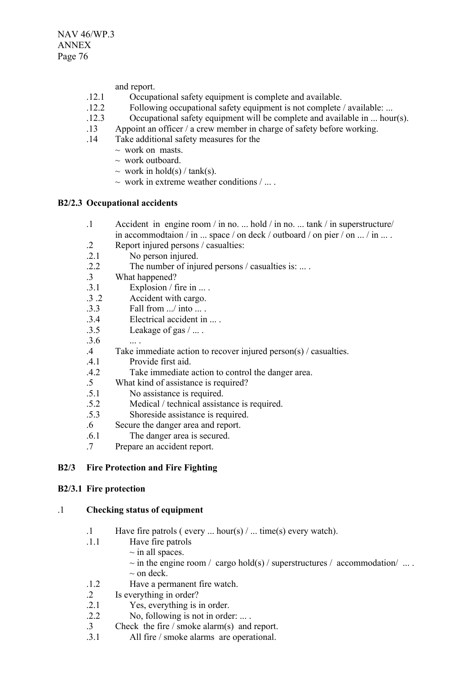and report.

- .12.1 Occupational safety equipment is complete and available.
- .12.2 Following occupational safety equipment is not complete / available: ...
- .12.3 Occupational safety equipment will be complete and available in ... hour(s).
- .13 Appoint an officer / a crew member in charge of safety before working.
- .14 Take additional safety measures for the
	- $\sim$  work on masts.
	- $\sim$  work outboard.
	- $\sim$  work in hold(s) / tank(s).
	- $\sim$  work in extreme weather conditions  $/ \dots$ .

## **B2/2.3 Occupational accidents**

- .1 Accident in engine room / in no. ... hold / in no. ... tank / in superstructure/ in accommodtaion / in ... space / on deck / outboard / on pier / on ... / in ... .
- .2 Report injured persons / casualties:
- .2.1 No person injured.
- .2.2 The number of injured persons / casualties is: ... .
- .3 What happened?
- $.3.1$  Explosion / fire in ...
- .3 .2 Accident with cargo.
- $3.3$  Fall from  $\int$  into
- .3.4 Electrical accident in ... .
- $.3.5$  Leakage of gas  $/ \dots$ .
- 3.6
- .4 Take immediate action to recover injured person(s) / casualties.
- .4.1 Provide first aid.
- .4.2 Take immediate action to control the danger area.
- .5 What kind of assistance is required?
- .5.1 No assistance is required.
- .5.2 Medical / technical assistance is required.
- .5.3 Shoreside assistance is required.
- .6 Secure the danger area and report.
- .6.1 The danger area is secured.
- .7 Prepare an accident report.

# **B2/3 Fire Protection and Fire Fighting**

### **B2/3.1 Fire protection**

### .1 **Checking status of equipment**

- .1 Have fire patrols ( every ... hour(s) / ... time(s) every watch).
- .1.1 Have fire patrols
	- $\sim$  in all spaces.
	- $\sim$  in the engine room / cargo hold(s) / superstructures / accommodation/ ...
	- $\sim$  on deck.
- .1.2 Have a permanent fire watch.
- .2 Is everything in order?
- .2.1 Yes, everything is in order.
- .2.2 No, following is not in order: ... .
- .3 Check the fire / smoke alarm(s) and report.
- .3.1 All fire / smoke alarms are operational.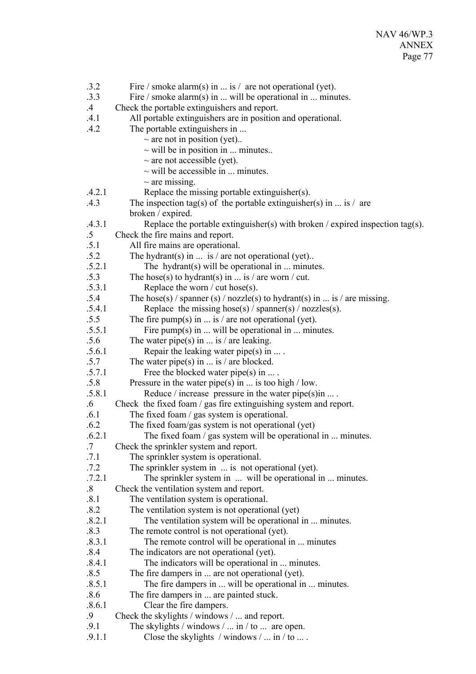.3.2 Fire / smoke alarm(s) in ... is / are not operational (yet). .3.3 Fire / smoke alarm(s) in ... will be operational in ... minutes. .4 Check the portable extinguishers and report. .4.1 All portable extinguishers are in position and operational. .4.2 The portable extinguishers in ...  $\sim$  are not in position (yet)...  $\sim$  will be in position in ... minutes..  $\sim$  are not accessible (yet).  $\sim$  will be accessible in ... minutes.  $\sim$  are missing. .4.2.1 Replace the missing portable extinguisher(s). .4.3 The inspection tag(s) of the portable extinguisher(s) in ... is / are broken / expired. .4.3.1 Replace the portable extinguisher(s) with broken / expired inspection tag(s). .5 Check the fire mains and report. .5.1 All fire mains are operational. .5.2 The hydrant(s) in ... is / are not operational (yet).. .5.2.1 The hydrant(s) will be operational in ... minutes. .5.3 The hose(s) to hydrant(s) in ... is / are worn / cut. .5.3.1 Replace the worn / cut hose(s). .5.4 The hose(s) / spanner (s) / nozzle(s) to hydrant(s) in ... is / are missing. .5.4.1 Replace the missing hose(s) / spanner(s) / nozzles(s). .5.5 The fire pump(s) in ... is / are not operational (yet).  $.5.5.1$  Fire pump(s) in ... will be operational in ... minutes. .5.6 The water pipe(s) in ... is / are leaking. .5.6.1 Repair the leaking water pipe(s) in ... . .5.7 The water pipe(s) in ... is / are blocked. .5.7.1 Free the blocked water pipe(s) in ... . .5.8 Pressure in the water pipe(s) in ... is too high / low. .5.8.1 Reduce / increase pressure in the water pipe(s)in ... . .6 Check the fixed foam / gas fire extinguishing system and report. .6.1 The fixed foam / gas system is operational. .6.2 The fixed foam/gas system is not operational (yet) .6.2.1 The fixed foam / gas system will be operational in ... minutes. .7 Check the sprinkler system and report.<br>7.1 The sprinkler system is operational The sprinkler system is operational. .7.2 The sprinkler system in ... is not operational (yet). .7.2.1 The sprinkler system in ... will be operational in ... minutes. .8 Check the ventilation system and report. .8.1 The ventilation system is operational. .8.2 The ventilation system is not operational (yet) .8.2.1 The ventilation system will be operational in ... minutes. .8.3 The remote control is not operational (yet). .8.3.1 The remote control will be operational in ... minutes .8.4 The indicators are not operational (yet). .8.4.1 The indicators will be operational in ... minutes. .8.5 The fire dampers in ... are not operational (yet). .8.5.1 The fire dampers in ... will be operational in ... minutes. .8.6 The fire dampers in ... are painted stuck. .8.6.1 Clear the fire dampers. .9 Check the skylights / windows / ... and report. .9.1 The skylights / windows / ... in / to ... are open. .9.1.1 Close the skylights / windows / ... in / to ... .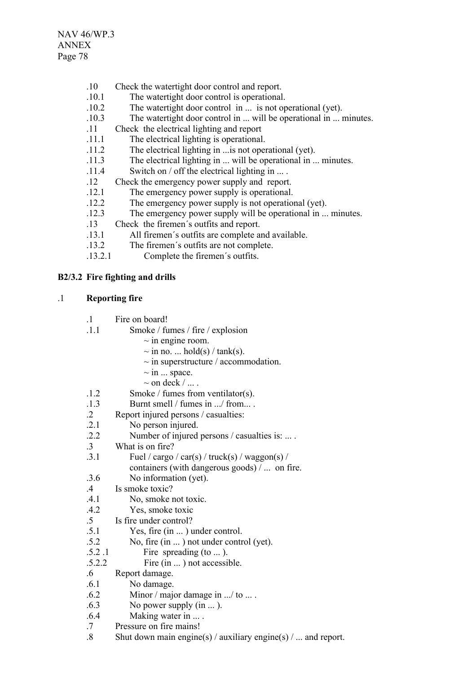NAV 46/WP.3 ANNEX Page 78

- .10 Check the watertight door control and report.
- .10.1 The watertight door control is operational.
- .10.2 The watertight door control in ... is not operational (yet).
- .10.3 The watertight door control in ... will be operational in ... minutes.
- .11 Check the electrical lighting and report
- .11.1 The electrical lighting is operational.
- .11.2 The electrical lighting in ...is not operational (yet).
- .11.3 The electrical lighting in ... will be operational in ... minutes.
- .11.4 Switch on / off the electrical lighting in ... .
- .12 Check the emergency power supply and report.
- .12.1 The emergency power supply is operational.
- .12.2 The emergency power supply is not operational (yet).
- .12.3 The emergency power supply will be operational in ... minutes.
- .13 Check the firemen´s outfits and report.
- .13.1 All firemen´s outfits are complete and available.
- .13.2 The firemen´s outfits are not complete.
- .13.2.1 Complete the firemen´s outfits.

## **B2/3.2 Fire fighting and drills**

## .1 **Reporting fire**

- .1 Fire on board!
- .1.1 Smoke / fumes / fire / explosion
	- $\sim$  in engine room.
	- $\sim$  in no. ... hold(s) / tank(s).
	- $\sim$  in superstructure / accommodation.
	- $\sim$  in  $\ldots$  space.
	- $\sim$  on deck  $/$  ...
- .1.2 Smoke / fumes from ventilator(s).
- .1.3 Burnt smell / fumes in .../ from... .
- .2 Report injured persons / casualties:
- .2.1 No person injured.
- .2.2 Number of injured persons / casualties is: ... .
- .3 What is on fire?
- .3.1 Fuel / cargo / car(s) / truck(s) / waggon(s) / containers (with dangerous goods) / ... on fire.
- .3.6 No information (yet).
- .4 Is smoke toxic?
- .4.1 No, smoke not toxic.
- .4.2 Yes, smoke toxic
- .5 Is fire under control?
- .5.1 Yes, fire (in ... ) under control.
- .5.2 No, fire (in ... ) not under control (yet).
- .5.2 .1 Fire spreading (to ... ).
- .5.2.2 Fire (in ... ) not accessible.
- .6 Report damage.
- .6.1 No damage.
- .6.2 Minor / major damage in .../ to ... .
- .6.3 No power supply (in ... ).
- .6.4 Making water in ... .
- .7 Pressure on fire mains!
- .8 Shut down main engine(s) / auxiliary engine(s) / ... and report.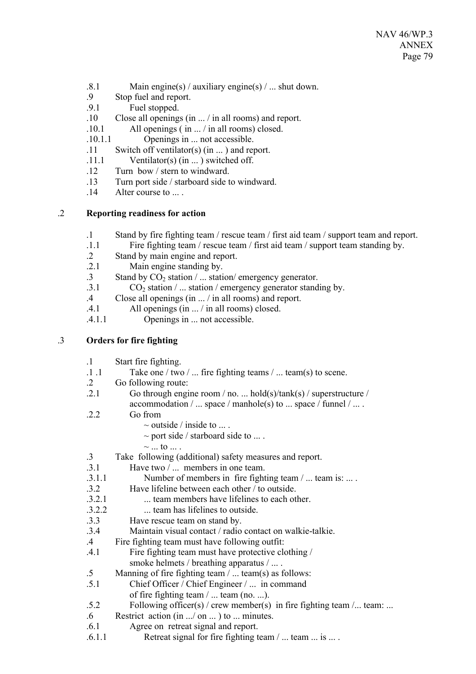- .8.1 Main engine(s) / auxiliary engine(s) / ... shut down.
- .9 Stop fuel and report.
- .9.1 Fuel stopped.
- .10 Close all openings (in ... / in all rooms) and report.
- .10.1 All openings ( in ... / in all rooms) closed.
- .10.1.1 Openings in ... not accessible.
- .11 Switch off ventilator(s) (in ... ) and report.
- .11.1 Ventilator(s) (in ... ) switched off.
- .12 Turn bow / stern to windward.
- .13 Turn port side / starboard side to windward.
- 14 Alter course to

## .2 **Reporting readiness for action**

- .1 Stand by fire fighting team / rescue team / first aid team / support team and report.
- .1.1 Fire fighting team / rescue team / first aid team / support team standing by.
- .2 Stand by main engine and report.
- .2.1 Main engine standing by.
- .3 Stand by  $CO_2$  station / ... station/ emergency generator.<br>3.1  $CO_2$  station / station / emergency generator stand
- $CO<sub>2</sub>$  station / ... station / emergency generator standing by.
- .4 Close all openings (in ... / in all rooms) and report.
- .4.1 All openings (in ... / in all rooms) closed.
- .4.1.1 Openings in ... not accessible.

### .3 **Orders for fire fighting**

- .1 Start fire fighting.
- $\therefore$  1 .1 Take one / two /  $\therefore$  fire fighting teams /  $\therefore$  team(s) to scene.
- .2 Go following route:
- .2.1 Go through engine room / no. ... hold(s)/tank(s) / superstructure / accommodation  $/ \dots$  space  $/ \text{manhole}(s)$  to  $\dots$  space  $/ \text{funnel} / \dots$ .
- .2.2 Go from
	- $\sim$  outside / inside to ....
	- $\sim$  port side / starboard side to ....
	- $\sim$  ... to ...
- .3 Take following (additional) safety measures and report.
- .3.1 Have two / ... members in one team.
- .3.1.1 Number of members in fire fighting team / ... team is: ... .
- .3.2 Have lifeline between each other / to outside.
- .3.2.1 ... team members have lifelines to each other.
- .3.2.2 ... team has lifelines to outside.
- .3.3 Have rescue team on stand by.
- .3.4 Maintain visual contact / radio contact on walkie-talkie.
- .4 Fire fighting team must have following outfit:
- .4.1 Fire fighting team must have protective clothing / smoke helmets / breathing apparatus / ... .
- .5 Manning of fire fighting team / ... team(s) as follows:
- .5.1 Chief Officer / Chief Engineer / ... in command
	- of fire fighting team / ... team (no. ...).
- .5.2 Following officer(s) / crew member(s) in fire fighting team /... team: ...
- .6 Restrict action (in .../ on ... ) to ... minutes.
- .6.1 Agree on retreat signal and report.
- .6.1.1 Retreat signal for fire fighting team / ... team ... is ... .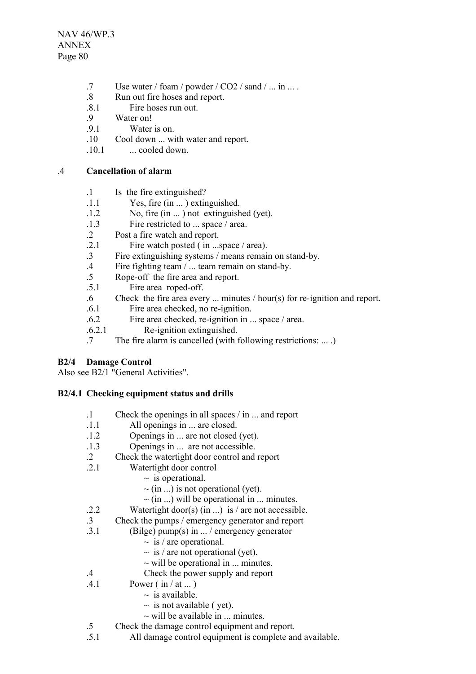NAV 46/WP.3 ANNEX Page 80

- .7 Use water / foam / powder / CO2 / sand / ... in ... .
- .8 Run out fire hoses and report.
- .8.1 Fire hoses run out.
- .9 Water on!
- .9.1 Water is on.
- .10 Cool down ... with water and report.
- $.10.1$  ... cooled down.

### .4 **Cancellation of alarm**

- .1 Is the fire extinguished?
- .1.1 Yes, fire (in ... ) extinguished.
- .1.2 No, fire (in ... ) not extinguished (yet).
- .1.3 Fire restricted to ... space / area.
- .2 Post a fire watch and report.
- .2.1 Fire watch posted ( in ...space / area).
- .3 Fire extinguishing systems / means remain on stand-by.
- .4 Fire fighting team / ... team remain on stand-by.
- .5 Rope-off the fire area and report.
- .5.1 Fire area roped-off.
- .6 Check the fire area every ... minutes / hour(s) for re-ignition and report.
- .6.1 Fire area checked, no re-ignition.
- .6.2 Fire area checked, re-ignition in ... space / area.
- .6.2.1 Re-ignition extinguished.
- .7 The fire alarm is cancelled (with following restrictions: ... .)

# **B2/4 Damage Control**

Also see B2/1 "General Activities".

# **B2/4.1 Checking equipment status and drills**

- .1 Check the openings in all spaces / in ... and report
- .1.1 All openings in ... are closed.
- .1.2 Openings in ... are not closed (yet).
- .1.3 Openings in ... are not accessible.
- .2 Check the watertight door control and report
- .2.1 Watertight door control
	- $\sim$  is operational.
	- $\sim$  (in ...) is not operational (yet).
	- $\sim$  (in ...) will be operational in ... minutes.
- .2.2 Watertight door(s) (in ...) is / are not accessible.
- .3 Check the pumps / emergency generator and report
- .3.1 (Bilge) pump(s) in ... / emergency generator
	- $\sim$  is / are operational.
	- $\sim$  is / are not operational (yet).
	- $\sim$  will be operational in ... minutes.
- .4 Check the power supply and report
- $.4.1$  Power (in / at ...)
	- $\sim$  is available.
	- $\sim$  is not available ( yet).
	- $\sim$  will be available in  $\ldots$  minutes.
- .5 Check the damage control equipment and report.
- .5.1 All damage control equipment is complete and available.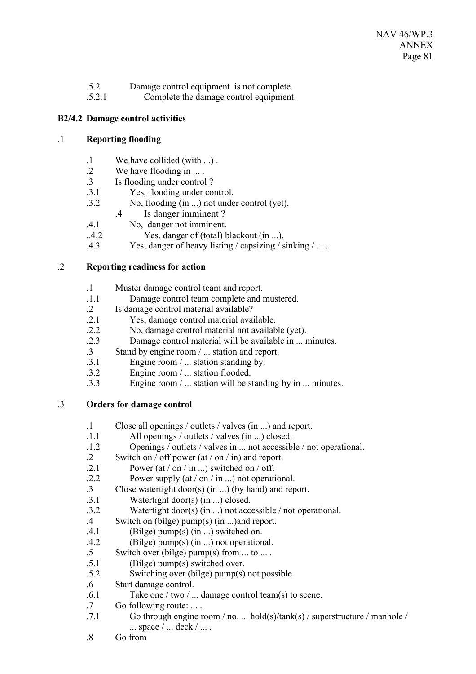- .5.2 Damage control equipment is not complete.
- .5.2.1 Complete the damage control equipment.

## **B2/4.2 Damage control activities**

### .1 **Reporting flooding**

- .1 We have collided (with ...) .
- .2 We have flooding in ... .
- .3 Is flooding under control ?
- .3.1 Yes, flooding under control.
- .3.2 No, flooding (in ...) not under control (yet).
	- .4 Is danger imminent ?
- .4.1 No, danger not imminent.
- ..4.2 Yes, danger of (total) blackout (in ...).
- .4.3 Yes, danger of heavy listing / capsizing / sinking / ... .

### .2 **Reporting readiness for action**

- .1 Muster damage control team and report.
- .1.1 Damage control team complete and mustered.
- .2 Is damage control material available?
- .2.1 Yes, damage control material available.
- .2.2 No, damage control material not available (yet).
- .2.3 Damage control material will be available in ... minutes.
- .3 Stand by engine room / ... station and report.
- .3.1 Engine room / ... station standing by.
- .3.2 Engine room / ... station flooded.
- .3.3 Engine room / ... station will be standing by in ... minutes.

### .3 **Orders for damage control**

- .1 Close all openings / outlets / valves (in ...) and report.
- .1.1 All openings / outlets / valves (in ...) closed.
- .1.2 Openings / outlets / valves in ... not accessible / not operational.
- .2 Switch on / off power (at / on / in) and report.
- .2.1 Power (at / on / in ...) switched on / off.
- .2.2 Power supply (at / on / in ...) not operational.
- .3 Close watertight door(s) (in ...) (by hand) and report.
- .3.1 Watertight door(s) (in ...) closed.
- .3.2 Watertight door(s) (in ...) not accessible / not operational.
- .4 Switch on (bilge) pump(s) (in ...)and report.
- $.4.1$  (Bilge) pump(s) (in ...) switched on.
- .4.2 (Bilge) pump(s) (in ...) not operational.
- .5 Switch over (bilge) pump(s) from ... to ... .
- .5.1 (Bilge) pump(s) switched over.
- .5.2 Switching over (bilge) pump(s) not possible.
- .6 Start damage control.
- .6.1 Take one / two / ... damage control team(s) to scene.
- .7 Go following route: ... .
- .7.1 Go through engine room / no. ... hold(s)/tank(s) / superstructure / manhole /  $\ldots$  space  $\ell$   $\ldots$  deck  $\ell$   $\ldots$  .
- .8 Go from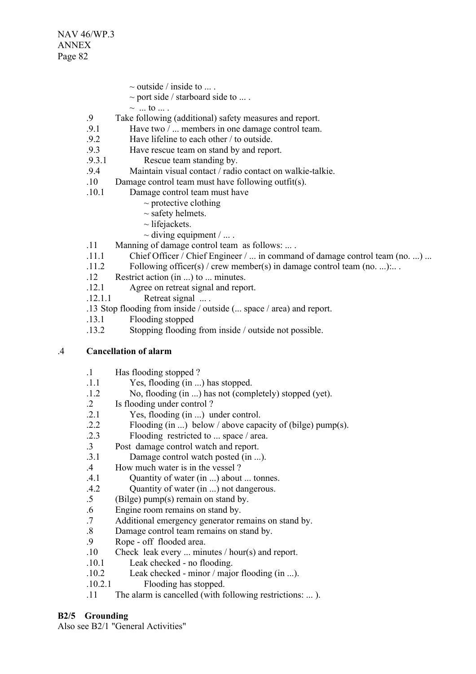- $\sim$  outside / inside to ....
- $\sim$  port side / starboard side to ....
- $\sim$  ... to ....
- .9 Take following (additional) safety measures and report.
- .9.1 Have two / ... members in one damage control team.
- .9.2 Have lifeline to each other / to outside.
- .9.3 Have rescue team on stand by and report.
- .9.3.1 Rescue team standing by.
- .9.4 Maintain visual contact / radio contact on walkie-talkie.
- .10 Damage control team must have following outfit(s).
- .10.1 Damage control team must have
	- $\sim$  protective clothing
	- $\sim$  safety helmets.
	- $\sim$  lifejackets.
	- $\sim$  diving equipment / ...
- .11 Manning of damage control team as follows: ... .
- .11.1 Chief Officer / Chief Engineer / ... in command of damage control team (no. ...) ...
- .11.2 Following officer(s) / crew member(s) in damage control team (no. ...):.. .
- .12 Restrict action (in ...) to ... minutes.
- .12.1 Agree on retreat signal and report.
- $.12.1.1$  Retreat signal  $\ldots$ .
- .13 Stop flooding from inside / outside (... space / area) and report.
- .13.1 Flooding stopped
- .13.2 Stopping flooding from inside / outside not possible.

#### .4 **Cancellation of alarm**

- .1 Has flooding stopped ?
- .1.1 Yes, flooding (in ...) has stopped.
- .1.2 No, flooding (in ...) has not (completely) stopped (yet).
- .2 Is flooding under control ?
- .2.1 Yes, flooding (in ...) under control.
- .2.2 Flooding (in ...) below / above capacity of (bilge) pump(s).
- .2.3 Flooding restricted to ... space / area.
- .3 Post damage control watch and report.
- .3.1 Damage control watch posted (in ...).
- .4 How much water is in the vessel ?
- .4.1 Quantity of water (in ...) about ... tonnes.
- .4.2 Quantity of water (in ...) not dangerous.
- .5 (Bilge) pump(s) remain on stand by.
- .6 Engine room remains on stand by.
- .7 Additional emergency generator remains on stand by.
- .8 Damage control team remains on stand by.
- .9 Rope off flooded area.
- .10 Check leak every ... minutes / hour(s) and report.
- .10.1 Leak checked no flooding.
- .10.2 Leak checked minor / major flooding (in ...).
- .10.2.1 Flooding has stopped.
- .11 The alarm is cancelled (with following restrictions: ... ).

### **B2/5 Grounding**

Also see B2/1 "General Activities"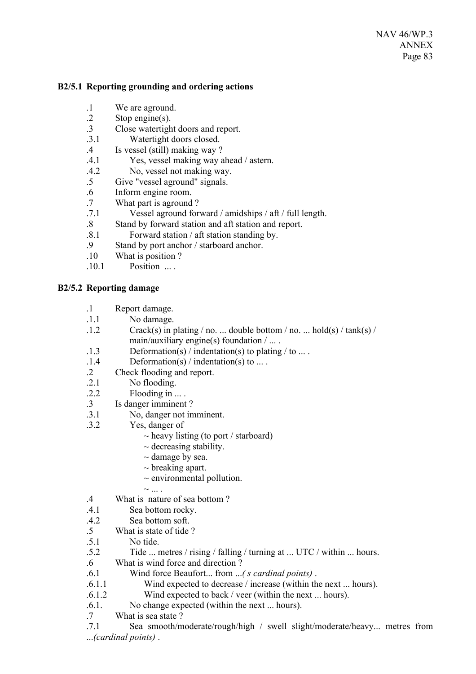### **B2/5.1 Reporting grounding and ordering actions**

- .1 We are aground.
- .2 Stop engine(s).
- .3 Close watertight doors and report.
- .3.1 Watertight doors closed.
- .4 Is vessel (still) making way ?
- .4.1 Yes, vessel making way ahead / astern.
- .4.2 No, vessel not making way.
- .5 Give "vessel aground" signals.
- .6 Inform engine room.
- .7 What part is aground ?
- .7.1 Vessel aground forward / amidships / aft / full length.
- .8 Stand by forward station and aft station and report.
- .8.1 Forward station / aft station standing by.
- .9 Stand by port anchor / starboard anchor.
- .10 What is position ?
- .10.1 Position ... .

## **B2/5.2 Reporting damage**

- .1 Report damage.
- .1.1 No damage.
- $1.2$  Crack(s) in plating / no. ... double bottom / no. ... hold(s) / tank(s) / main/auxiliary engine(s) foundation / ... .
- .1.3 Deformation(s) / indentation(s) to plating / to ... .
- $.1.4$  Deformation(s) / indentation(s) to ...
- .2 Check flooding and report.
- .2.1 No flooding.
- $.2.2$  Flooding in ...
- .3 Is danger imminent ?
- .3.1 No, danger not imminent.
- .3.2 Yes, danger of
	- $\sim$  heavy listing (to port / starboard)
	- $\sim$  decreasing stability.
	- $\sim$  damage by sea.
	- $\sim$  breaking apart.
	- $\sim$  environmental pollution.
	- $\sim$  ....
- .4 What is nature of sea bottom ?
- .4.1 Sea bottom rocky.
- .4.2 Sea bottom soft.
- .5 What is state of tide ?
- .5.1 No tide.
- .5.2 Tide ... metres / rising / falling / turning at ... UTC / within ... hours.
- .6 What is wind force and direction ?
- .6.1 Wind force Beaufort... from ...*( s cardinal points)* .
- .6.1.1 Wind expected to decrease / increase (within the next ... hours).
- .6.1.2 Wind expected to back / veer (within the next ... hours).
- .6.1. No change expected (within the next ... hours).
- .7 What is sea state ?

.7.1 Sea smooth/moderate/rough/high / swell slight/moderate/heavy... metres from ...*(cardinal points)* .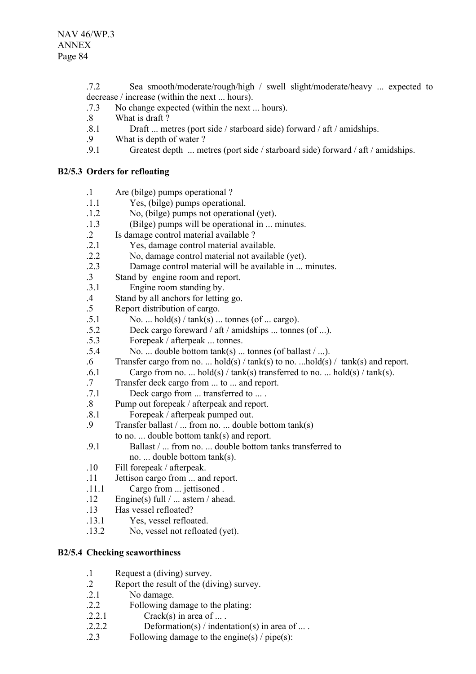.7.2 Sea smooth/moderate/rough/high / swell slight/moderate/heavy ... expected to decrease / increase (within the next ... hours).

- .7.3 No change expected (within the next ... hours).
- .8 What is draft ?
- .8.1 Draft ... metres (port side / starboard side) forward / aft / amidships.
- .9 What is depth of water ?
- .9.1 Greatest depth ... metres (port side / starboard side) forward / aft / amidships.

## **B2/5.3 Orders for refloating**

| $\cdot$ 1     | Are (bilge) pumps operational?                         |
|---------------|--------------------------------------------------------|
| .1.1          | Yes, (bilge) pumps operational.                        |
| .1.2          | No, (bilge) pumps not operational (yet).               |
| .1.3          | (Bilge) pumps will be operational in  minutes.         |
| $\cdot$ 2     | Is damage control material available ?                 |
| .2.1          | Yes, damage control material available.                |
| .2.2          | No, damage control material not available (yet).       |
| .2.3          | Damage control material will be available in  minutes. |
| $\mathcal{R}$ | Stand by engine room and report.                       |

- .3.1 Engine room standing by.
- .4 Stand by all anchors for letting go.
- .5 Report distribution of cargo.
- $.5.1$  No. ... hold(s) / tank(s) ... tonnes (of ... cargo).
- .5.2 Deck cargo foreward / aft / amidships ... tonnes (of ...).
- .5.3 Forepeak / afterpeak ... tonnes.
- $.5.4$  No. ... double bottom tank(s) ... tonnes (of ballast / ...).
- .6 Transfer cargo from no. ... hold(s) / tank(s) to no. ...hold(s) / tank(s) and report.
- .6.1 Cargo from no. ... hold(s) / tank(s) transferred to no. ... hold(s) / tank(s).
- .7 Transfer deck cargo from ... to ... and report.
- .7.1 Deck cargo from ... transferred to ... .
- .8 Pump out forepeak / afterpeak and report.
- .8.1 Forepeak / afterpeak pumped out.
- .9 Transfer ballast / ... from no. ... double bottom tank(s)
	- to no. ... double bottom tank(s) and report.
- .9.1 Ballast / ... from no. ... double bottom tanks transferred to no. ... double bottom tank(s).
- .10 Fill forepeak / afterpeak.
- .11 Jettison cargo from ... and report.
- .11.1 Cargo from ... jettisoned .
- .12 Engine(s) full / ... astern / ahead.
- .13 Has vessel refloated?
- .13.1 Yes, vessel refloated.
- .13.2 No, vessel not refloated (yet).

# **B2/5.4 Checking seaworthiness**

- .1 Request a (diving) survey.
- .2 Report the result of the (diving) survey.
- .2.1 No damage.
- .2.2 Following damage to the plating:
- $.2.2.1$  Crack(s) in area of ...
- $.2.2.2$  Deformation(s) / indentation(s) in area of ...
- .2.3 Following damage to the engine(s) / pipe(s):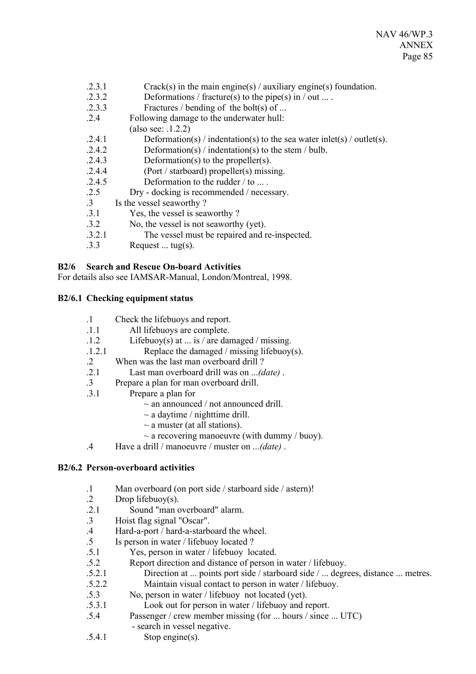- $2.3.1$  Crack(s) in the main engine(s) / auxiliary engine(s) foundation.
- .2.3.2 Deformations / fracture(s) to the pipe(s) in / out ... .
- .2.3.3 Fractures / bending of the bolt(s) of ...
- .2.4 Following damage to the underwater hull:
	- (also see: .1.2.2)
- $.2.4.1$  Deformation(s) / indentation(s) to the sea water inlet(s) / outlet(s).
- .2.4.2 Deformation(s) / indentation(s) to the stem / bulb.
- .2.4.3 Deformation(s) to the propeller(s).
- .2.4.4 (Port / starboard) propeller(s) missing.
- $2.4.5$  Deformation to the rudder  $/$  to ...
- .2.5 Dry docking is recommended / necessary.
- .3 Is the vessel seaworthy ?
- .3.1 Yes, the vessel is seaworthy ?
- .3.2 No, the vessel is not seaworthy (yet).
- .3.2.1 The vessel must be repaired and re-inspected.
- $.3.3$  Request ... tug(s).

# **B2/6 Search and Rescue On-board Activities**

For details also see IAMSAR-Manual, London/Montreal, 1998.

# **B2/6.1 Checking equipment status**

- .1 Check the lifebuoys and report.
- .1.1 All lifebuoys are complete.
- .1.2 Lifebuoy(s) at ... is / are damaged / missing.
- .1.2.1 Replace the damaged / missing lifebuoy(s).
- .2 When was the last man overboard drill ?
- .2.1 Last man overboard drill was on ...*(date)* .
- .3 Prepare a plan for man overboard drill.
- .3.1 Prepare a plan for
	- $\sim$  an announced / not announced drill.
	- $\sim$  a daytime / nighttime drill.
	- $\sim$  a muster (at all stations).
	- $\sim$  a recovering manoeuvre (with dummy / buoy).
- .4 Have a drill / manoeuvre / muster on ...*(date)* .

# **B2/6.2 Person-overboard activities**

- .1 Man overboard (on port side / starboard side / astern)!
- .2 Drop lifebuoy(s).
- .2.1 Sound "man overboard" alarm.
- .3 Hoist flag signal "Oscar".
- .4 Hard-a-port / hard-a-starboard the wheel.
- .5 Is person in water / lifebuoy located ?
- .5.1 Yes, person in water / lifebuoy located.
- .5.2 Report direction and distance of person in water / lifebuoy.
- .5.2.1 Direction at ... points port side / starboard side / ... degrees, distance ... metres.
- .5.2.2 Maintain visual contact to person in water / lifebuoy.
- .5.3 No, person in water / lifebuoy not located (yet).
- .5.3.1 Look out for person in water / lifebuoy and report.
- .5.4 Passenger / crew member missing (for ... hours / since ... UTC)
	- search in vessel negative.
- .5.4.1 Stop engine(s).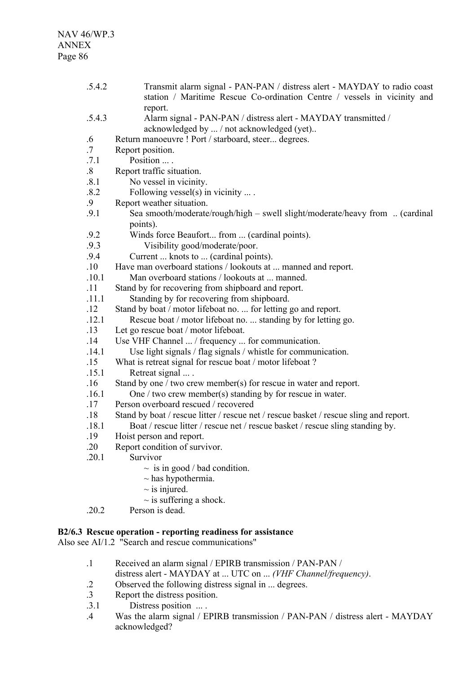.5.4.2 Transmit alarm signal - PAN-PAN / distress alert - MAYDAY to radio coast station / Maritime Rescue Co-ordination Centre / vessels in vicinity and report. .5.4.3 Alarm signal - PAN-PAN / distress alert - MAYDAY transmitted / acknowledged by ... / not acknowledged (yet).. .6 Return manoeuvre ! Port / starboard, steer... degrees. .7 Report position. .7.1 Position ... . .8 Report traffic situation. .8.1 No vessel in vicinity. .8.2 Following vessel(s) in vicinity ... . .9 Report weather situation. .9.1 Sea smooth/moderate/rough/high – swell slight/moderate/heavy from .. (cardinal points). .9.2 Winds force Beaufort... from ... (cardinal points). .9.3 Visibility good/moderate/poor. .9.4 Current ... knots to ... (cardinal points). .10 Have man overboard stations / lookouts at ... manned and report. .10.1 Man overboard stations / lookouts at ... manned. .11 Stand by for recovering from shipboard and report. .11.1 Standing by for recovering from shipboard. .12 Stand by boat / motor lifeboat no. ... for letting go and report. .12.1 Rescue boat / motor lifeboat no. ... standing by for letting go. .13 Let go rescue boat / motor lifeboat. .14 Use VHF Channel ... / frequency ... for communication. .14.1 Use light signals / flag signals / whistle for communication. .15 What is retreat signal for rescue boat / motor lifeboat ? .15.1 Retreat signal ... . .16 Stand by one / two crew member(s) for rescue in water and report. .16.1 One / two crew member(s) standing by for rescue in water. .17 Person overboard rescued / recovered .18 Stand by boat / rescue litter / rescue net / rescue basket / rescue sling and report. .18.1 Boat / rescue litter / rescue net / rescue basket / rescue sling standing by. .19 Hoist person and report. .20 Report condition of survivor. .20.1 Survivor  $\sim$  is in good / bad condition.  $\sim$  has hypothermia.  $\sim$  is injured.  $\sim$  is suffering a shock. .20.2 Person is dead. **B2/6.3 Rescue operation - reporting readiness for assistance**

Also see AI/1.2 "Search and rescue communications"

- .1 Received an alarm signal / EPIRB transmission / PAN-PAN / distress alert - MAYDAY at ... UTC on ... *(VHF Channel/frequency)*.
- .2 Observed the following distress signal in ... degrees.
- .3 Report the distress position.
- .3.1 Distress position ... .
- .4 Was the alarm signal / EPIRB transmission / PAN-PAN / distress alert MAYDAY acknowledged?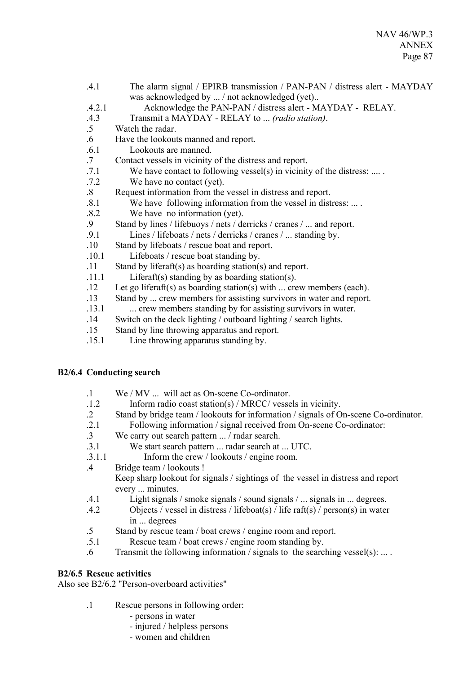- .4.1 The alarm signal / EPIRB transmission / PAN-PAN / distress alert MAYDAY was acknowledged by ... / not acknowledged (yet)..
- .4.2.1 Acknowledge the PAN-PAN / distress alert MAYDAY RELAY.
- .4.3 Transmit a MAYDAY RELAY to ... *(radio station)*.
- .5 Watch the radar.
- .6 Have the lookouts manned and report.
- .6.1 Lookouts are manned.
- .7 Contact vessels in vicinity of the distress and report.
- .7.1 We have contact to following vessel(s) in vicinity of the distress: .... .
- .7.2 We have no contact (yet).
- .8 Request information from the vessel in distress and report.
- .8.1 We have following information from the vessel in distress: ... .
- .8.2 We have no information (yet).
- .9 Stand by lines / lifebuoys / nets / derricks / cranes / ... and report.
- .9.1 Lines / lifeboats / nets / derricks / cranes / ... standing by.
- .10 Stand by lifeboats / rescue boat and report.
- .10.1 Lifeboats / rescue boat standing by.
- .11 Stand by liferaft(s) as boarding station(s) and report.
- .11.1 Liferaft(s) standing by as boarding station(s).
- .12 Let go liferaft(s) as boarding station(s) with ... crew members (each).
- .13 Stand by ... crew members for assisting survivors in water and report.
- .13.1 ... crew members standing by for assisting survivors in water.
- .14 Switch on the deck lighting / outboard lighting / search lights.
- .15 Stand by line throwing apparatus and report.
- .15.1 Line throwing apparatus standing by.

# **B2/6.4 Conducting search**

- .1 We / MV ... will act as On-scene Co-ordinator.
- .1.2 Inform radio coast station(s) / MRCC/ vessels in vicinity.
- .2 Stand by bridge team / lookouts for information / signals of On-scene Co-ordinator.
- .2.1 Following information / signal received from On-scene Co-ordinator:
- .3 We carry out search pattern ... / radar search.
- .3.1 We start search pattern ... radar search at ... UTC.
- .3.1.1 Inform the crew / lookouts / engine room.
- .4 Bridge team / lookouts ! Keep sharp lookout for signals / sightings of the vessel in distress and report every ... minutes.
- .4.1 Light signals / smoke signals / sound signals / ... signals in ... degrees.
- .4.2 Objects / vessel in distress / lifeboat(s) / life raft(s) / person(s) in water in ... degrees
- .5 Stand by rescue team / boat crews / engine room and report.
- .5.1 Rescue team / boat crews / engine room standing by.
- .6 Transmit the following information / signals to the searching vessel(s): ... .

# **B2/6.5 Rescue activities**

Also see B2/6.2 "Person-overboard activities"

- .1 Rescue persons in following order:
	- persons in water
	- injured / helpless persons
	- women and children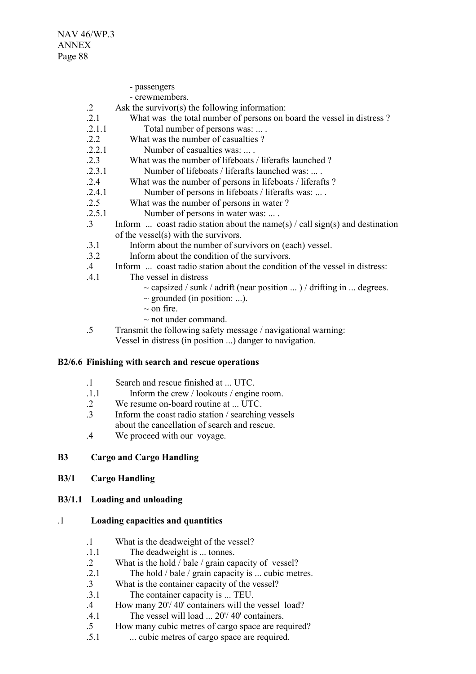- passengers
- crewmembers.
- .2 Ask the survivor(s) the following information:
- .2.1 What was the total number of persons on board the vessel in distress ?
- .2.1.1 Total number of persons was: ... .
- 2.2 What was the number of casualties ?
- .2.2.1 Number of casualties was: ... .
- .2.3 What was the number of lifeboats / liferafts launched ?
- .2.3.1 Number of lifeboats / liferafts launched was: ... .
- .2.4 What was the number of persons in lifeboats / liferafts ?
- .2.4.1 Number of persons in lifeboats / liferafts was: ... .
- .2.5 What was the number of persons in water ?
- .2.5.1 Number of persons in water was: ... .
- .3 Inform ... coast radio station about the name(s) / call sign(s) and destination of the vessel(s) with the survivors.
- .3.1 Inform about the number of survivors on (each) vessel.
- .3.2 Inform about the condition of the survivors.
- .4 Inform ... coast radio station about the condition of the vessel in distress:
- .4.1 The vessel in distress
	- $\sim$  capsized / sunk / adrift (near position ...) / drifting in ... degrees.
	- $\sim$  grounded (in position: ...).
	- $\sim$  on fire.
	- $\sim$  not under command.
- .5 Transmit the following safety message / navigational warning: Vessel in distress (in position ...) danger to navigation.

#### **B2/6.6 Finishing with search and rescue operations**

- .1 Search and rescue finished at ... UTC.
- .1.1 Inform the crew / lookouts / engine room.
- .2 We resume on-board routine at ... UTC.
- .3 Inform the coast radio station / searching vessels about the cancellation of search and rescue.
- .4 We proceed with our voyage.

#### **B3 Cargo and Cargo Handling**

**B3/1 Cargo Handling** 

#### **B3/1.1 Loading and unloading**

#### .1 **Loading capacities and quantities**

- .1 What is the deadweight of the vessel?
- .1.1 The deadweight is ... tonnes.
- .2 What is the hold / bale / grain capacity of vessel?
- .2.1 The hold / bale / grain capacity is ... cubic metres.
- .3 What is the container capacity of the vessel?
- .3.1 The container capacity is ... TEU.
- .4 How many 20'/ 40' containers will the vessel load?
- .4.1 The vessel will load ... 20'/ 40' containers.
- .5 How many cubic metres of cargo space are required?
- .5.1 ... cubic metres of cargo space are required.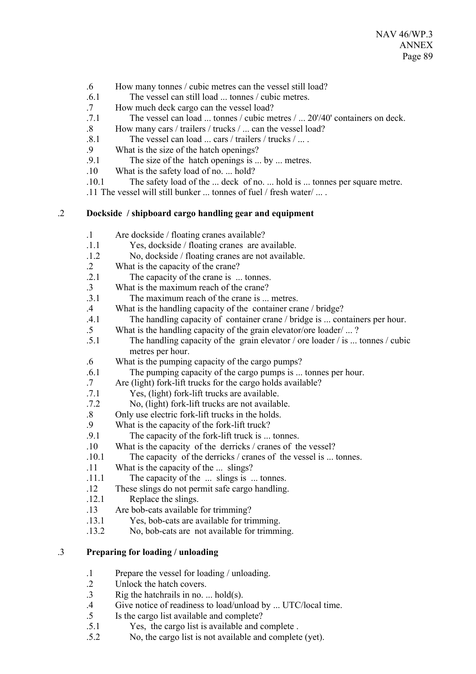- .6 How many tonnes / cubic metres can the vessel still load?
- .6.1 The vessel can still load ... tonnes / cubic metres.
- .7 How much deck cargo can the vessel load?
- .7.1 The vessel can load ... tonnes / cubic metres / ... 20'/40' containers on deck.
- .8 How many cars / trailers / trucks / ... can the vessel load?
- .8.1 The vessel can load ... cars / trailers / trucks / ... . . 9 What is the size of the hatch openings?
- What is the size of the hatch openings?
- .9.1 The size of the hatch openings is ... by ... metres.
- .10 What is the safety load of no. ... hold?
- .10.1 The safety load of the ... deck of no. ... hold is ... tonnes per square metre.

.11 The vessel will still bunker ... tonnes of fuel / fresh water/ ... .

## .2 **Dockside / shipboard cargo handling gear and equipment**

- .1 Are dockside / floating cranes available?
- .1.1 Yes, dockside / floating cranes are available.
- .1.2 No, dockside / floating cranes are not available.
- .2 What is the capacity of the crane?
- .2.1 The capacity of the crane is ... tonnes.
- .3 What is the maximum reach of the crane?
- .3.1 The maximum reach of the crane is ... metres.
- .4 What is the handling capacity of the container crane / bridge?
- .4.1 The handling capacity of container crane / bridge is ... containers per hour.
- .5 What is the handling capacity of the grain elevator/ore loader/ ... ?
- .5.1 The handling capacity of the grain elevator / ore loader / is ... tonnes / cubic metres per hour.
- .6 What is the pumping capacity of the cargo pumps?
- .6.1 The pumping capacity of the cargo pumps is ... tonnes per hour.
- .7 Are (light) fork-lift trucks for the cargo holds available?
- .7.1 Yes, (light) fork-lift trucks are available.
- .7.2 No, (light) fork-lift trucks are not available.
- .8 Only use electric fork-lift trucks in the holds.
- .9 What is the capacity of the fork-lift truck?
- .9.1 The capacity of the fork-lift truck is ... tonnes.
- .10 What is the capacity of the derricks / cranes of the vessel?
- .10.1 The capacity of the derricks / cranes of the vessel is ... tonnes.
- .11 What is the capacity of the ... slings?
- .11.1 The capacity of the ... slings is ... tonnes.
- .12 These slings do not permit safe cargo handling.
- .12.1 Replace the slings.
- .13 Are bob-cats available for trimming?
- .13.1 Yes, bob-cats are available for trimming.
- .13.2 No, bob-cats are not available for trimming.

# .3 **Preparing for loading / unloading**

- .1 Prepare the vessel for loading / unloading.
- .2 Unlock the hatch covers.
- .3 Rig the hatchrails in no. ... hold(s).
- .4 Give notice of readiness to load/unload by ... UTC/local time.
- .5 Is the cargo list available and complete?
- .5.1 Yes, the cargo list is available and complete .
- .5.2 No, the cargo list is not available and complete (yet).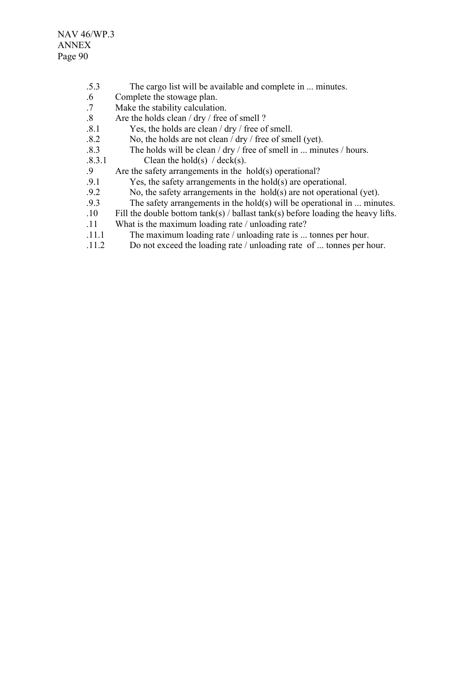- .5.3 The cargo list will be available and complete in ... minutes.
- .6 Complete the stowage plan.
- .7 Make the stability calculation.
- .8 Are the holds clean / dry / free of smell ?
- .8.1 Yes, the holds are clean / dry / free of smell.
- $.8.2$  No, the holds are not clean  $/$  dry  $/$  free of smell (yet).
- .8.3 The holds will be clean / dry / free of smell in ... minutes / hours.
- $.8.3.1$  Clean the hold(s) / deck(s).
- .9 Are the safety arrangements in the hold(s) operational?
- .9.1 Yes, the safety arrangements in the hold(s) are operational.<br>9.2 No. the safety arrangements in the hold(s) are not operation
- No, the safety arrangements in the hold(s) are not operational (yet).
- .9.3 The safety arrangements in the hold(s) will be operational in ... minutes.
- .10 Fill the double bottom tank(s) / ballast tank(s) before loading the heavy lifts.
- .11 What is the maximum loading rate / unloading rate?
- .11.1 The maximum loading rate / unloading rate is ... tonnes per hour.
- .11.2 Do not exceed the loading rate / unloading rate of ... tonnes per hour.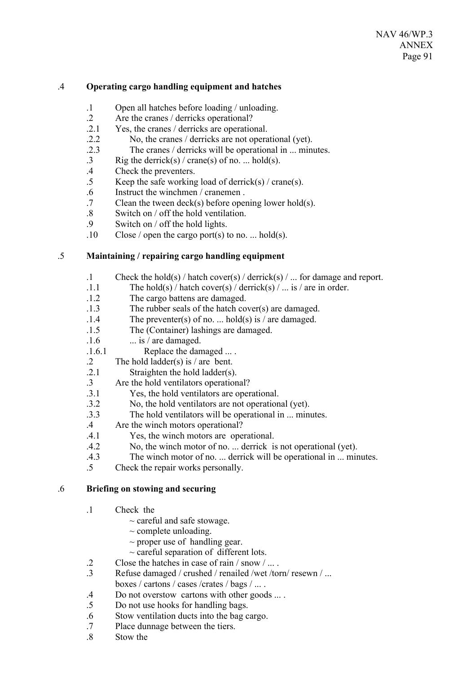### .4 **Operating cargo handling equipment and hatches**

- .1 Open all hatches before loading / unloading.
- .2 Are the cranes / derricks operational?<br>2.1 Yes the cranes / derricks are operation
- Yes, the cranes / derricks are operational.
- .2.2 No, the cranes / derricks are not operational (yet).
- .2.3 The cranes / derricks will be operational in ... minutes.
- .3 Rig the derrick(s) / crane(s) of no. ... hold(s).
- .4 Check the preventers.
- .5 Keep the safe working load of derrick(s) / crane(s).
- .6 Instruct the winchmen / cranemen .
- .7 Clean the tween deck(s) before opening lower hold(s).
- .8 Switch on / off the hold ventilation.
- .9 Switch on / off the hold lights.
- $.10$  Close / open the cargo port(s) to no. ... hold(s).

# .5 **Maintaining / repairing cargo handling equipment**

- .1 Check the hold(s) / hatch cover(s) / derrick(s) / ... for damage and report.
- .1.1 The hold(s) / hatch cover(s) / derrick(s) / ... is / are in order.
- .1.2 The cargo battens are damaged.
- .1.3 The rubber seals of the hatch cover(s) are damaged.
- .1.4 The preventer(s) of no. ... hold(s) is / are damaged.
- .1.5 The (Container) lashings are damaged.
- $1.6$  ... is / are damaged.
- .1.6.1 Replace the damaged ... .
- .2 The hold ladder(s) is / are bent.
- .2.1 Straighten the hold ladder(s).
- .3 Are the hold ventilators operational?
- .3.1 Yes, the hold ventilators are operational.
- .3.2 No, the hold ventilators are not operational (yet).
- .3.3 The hold ventilators will be operational in ... minutes.
- .4 Are the winch motors operational?
- .4.1 Yes, the winch motors are operational.
- .4.2 No, the winch motor of no. ... derrick is not operational (yet).
- .4.3 The winch motor of no. ... derrick will be operational in ... minutes.
- .5 Check the repair works personally.

### .6 **Briefing on stowing and securing**

- .1 Check the
	- $\sim$  careful and safe stowage.
	- $\sim$  complete unloading.
	- $\sim$  proper use of handling gear.
	- $\sim$  careful separation of different lots.
- .2 Close the hatches in case of rain / snow / ... .
- .3 Refuse damaged / crushed / renailed /wet /torn/ resewn / ... boxes / cartons / cases /crates / bags / ... .
- .4 Do not overstow cartons with other goods ... .
- .5 Do not use hooks for handling bags.
- .6 Stow ventilation ducts into the bag cargo.
- .7 Place dunnage between the tiers.
- .8 Stow the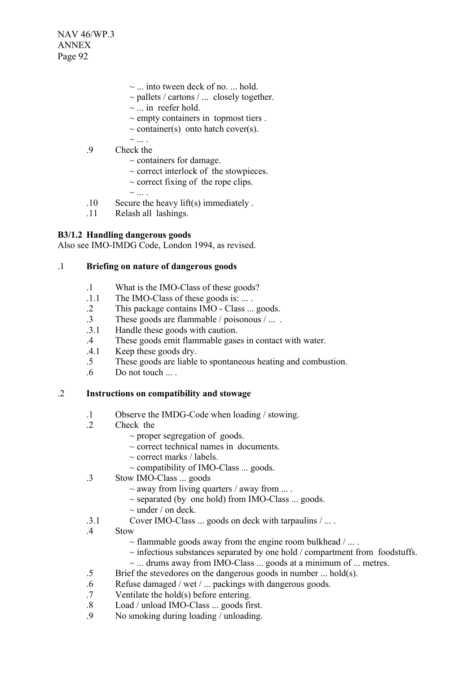NAV 46/WP.3 ANNEX Page 92

- ~ ... into tween deck of no. ... hold.
- $\sim$  pallets / cartons / ... closely together.
- $\sim$  ... in reefer hold.
- $\sim$  empty containers in topmost tiers.
- $\sim$  container(s) onto hatch cover(s).
- $\sim$ .9 Check the
	- $\sim$  containers for damage.
		- $\sim$  correct interlock of the stowpieces.
		- $\sim$  correct fixing of the rope clips.
	- $\sim$
- .10 Secure the heavy lift(s) immediately .
- .11 Relash all lashings.

## **B3/1.2 Handling dangerous goods**

Also see IMO-IMDG Code, London 1994, as revised.

#### .1 **Briefing on nature of dangerous goods**

- .1 What is the IMO-Class of these goods?
- .1.1 The IMO-Class of these goods is: ... .
- .2 This package contains IMO Class ... goods.
- .3 These goods are flammable / poisonous / ... .
- .3.1 Handle these goods with caution.
- .4 These goods emit flammable gases in contact with water.
- .4.1 Keep these goods dry.
- .5 These goods are liable to spontaneous heating and combustion.
- .6 Do not touch ... .

### .2 **Instructions on compatibility and stowage**

- .1 Observe the IMDG-Code when loading / stowing.
- .2 Check the
	- $\sim$  proper segregation of goods.
	- $\sim$  correct technical names in documents.
	- $\sim$  correct marks / labels.
	- ~ compatibility of IMO-Class ... goods.
- .3 Stow IMO-Class ... goods
	- $\sim$  away from living quarters / away from ....
	- $\sim$  separated (by one hold) from IMO-Class  $\ldots$  goods.
	- $\sim$  under / on deck.
- .3.1 Cover IMO-Class ... goods on deck with tarpaulins / ... .
- .4 Stow
	- $\sim$  flammable goods away from the engine room bulkhead / ....
	- $\sim$  infectious substances separated by one hold / compartment from foodstuffs.
	- $\sim$  ... drums away from IMO-Class ... goods at a minimum of ... metres.
- .5 Brief the stevedores on the dangerous goods in number ... hold(s).
- .6 Refuse damaged / wet / ... packings with dangerous goods.
- .7 Ventilate the hold(s) before entering.
- .8 Load / unload IMO-Class ... goods first.
- .9 No smoking during loading / unloading.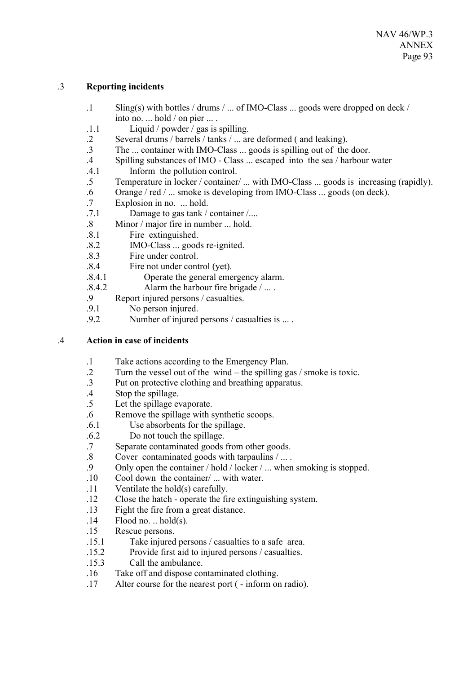# .3 **Reporting incidents**

- .1 Sling(s) with bottles / drums / ... of IMO-Class ... goods were dropped on deck / into no. ... hold / on pier ... .
- .1.1 Liquid / powder / gas is spilling.
- .2 Several drums / barrels / tanks / ... are deformed ( and leaking).
- .3 The ... container with IMO-Class ... goods is spilling out of the door.
- .4 Spilling substances of IMO Class ... escaped into the sea / harbour water
- .4.1 Inform the pollution control.
- .5 Temperature in locker / container/ ... with IMO-Class ... goods is increasing (rapidly).
- .6 Orange / red / ... smoke is developing from IMO-Class ... goods (on deck).
- .7 Explosion in no. ... hold.
- .7.1 Damage to gas tank / container /....
- .8 Minor / major fire in number ... hold.
- .8.1 Fire extinguished.
- .8.2 IMO-Class ... goods re-ignited.
- .8.3 Fire under control.
- .8.4 Fire not under control (yet).
- .8.4.1 Operate the general emergency alarm.
- .8.4.2 Alarm the harbour fire brigade / ... .
- Report injured persons / casualties.
- .9.1 No person injured.
- .9.2 Number of injured persons / casualties is ... .

### .4 **Action in case of incidents**

- .1 Take actions according to the Emergency Plan.
- .2 Turn the vessel out of the wind the spilling gas / smoke is toxic.
- .3 Put on protective clothing and breathing apparatus.
- .4 Stop the spillage.
- .5 Let the spillage evaporate.
- .6 Remove the spillage with synthetic scoops.
- .6.1 Use absorbents for the spillage.
- .6.2 Do not touch the spillage.
- .7 Separate contaminated goods from other goods.
- .8 Cover contaminated goods with tarpaulins / ... .
- .9 Only open the container / hold / locker / ... when smoking is stopped.
- .10 Cool down the container/ ... with water.
- .11 Ventilate the hold(s) carefully.
- .12 Close the hatch operate the fire extinguishing system.
- .13 Fight the fire from a great distance.
- $.14$  Flood no. .. hold(s).
- .15 Rescue persons.
- .15.1 Take injured persons / casualties to a safe area.
- .15.2 Provide first aid to injured persons / casualties.
- .15.3 Call the ambulance.
- .16 Take off and dispose contaminated clothing.
- .17 Alter course for the nearest port ( inform on radio).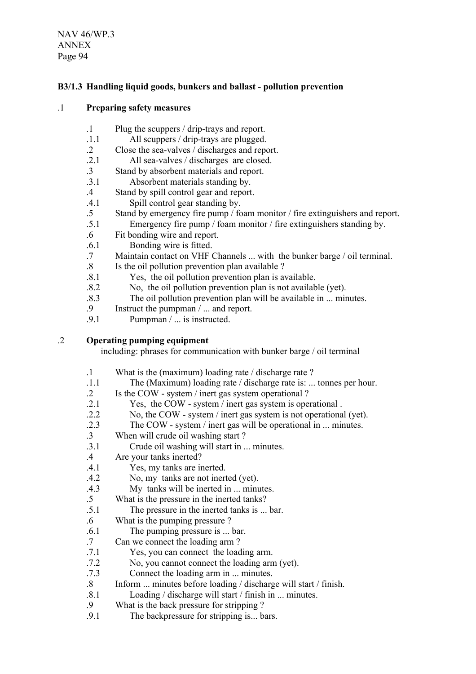NAV 46/WP.3 ANNEX Page 94

# **B3/1.3 Handling liquid goods, bunkers and ballast - pollution prevention**

#### .1 **Preparing safety measures**

- .1 Plug the scuppers / drip-trays and report.
- .1.1 All scuppers / drip-trays are plugged.
- .2 Close the sea-valves / discharges and report.
- .2.1 All sea-valves / discharges are closed.
- .3 Stand by absorbent materials and report.
- .3.1 Absorbent materials standing by.
- .4 Stand by spill control gear and report.
- .4.1 Spill control gear standing by.
- .5 Stand by emergency fire pump / foam monitor / fire extinguishers and report.
- .5.1 Emergency fire pump / foam monitor / fire extinguishers standing by.
- .6 Fit bonding wire and report.
- .6.1 Bonding wire is fitted.
- .7 Maintain contact on VHF Channels ... with the bunker barge / oil terminal.
- .8 Is the oil pollution prevention plan available ?
- .8.1 Yes, the oil pollution prevention plan is available.
- .8.2 No, the oil pollution prevention plan is not available (yet).
- .8.3 The oil pollution prevention plan will be available in ... minutes.
- .9 Instruct the pumpman / ... and report.
- .9.1 Pumpman / ... is instructed.

### .2 **Operating pumping equipment**

including: phrases for communication with bunker barge / oil terminal

- .1 What is the (maximum) loading rate / discharge rate ?
- .1.1 The (Maximum) loading rate / discharge rate is: ... tonnes per hour.
- .2 Is the COW system / inert gas system operational ?
- .2.1 Yes, the COW system / inert gas system is operational .
- .2.2 No, the COW system / inert gas system is not operational (yet).
- .2.3 The COW system / inert gas will be operational in ... minutes.
- .3 When will crude oil washing start ?
- .3.1 Crude oil washing will start in ... minutes.
- .4 Are your tanks inerted?
- .4.1 Yes, my tanks are inerted.
- .4.2 No, my tanks are not inerted (yet).
- .4.3 My tanks will be inerted in ... minutes.

.5 What is the pressure in the inerted tanks?

- .5.1 The pressure in the inerted tanks is ... bar.
- .6 What is the pumping pressure ?
- .6.1 The pumping pressure is ... bar.
- .7 Can we connect the loading arm ?
- .7.1 Yes, you can connect the loading arm.
- .7.2 No, you cannot connect the loading arm (yet).
- .7.3 Connect the loading arm in ... minutes.
- .8 Inform ... minutes before loading / discharge will start / finish.
- .8.1 Loading / discharge will start / finish in ... minutes.
- .9 What is the back pressure for stripping ?
- .9.1 The backpressure for stripping is... bars.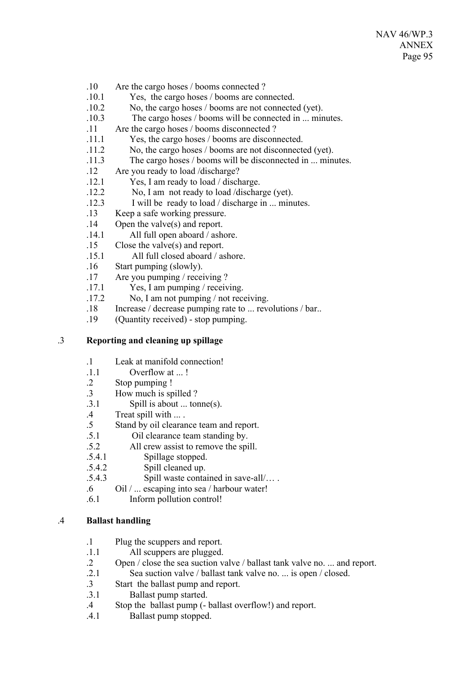- .10 Are the cargo hoses / booms connected ?
- .10.1 Yes, the cargo hoses / booms are connected.
- .10.2 No, the cargo hoses / booms are not connected (yet).
- .10.3 The cargo hoses / booms will be connected in ... minutes.
- .11 Are the cargo hoses / booms disconnected ?
- .11.1 Yes, the cargo hoses / booms are disconnected.
- .11.2 No, the cargo hoses / booms are not disconnected (yet).
- .11.3 The cargo hoses / booms will be disconnected in ... minutes.
- .12 Are you ready to load /discharge?
- .12.1 Yes, I am ready to load / discharge.
- .12.2 No, I am not ready to load /discharge (yet).
- .12.3 I will be ready to load / discharge in ... minutes.
- .13 Keep a safe working pressure.
- .14 Open the valve(s) and report.
- .14.1 All full open aboard / ashore.
- .15 Close the valve(s) and report.
- .15.1 All full closed aboard / ashore.
- .16 Start pumping (slowly).
- .17 Are you pumping / receiving ?
- .17.1 Yes, I am pumping / receiving.
- .17.2 No, I am not pumping / not receiving.
- .18 Increase / decrease pumping rate to ... revolutions / bar..
- .19 (Quantity received) stop pumping.

# .3 **Reporting and cleaning up spillage**

- .1 Leak at manifold connection!
- .1.1 Overflow at ... !
- .2 Stop pumping !
- .3 How much is spilled ?
- .3.1 Spill is about ... tonne(s).
- .4 Treat spill with ... .
- .5 Stand by oil clearance team and report.
- .5.1 Oil clearance team standing by.
- .5.2 All crew assist to remove the spill.
- .5.4.1 Spillage stopped.
- .5.4.2 Spill cleaned up.
- .5.4.3 Spill waste contained in save-all/… .
- .6 Oil / ... escaping into sea / harbour water!
- .6.1 Inform pollution control!

### .4 **Ballast handling**

- .1 Plug the scuppers and report.
- .1.1 All scuppers are plugged.
- .2 Open / close the sea suction valve / ballast tank valve no. ... and report.
- .2.1 Sea suction valve / ballast tank valve no. ... is open / closed.
- .3 Start the ballast pump and report.
- .3.1 Ballast pump started.
- .4 Stop the ballast pump (- ballast overflow!) and report.
- .4.1 Ballast pump stopped.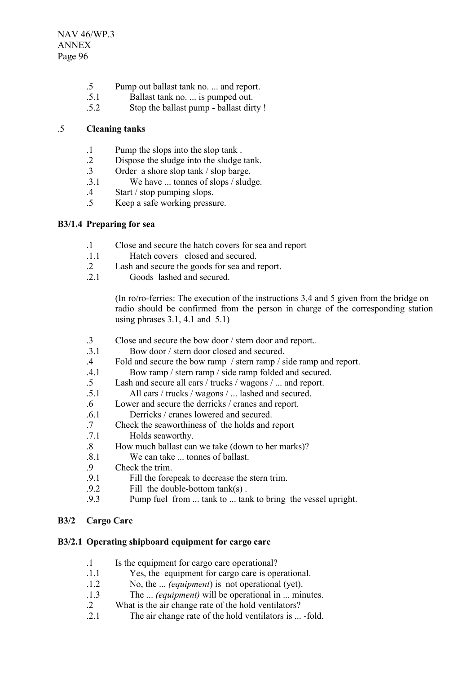- .5 Pump out ballast tank no. ... and report.
- .5.1 Ballast tank no. ... is pumped out.
- .5.2 Stop the ballast pump ballast dirty !

## .5 **Cleaning tanks**

- .1 Pump the slops into the slop tank .
- .2 Dispose the sludge into the sludge tank.
- .3 Order a shore slop tank / slop barge.<br>3.1 We have ... tonnes of slops / slud
- We have ... tonnes of slops / sludge.
- .4 Start / stop pumping slops.
- .5 Keep a safe working pressure.

## **B3/1.4 Preparing for sea**

- .1 Close and secure the hatch covers for sea and report
- .1.1 Hatch covers closed and secured.
- .2 Lash and secure the goods for sea and report.
- 2.1 Goods lashed and secured.

(In ro/ro-ferries: The execution of the instructions 3,4 and 5 given from the bridge on radio should be confirmed from the person in charge of the corresponding station using phrases  $3.1$ ,  $4.1$  and  $5.1$ )

- .3 Close and secure the bow door / stern door and report..
- .3.1 Bow door / stern door closed and secured.
- .4 Fold and secure the bow ramp / stern ramp / side ramp and report.
- .4.1 Bow ramp / stern ramp / side ramp folded and secured.
- .5 Lash and secure all cars / trucks / wagons / ... and report.
- .5.1 All cars / trucks / wagons / ... lashed and secured.
- .6 Lower and secure the derricks / cranes and report.
- .6.1 Derricks / cranes lowered and secured.
- .7 Check the seaworthiness of the holds and report
- .7.1 Holds seaworthy.
- .8 How much ballast can we take (down to her marks)?
- $\overline{81}$  We can take tonnes of ballast.
- .9 Check the trim.<br>9.1 Fill the fore
- Fill the forepeak to decrease the stern trim.
- .9.2 Fill the double-bottom tank(s) .
- .9.3 Pump fuel from ... tank to ... tank to bring the vessel upright.

# **B3/2 Cargo Care**

### **B3/2.1 Operating shipboard equipment for cargo care**

- .1 Is the equipment for cargo care operational?
- .1.1 Yes, the equipment for cargo care is operational.
- .1.2 No, the ... *(equipment*) is not operational (yet).
- .1.3 The ... *(equipment)* will be operational in ... minutes.
- .2 What is the air change rate of the hold ventilators?
- .2.1 The air change rate of the hold ventilators is ... -fold.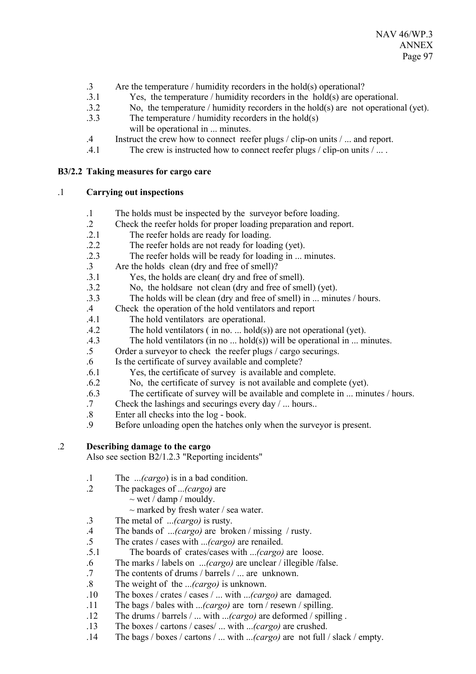- .3 Are the temperature / humidity recorders in the hold(s) operational?
- .3.1 Yes, the temperature / humidity recorders in the hold(s) are operational.
- .3.2 No, the temperature / humidity recorders in the hold(s) arenot operational (yet).
- .3.3 The temperature / humidity recorders in the hold(s) will be operational in ... minutes.
- .4 Instruct the crew how to connect reefer plugs / clip-on units / ... and report.
- .4.1 The crew is instructed how to connect reefer plugs / clip-on units / ... .

### **B3/2.2 Taking measures for cargo care**

### .1 **Carrying out inspections**

- .1 The holds must be inspected by the surveyor before loading.
- .2 Check the reefer holds for proper loading preparation and report.
- .2.1 The reefer holds are ready for loading.
- .2.2 The reefer holds are not ready for loading (yet).
- .2.3 The reefer holds will be ready for loading in ... minutes.
- .3 Are the holds clean (dry and free of smell)?
- .3.1 Yes, the holds are clean( dry and free of smell).
- .3.2 No, the holdsare not clean (dry and free of smell) (yet).
- .3.3 The holds will be clean (dry and free of smell) in ... minutes / hours.
- .4 Check the operation of the hold ventilators and report
- .4.1 The hold ventilators are operational.
- .4.2 The hold ventilators ( in no. ... hold(s)) are not operational (yet).
- .4.3 The hold ventilators (in no ... hold(s)) will be operational in ... minutes.
- .5 Order a surveyor to check the reefer plugs / cargo securings.
- .6 Is the certificate of survey available and complete?
- .6.1 Yes, the certificate of survey is available and complete.
- .6.2 No, the certificate of survey is not available and complete (yet).
- .6.3 The certificate of survey will be available and complete in ... minutes / hours.
- .7 Check the lashings and securings every day / ... hours..
- .8 Enter all checks into the log book.
- .9 Before unloading open the hatches only when the surveyor is present.

## .2 **Describing damage to the cargo**

Also see section B2/1.2.3 "Reporting incidents"

- .1 The ...*(cargo*) is in a bad condition.
- .2 The packages of ...*(cargo)* are
	- $\sim$  wet / damp / mouldy.
	- $\sim$  marked by fresh water / sea water.
- .3 The metal of ...*(cargo)* is rusty.
- .4 The bands of ...*(cargo)* are broken / missing / rusty.
- .5 The crates / cases with ...*(cargo)* are renailed.
- .5.1 The boards of crates/cases with ...*(cargo)* are loose.
- .6 The marks / labels on ...*(cargo)* are unclear / illegible /false.
- .7 The contents of drums / barrels / ... are unknown.
- .8 The weight of the ...*(cargo)* is unknown.
- .10 The boxes / crates / cases / ... with ...*(cargo)* are damaged.
- .11 The bags / bales with ...*(cargo)* are torn / resewn / spilling.
- .12 The drums / barrels / ... with ...*(cargo)* are deformed / spilling .
- .13 The boxes / cartons / cases/ ... with ...*(cargo)* are crushed.
- .14 The bags / boxes / cartons / ... with ...*(cargo)* are not full / slack / empty.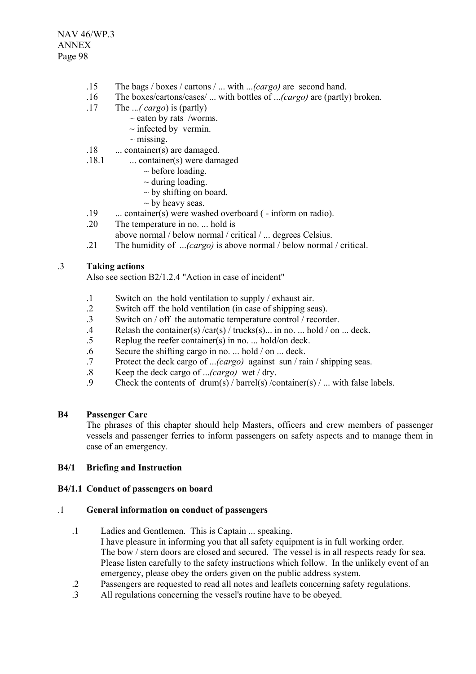- .15 The bags / boxes / cartons / ... with ...*(cargo)* are second hand.
- .16 The boxes/cartons/cases/ ... with bottles of ...*(cargo)* are (partly) broken.
- .17 The ..*.( cargo*) is (partly)
	- $\sim$  eaten by rats /worms.
	- $\sim$  infected by vermin.
	- $\sim$  missing.
- .18 ... container(s) are damaged.
- .18.1 ... container(s) were damaged
	- $\sim$  before loading.
	- $\sim$  during loading.
	- $\sim$  by shifting on board.
	- $\sim$  by heavy seas.
- .19 ... container(s) were washed overboard ( inform on radio).
- .20 The temperature in no. ... hold is
- above normal / below normal / critical / ... degrees Celsius.
- .21 The humidity of ...*(cargo)* is above normal / below normal / critical.

#### .3 **Taking actions**

Also see section B2/1.2.4 "Action in case of incident"

- .1 Switch on the hold ventilation to supply / exhaust air.
- .2 Switch off the hold ventilation (in case of shipping seas).
- .3 Switch on / off the automatic temperature control / recorder.
- .4 Relash the container(s) /car(s) / trucks(s)... in no. ... hold / on ... deck.
- Replug the reefer container(s) in no. ... hold/on deck.
- .6 Secure the shifting cargo in no. ... hold / on ... deck.
- .7 Protect the deck cargo of ...*(cargo)* against sun / rain / shipping seas.
- .8 Keep the deck cargo of ...*(cargo)* wet / dry.
- .9 Check the contents of drum(s) / barrel(s) /container(s) / ... with false labels.

#### **B4 Passenger Care**

The phrases of this chapter should help Masters, officers and crew members of passenger vessels and passenger ferries to inform passengers on safety aspects and to manage them in case of an emergency.

#### **B4/1 Briefing and Instruction**

#### **B4/1.1 Conduct of passengers on board**

#### .1 **General information on conduct of passengers**

- .1 Ladies and Gentlemen. This is Captain ... speaking. I have pleasure in informing you that all safety equipment is in full working order. The bow / stern doors are closed and secured. The vessel is in all respects ready for sea. Please listen carefully to the safety instructions which follow. In the unlikely event of an emergency, please obey the orders given on the public address system.
- .2 Passengers are requested to read all notes and leaflets concerning safety regulations.
- .3 All regulations concerning the vessel's routine have to be obeyed.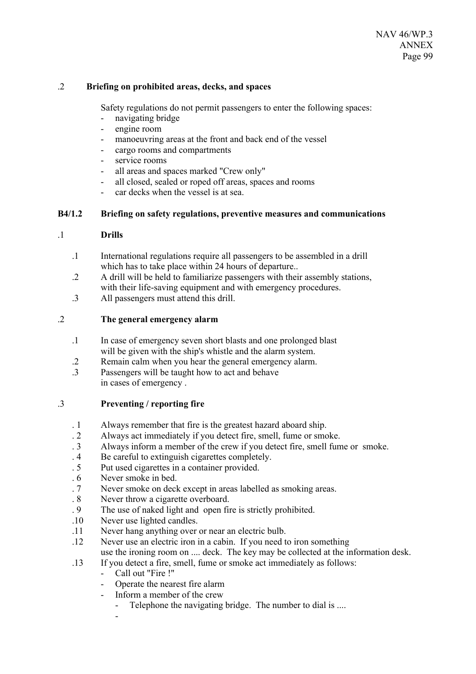### .2 **Briefing on prohibited areas, decks, and spaces**

Safety regulations do not permit passengers to enter the following spaces:

- navigating bridge
- engine room
- manoeuvring areas at the front and back end of the vessel
- cargo rooms and compartments
- service rooms
- all areas and spaces marked "Crew only"
- all closed, sealed or roped off areas, spaces and rooms
- car decks when the vessel is at sea.

### **B4/1.2 Briefing on safety regulations, preventive measures and communications**

### .1 **Drills**

- .1 International regulations require all passengers to be assembled in a drill which has to take place within 24 hours of departure..
- .2 A drill will be held to familiarize passengers with their assembly stations, with their life-saving equipment and with emergency procedures.
- .3 All passengers must attend this drill.

### .2 **The general emergency alarm**

- .1 In case of emergency seven short blasts and one prolonged blast will be given with the ship's whistle and the alarm system.
- .2 Remain calm when you hear the general emergency alarm.
- .3 Passengers will be taught how to act and behave in cases of emergency .

### .3 **Preventing / reporting fire**

- . 1 Always remember that fire is the greatest hazard aboard ship.
- . 2 Always act immediately if you detect fire, smell, fume or smoke.
- . 3 Always inform a member of the crew if you detect fire, smell fume or smoke.
- . 4 Be careful to extinguish cigarettes completely.
- . 5 Put used cigarettes in a container provided.
- . 6 Never smoke in bed.
- . 7 Never smoke on deck except in areas labelled as smoking areas.
- . 8 Never throw a cigarette overboard.
- . 9 The use of naked light and open fire is strictly prohibited.
- .10 Never use lighted candles.
- .11 Never hang anything over or near an electric bulb.
- .12 Never use an electric iron in a cabin. If you need to iron something use the ironing room on .... deck. The key may be collected at the information desk.
- .13 If you detect a fire, smell, fume or smoke act immediately as follows:
	- Call out "Fire !"
	- Operate the nearest fire alarm
	- Inform a member of the crew
		- Telephone the navigating bridge. The number to dial is ....
		- -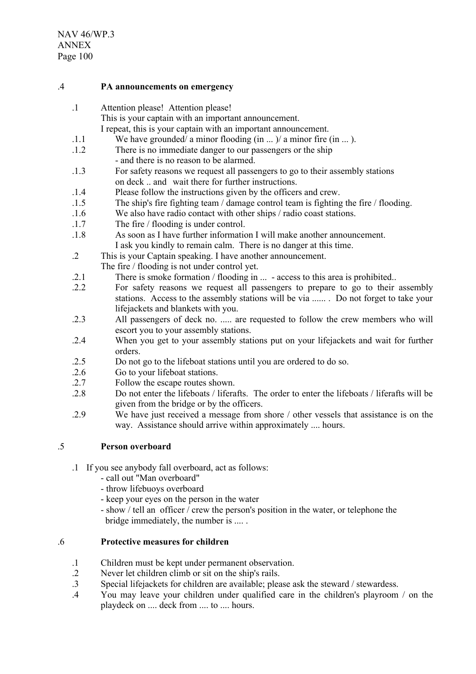#### .4 **PA announcements on emergency**

- .1 Attention please! Attention please!
	- This is your captain with an important announcement.
		- I repeat, this is your captain with an important announcement.
- $1.1$  We have grounded/ a minor flooding (in ...) a minor fire (in ...).
- .1.2 There is no immediate danger to our passengers or the ship - and there is no reason to be alarmed.
- .1.3 For safety reasons we request all passengers to go to their assembly stations on deck .. and wait there for further instructions.
- .1.4 Please follow the instructions given by the officers and crew.
- .1.5 The ship's fire fighting team / damage control team is fighting the fire / flooding.
- .1.6 We also have radio contact with other ships / radio coast stations.
- .1.7 The fire / flooding is under control.
- .1.8 As soon as I have further information I will make another announcement. I ask you kindly to remain calm. There is no danger at this time.
- .2 This is your Captain speaking. I have another announcement. The fire / flooding is not under control yet.
- .2.1 There is smoke formation / flooding in ... access to this area is prohibited..
- .2.2 For safety reasons we request all passengers to prepare to go to their assembly stations. Access to the assembly stations will be via ...... . Do not forget to take your lifejackets and blankets with you.
- .2.3 All passengers of deck no. ..... are requested to follow the crew members who will escort you to your assembly stations.
- .2.4 When you get to your assembly stations put on your lifejackets and wait for further orders.
- .2.5 Do not go to the lifeboat stations until you are ordered to do so.
- .2.6 Go to your lifeboat stations.
- .2.7 Follow the escape routes shown.
- .2.8 Do not enter the lifeboats / liferafts. The order to enter the lifeboats / liferafts will be given from the bridge or by the officers.
- .2.9 We have just received a message from shore / other vessels that assistance is on the way. Assistance should arrive within approximately .... hours.

# .5 **Person overboard**

- .1 If you see anybody fall overboard, act as follows:
	- call out "Man overboard"
	- throw lifebuoys overboard
	- keep your eyes on the person in the water
	- show / tell an officer / crew the person's position in the water, or telephone the bridge immediately, the number is .... .

### .6 **Protective measures for children**

- .1 Children must be kept under permanent observation.
- 2 Never let children climb or sit on the ship's rails.<br>3 Special lifeiackets for children are available: plear-
- Special lifejackets for children are available; please ask the steward / stewardess.
- .4 You may leave your children under qualified care in the children's playroom / on the playdeck on .... deck from .... to .... hours.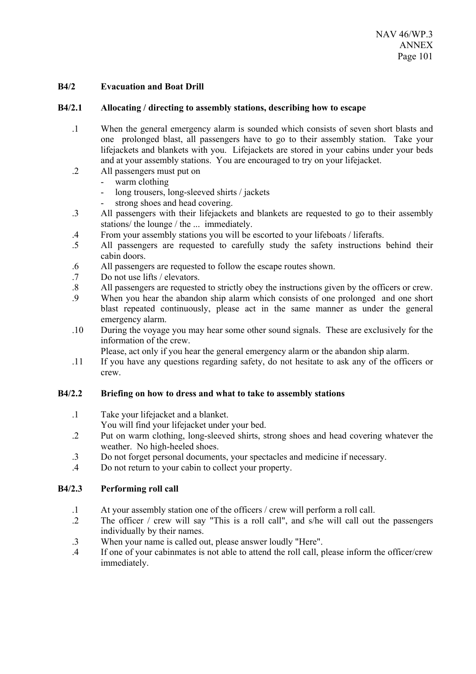# **B4/2 Evacuation and Boat Drill**

### **B4/2.1 Allocating / directing to assembly stations, describing how to escape**

- .1 When the general emergency alarm is sounded which consists of seven short blasts and one prolonged blast, all passengers have to go to their assembly station. Take your lifejackets and blankets with you. Lifejackets are stored in your cabins under your beds and at your assembly stations. You are encouraged to try on your lifejacket.
- .2 All passengers must put on
	- warm clothing
	- long trousers, long-sleeved shirts / jackets
	- strong shoes and head covering.
- .3 All passengers with their lifejackets and blankets are requested to go to their assembly stations/ the lounge / the ... immediately.
- .4 From your assembly stations you will be escorted to your lifeboats / liferafts.
- .5 All passengers are requested to carefully study the safety instructions behind their cabin doors.
- .6 All passengers are requested to follow the escape routes shown.
- .7 Do not use lifts / elevators.
- .8 All passengers are requested to strictly obey the instructions given by the officers or crew.
- .9 When you hear the abandon ship alarm which consists of one prolonged and one short blast repeated continuously, please act in the same manner as under the general emergency alarm.
- .10 During the voyage you may hear some other sound signals. These are exclusively for the information of the crew.
	- Please, act only if you hear the general emergency alarm or the abandon ship alarm.
- .11 If you have any questions regarding safety, do not hesitate to ask any of the officers or crew.

### **B4/2.2 Briefing on how to dress and what to take to assembly stations**

.1 Take your lifejacket and a blanket.

You will find your lifejacket under your bed.

- .2 Put on warm clothing, long-sleeved shirts, strong shoes and head covering whatever the weather. No high-heeled shoes.
- .3 Do not forget personal documents, your spectacles and medicine if necessary.
- .4 Do not return to your cabin to collect your property.

### **B4/2.3 Performing roll call**

- .1 At your assembly station one of the officers / crew will perform a roll call.
- .2 The officer / crew will say "This is a roll call", and s/he will call out the passengers individually by their names.
- .3 When your name is called out, please answer loudly "Here".
- .4 If one of your cabinmates is not able to attend the roll call, please inform the officer/crew immediately.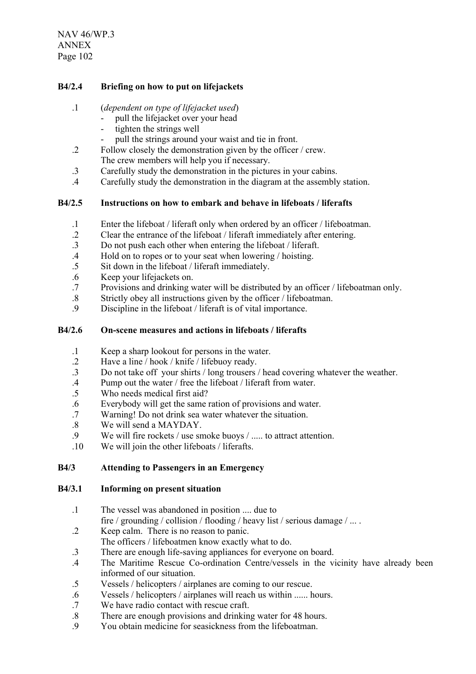NAV 46/WP.3 ANNEX Page 102

# **B4/2.4 Briefing on how to put on lifejackets**

### .1 (*dependent on type of lifejacket used*)

- pull the lifejacket over your head
	- tighten the strings well
- pull the strings around your waist and tie in front.
- .2 Follow closely the demonstration given by the officer / crew. The crew members will help you if necessary.
- .3 Carefully study the demonstration in the pictures in your cabins.
- .4 Carefully study the demonstration in the diagram at the assembly station.

### **B4/2.5 Instructions on how to embark and behave in lifeboats / liferafts**

- .1 Enter the lifeboat / liferaft only when ordered by an officer / lifeboatman.
- .2 Clear the entrance of the lifeboat / liferaft immediately after entering.
- .3 Do not push each other when entering the lifeboat / liferaft.
- .4 Hold on to ropes or to your seat when lowering / hoisting.
- .5 Sit down in the lifeboat / liferaft immediately.
- .6 Keep your lifejackets on.
- .7 Provisions and drinking water will be distributed by an officer / lifeboatman only.
- .8 Strictly obey all instructions given by the officer / lifeboatman.
- .9 Discipline in the lifeboat / liferaft is of vital importance.

### **B4/2.6 On-scene measures and actions in lifeboats / liferafts**

- .1 Keep a sharp lookout for persons in the water.
- .2 Have a line / hook / knife / lifebuoy ready.
- .3 Do not take off your shirts / long trousers / head covering whatever the weather.
- .4 Pump out the water / free the lifeboat / liferaft from water.
- .5 Who needs medical first aid?
- .6 Everybody will get the same ration of provisions and water.
- .7 Warning! Do not drink sea water whatever the situation.
- .8 We will send a MAYDAY.<br>9 We will fire rockets  $\ell$  use sr
- We will fire rockets / use smoke buoys / ..... to attract attention.
- .10 We will join the other lifeboats / liferafts.

### **B4/3 Attending to Passengers in an Emergency**

#### **B4/3.1 Informing on present situation**

- .1 The vessel was abandoned in position .... due to fire / grounding / collision / flooding / heavy list / serious damage / ... .
- .2 Keep calm. There is no reason to panic.
- The officers / lifeboatmen know exactly what to do.
- .3 There are enough life-saving appliances for everyone on board.
- .4 The Maritime Rescue Co-ordination Centre/vessels in the vicinity have already been informed of our situation.
- .5 Vessels / helicopters / airplanes are coming to our rescue.
- .6 Vessels / helicopters / airplanes will reach us within ...... hours.
- .7 We have radio contact with rescue craft.
- .8 There are enough provisions and drinking water for 48 hours.
- .9 You obtain medicine for seasickness from the lifeboatman.